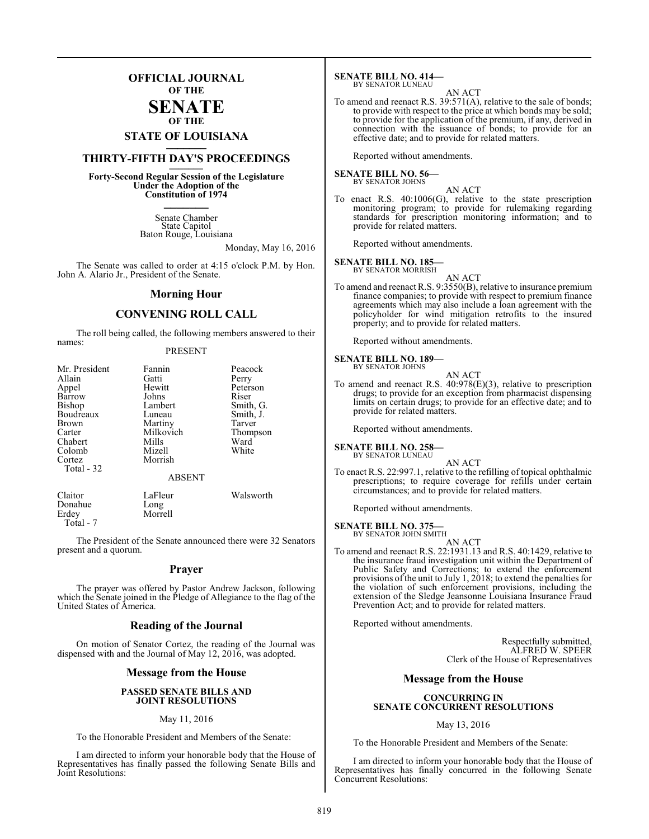### **OFFICIAL JOURNAL OF THE**

### **SENATE OF THE**

# **STATE OF LOUISIANA \_\_\_\_\_\_\_**

### **THIRTY-FIFTH DAY'S PROCEEDINGS \_\_\_\_\_\_\_**

**Forty-Second Regular Session of the Legislature Under the Adoption of the Constitution of 1974 \_\_\_\_\_\_\_**

> Senate Chamber State Capitol Baton Rouge, Louisiana

> > Monday, May 16, 2016

The Senate was called to order at 4:15 o'clock P.M. by Hon. John A. Alario Jr., President of the Senate.

### **Morning Hour**

### **CONVENING ROLL CALL**

The roll being called, the following members answered to their names:

### PRESENT

| Mr. President | Fannin        | Peacock   |
|---------------|---------------|-----------|
| Allain        | Gatti         | Perry     |
| Appel         | Hewitt        | Peterson  |
| Barrow        | Johns         | Riser     |
| Bishop        | Lambert       | Smith, G. |
| Boudreaux     | Luneau        | Smith, J. |
| <b>Brown</b>  | Martiny       | Tarver    |
| Carter        | Milkovich     | Thompson  |
| Chabert       | Mills         | Ward      |
| Colomb        | Mizell        | White     |
| Cortez        | Morrish       |           |
| Total $-32$   |               |           |
|               | <b>ABSENT</b> |           |
| Claitor       | LaFleur       | Walsworth |
| Donahue       | Long          |           |

Erdey Morrell Total - 7

The President of the Senate announced there were 32 Senators present and a quorum.

### **Prayer**

The prayer was offered by Pastor Andrew Jackson, following which the Senate joined in the Pledge of Allegiance to the flag of the United States of America.

### **Reading of the Journal**

On motion of Senator Cortez, the reading of the Journal was dispensed with and the Journal of May 12, 2016, was adopted.

### **Message from the House**

### **PASSED SENATE BILLS AND JOINT RESOLUTIONS**

### May 11, 2016

To the Honorable President and Members of the Senate:

I am directed to inform your honorable body that the House of Representatives has finally passed the following Senate Bills and Joint Resolutions:

#### **SENATE BILL NO. 414—** BY SENATOR LUNEAU

AN ACT

To amend and reenact R.S. 39:571(A), relative to the sale of bonds; to provide with respect to the price at which bonds may be sold; to provide for the application of the premium, if any, derived in connection with the issuance of bonds; to provide for an effective date; and to provide for related matters.

Reported without amendments.

### **SENATE BILL NO. 56—**<br>BY SENATOR JOHNS

AN ACT

To enact R.S. 40:1006(G), relative to the state prescription monitoring program; to provide for rulemaking regarding standards for prescription monitoring information; and to provide for related matters.

Reported without amendments.

#### **SENATE BILL NO. 185—** BY SENATOR MORRISH

AN ACT

To amend and reenact R.S. 9:3550(B), relative to insurance premium finance companies; to provide with respect to premium finance agreements which may also include a loan agreement with the policyholder for wind mitigation retrofits to the insured property; and to provide for related matters.

Reported without amendments.

### **SENATE BILL NO. 189—** BY SENATOR JOHNS

AN ACT To amend and reenact R.S. 40:978(E)(3), relative to prescription drugs; to provide for an exception from pharmacist dispensing limits on certain drugs; to provide for an effective date; and to provide for related matters.

Reported without amendments.

#### **SENATE BILL NO. 258** BY SENATOR LUNEAU

- AN ACT
- To enact R.S. 22:997.1, relative to the refilling of topical ophthalmic prescriptions; to require coverage for refills under certain circumstances; and to provide for related matters.

Reported without amendments.

### **SENATE BILL NO. 375**

BY SENATOR JOHN SMITH AN ACT

To amend and reenact R.S. 22:1931.13 and R.S. 40:1429, relative to the insurance fraud investigation unit within the Department of Public Safety and Corrections; to extend the enforcement provisions of the unit to July 1, 2018; to extend the penalties for the violation of such enforcement provisions, including the extension of the Sledge Jeansonne Louisiana Insurance Fraud Prevention Act; and to provide for related matters.

Reported without amendments.

Respectfully submitted, ALFRED W. SPEER Clerk of the House of Representatives

### **Message from the House**

### **CONCURRING IN SENATE CONCURRENT RESOLUTIONS**

May 13, 2016

To the Honorable President and Members of the Senate:

I am directed to inform your honorable body that the House of Representatives has finally concurred in the following Senate Concurrent Resolutions: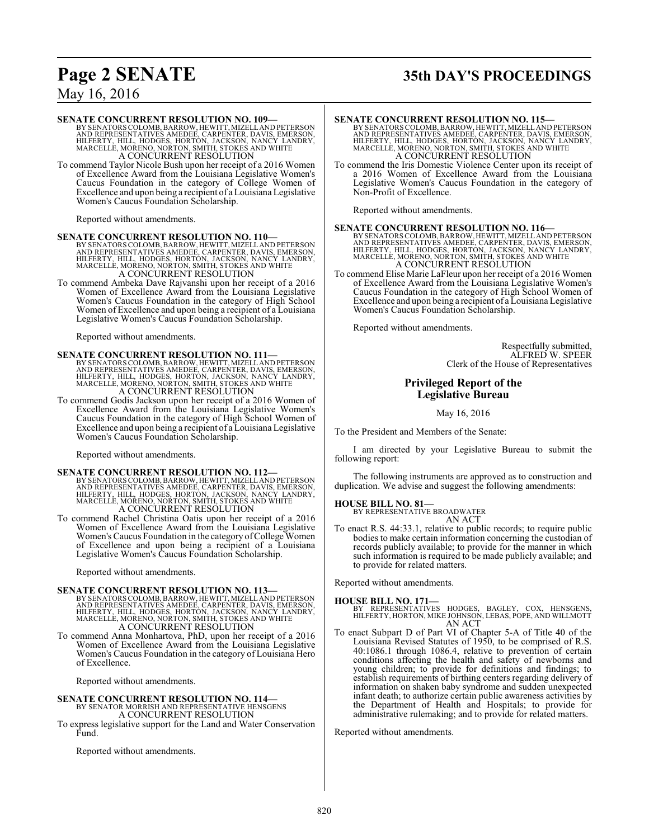# **Page 2 SENATE 35th DAY'S PROCEEDINGS**

### May 16, 2016

### **SENATE CONCURRENT RESOLUTION NO. 109—**

BY SENATORS COLOMB, BARROW, HEWITT, MIZELL AND PETERSON<br>AND REPRESENTATIVES AMEDEE, CARPENTER, DAVIS, EMERSON,<br>HILFERTY, HILL, HODGES, HORTON, JACKSON, NANCY LANDRY,<br>MARCELLE, MORENO, NORTON, SMITH, STOKES AND WHITE A CONCURRENT RESOLUTION

To commend Taylor Nicole Bush upon her receipt of a 2016 Women of Excellence Award from the Louisiana Legislative Women's Caucus Foundation in the category of College Women of Excellence and upon being a recipient of a Louisiana Legislative Women's Caucus Foundation Scholarship.

Reported without amendments.

**SENATE CONCURRENT RESOLUTION NO. 110—**<br>BY SENATORS COLOMB, BARROW, HEWITT, MIZELL AND REPRESON<br>AND REPRESENTATIVES AMEDEE, CARPENTER, DAVIS, EMERSON,<br>HILFERTY, HILL, HODGES, HORTON, JACKSON, NANCY LANDRY,<br>MARCELLE, MORENO A CONCURRENT RESOLUTION

To commend Ambeka Dave Rajvanshi upon her receipt of a 2016 Women of Excellence Award from the Louisiana Legislative Women's Caucus Foundation in the category of High School Women of Excellence and upon being a recipient of a Louisiana Legislative Women's Caucus Foundation Scholarship.

Reported without amendments.

### **SENATE CONCURRENT RESOLUTION NO. 111—**

BY SENATORS COLOMB, BARROW, HEWITT, MIZELL AND PETERSON<br>AND REPRESENTATIVES AMEDEE, CARPENTER, DAVIS, EMERSON,<br>HILFERTY, HILL, HODGES, HORTON, JACKSON, NANCY LANDRY,<br>MARCELLE, MORENO, NORTON, SMITH, STOKES AND WHITE A CONCURRENT RESOLUTION

To commend Godis Jackson upon her receipt of a 2016 Women of Excellence Award from the Louisiana Legislative Women's Caucus Foundation in the category of High School Women of Excellence and upon being a recipient of a Louisiana Legislative Women's Caucus Foundation Scholarship.

Reported without amendments.

### **SENATE CONCURRENT RESOLUTION NO. 112—**

BY SENATORS COLOMB, BARROW, HEWITT, MIZELL AND PETERSON<br>AND REPRESENTATIVES AMEDEE, CARPENTER, DAVIS, EMERSON,<br>HILFERTY, HILL, HODGES, HORTON, JACKSON, NANCY LANDRY,<br>MARCELLE, MORENO, NORTON, SMITH, STOKES AND WHITE A CONCURRENT RESOLUTION

To commend Rachel Christina Oatis upon her receipt of a 2016 Women of Excellence Award from the Louisiana Legislative Women's Caucus Foundation in the category of College Women of Excellence and upon being a recipient of a Louisiana Legislative Women's Caucus Foundation Scholarship.

Reported without amendments.

### **SENATE CONCURRENT RESOLUTION NO. 113—**

BY SENATORS COLOMB, BARROW, HEWITT, MIZELL AND PETERSON<br>AND REPRESENTATIVES AMEDEE, CARPENTER, DAVIS, EMERSON,<br>HILFERTY, HILL, HODGES, HORTON, JACKSON, NANCY LANDRY,<br>MARCELLE, MORENO, NORTON, SMITH, STOKES AND WHITE A CONCURRENT RESOLUTION

To commend Anna Monhartova, PhD, upon her receipt of a 2016 Women of Excellence Award from the Louisiana Legislative Women's Caucus Foundation in the category of Louisiana Hero of Excellence.

Reported without amendments.

#### **SENATE CONCURRENT RESOLUTION NO. 114—** BY SENATOR MORRISH AND REPRESENTATIVE HENSGENS A CONCURRENT RESOLUTION

To express legislative support for the Land and Water Conservation Fund.

Reported without amendments.

### **SENATE CONCURRENT RESOLUTION NO. 115—**

BY SENATORS COLOMB, BARROW, HEWITT, MIZELL AND PETERSON<br>AND REPRESENTATIVES AMEDEE, CARPENTER, DAVIS, EMERSON,<br>HILFERTY, HILL, HODGES, HORTON, JACKSON, NANCY LANDRY,<br>MARCELLE, MORENO, NORTON, SMITH, STOKES AND WHITE A CONCURRENT RESOLUTION

To commend the Iris Domestic Violence Center upon its receipt of a 2016 Women of Excellence Award from the Louisiana Legislative Women's Caucus Foundation in the category of Non-Profit of Excellence.

Reported without amendments.

**SENATE CONCURRENT RESOLUTION NO. 116—**<br>BY SENATORS COLOMB, BARROW, HEWITT, MIZELL AND PETERSON<br>AND REPRESENTATIVES AMEDEE, CARPENTER, DAVIS, EMERSON,<br>HILFERTY, HILL, HODGES, HORTON, JACKSON, NANCY LANDRY,<br>MARCELLE, MORENO

To commend Elise Marie LaFleur upon her receipt of a 2016 Women of Excellence Award from the Louisiana Legislative Women's Caucus Foundation in the category of High School Women of Excellence and upon being a recipient of a Louisiana Legislative Women's Caucus Foundation Scholarship.

Reported without amendments.

Respectfully submitted, ALFRED W. SPEER Clerk of the House of Representatives

### **Privileged Report of the Legislative Bureau**

May 16, 2016

To the President and Members of the Senate:

I am directed by your Legislative Bureau to submit the following report:

The following instruments are approved as to construction and duplication. We advise and suggest the following amendments:

### **HOUSE BILL NO. 81—**

BY REPRESENTATIVE BROADWATER AN ACT

To enact R.S. 44:33.1, relative to public records; to require public bodies to make certain information concerning the custodian of records publicly available; to provide for the manner in which such information is required to be made publicly available; and to provide for related matters.

Reported without amendments.

### **HOUSE BILL NO. 171—**

- BY REPRESENTATIVES HODGES, BAGLEY, COX, HENSGENS, HILFERTY, HORTON, MIKE JOHNSON, LEBAS, POPE, AND WILLMOTT AN ACT
- To enact Subpart D of Part VI of Chapter 5-A of Title 40 of the Louisiana Revised Statutes of 1950, to be comprised of R.S. 40:1086.1 through 1086.4, relative to prevention of certain conditions affecting the health and safety of newborns and young children; to provide for definitions and findings; to establish requirements of birthing centers regarding delivery of information on shaken baby syndrome and sudden unexpected infant death; to authorize certain public awareness activities by the Department of Health and Hospitals; to provide for administrative rulemaking; and to provide for related matters.

Reported without amendments.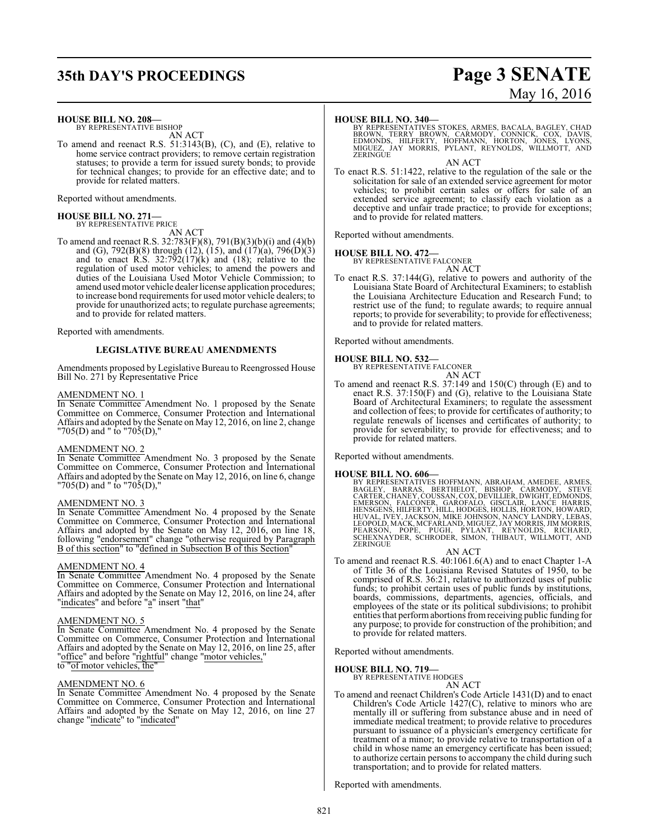# **35th DAY'S PROCEEDINGS Page 3 SENATE**

# May 16, 2016

**HOUSE BILL NO. 208—**

BY REPRESENTATIVE BISHOP AN ACT

To amend and reenact R.S. 51:3143(B), (C), and (E), relative to home service contract providers; to remove certain registration statuses; to provide a term for issued surety bonds; to provide for technical changes; to provide for an effective date; and to provide for related matters.

Reported without amendments.

## **HOUSE BILL NO. 271—** BY REPRESENTATIVE PRICE

AN ACT

To amend and reenact R.S. 32:783(F)(8), 791(B)(3)(b)(i) and (4)(b) and (G), 792(B)(8) through (12), (15), and (17)(a), 796(D)(3) and to enact  $R.S. 32:792(17)(k)$  and  $(18)$ ; relative to the regulation of used motor vehicles; to amend the powers and duties of the Louisiana Used Motor Vehicle Commission; to amend used motor vehicle dealer license application procedures; to increase bond requirements for used motor vehicle dealers; to provide for unauthorized acts; to regulate purchase agreements; and to provide for related matters.

Reported with amendments.

### **LEGISLATIVE BUREAU AMENDMENTS**

Amendments proposed by Legislative Bureau to Reengrossed House Bill No. 271 by Representative Price

### AMENDMENT NO. 1

In Senate Committee Amendment No. 1 proposed by the Senate Committee on Commerce, Consumer Protection and International Affairs and adopted by the Senate on May 12, 2016, on line 2, change "705(D) and " to "705(D),"

### AMENDMENT NO. 2

In Senate Committee Amendment No. 3 proposed by the Senate Committee on Commerce, Consumer Protection and International Affairs and adopted by the Senate on May 12, 2016, on line 6, change "705(D) and " to "705(D),"

### AMENDMENT NO. 3

In Senate Committee Amendment No. 4 proposed by the Senate Committee on Commerce, Consumer Protection and International Affairs and adopted by the Senate on May 12, 2016, on line 18, following "endorsement" change "otherwise required by Paragraph B of this section" to "defined in Subsection B of this Section"

### AMENDMENT NO. 4

In Senate Committee Amendment No. 4 proposed by the Senate Committee on Commerce, Consumer Protection and International Affairs and adopted by the Senate on May 12, 2016, on line 24, after "indicates" and before "a" insert "that"

### AMENDMENT NO. 5

In Senate Committee Amendment No. 4 proposed by the Senate Committee on Commerce, Consumer Protection and International Affairs and adopted by the Senate on May 12, 2016, on line 25, after "office" and before "rightful" change "motor vehicles, to "of motor vehicles, the"

### AMENDMENT NO. 6

In Senate Committee Amendment No. 4 proposed by the Senate Committee on Commerce, Consumer Protection and International Affairs and adopted by the Senate on May 12, 2016, on line 27 change "indicate" to "indicated"

### **HOUSE BILL NO. 340—**

BY REPRESENTATIVES STOKES, ARMES, BACALA, BAGLEY, CHAD<br>BROWN, TERRY BROWN, CARMODY, CONNICK, COX, DAVIS,<br>EDMONDS, HILFERTY, HOFFMANN, HORTON, JONES, LYONS,<br>MIGUEZ, JAY MORRIS, PYLANT, REYNOLDS, WILLMOTT, AND MIGUEZ, J.<br>ZERINGUE

AN ACT

To enact R.S. 51:1422, relative to the regulation of the sale or the solicitation for sale of an extended service agreement for motor vehicles; to prohibit certain sales or offers for sale of an extended service agreement; to classify each violation as a deceptive and unfair trade practice; to provide for exceptions; and to provide for related matters.

Reported without amendments.

**HOUSE BILL NO. 472—** BY REPRESENTATIVE FALCONER

AN ACT To enact R.S. 37:144(G), relative to powers and authority of the Louisiana State Board of Architectural Examiners; to establish the Louisiana Architecture Education and Research Fund; to restrict use of the fund; to regulate awards; to require annual reports; to provide for severability; to provide for effectiveness; and to provide for related matters.

Reported without amendments.

# **HOUSE BILL NO. 532—** BY REPRESENTATIVE FALCONER

AN ACT

To amend and reenact R.S. 37:149 and 150(C) through (E) and to enact R.S. 37:150(F) and (G), relative to the Louisiana State Board of Architectural Examiners; to regulate the assessment and collection of fees; to provide for certificates of authority; to regulate renewals of licenses and certificates of authority; to provide for severability; to provide for effectiveness; and to provide for related matters.

Reported without amendments.

**HOUSE BILL NO. 606—**<br>BY REPRESENTATIVES HOFFMANN, ABRAHAM, AMEDEE, ARMES, BAGLEY, BARRAS, BERTHELOT, BISHOP, CARMODY, STEVE<br>CARTER, CHANEY, COUSSAN, COX, DEVILLIER, DWIGHT, EDMONDS,<br>EMERSGENS, HILFERTY, HILL, HODGES, HOLL **ZERINGUE** 

AN ACT

To amend and reenact R.S. 40:1061.6(A) and to enact Chapter 1-A of Title 36 of the Louisiana Revised Statutes of 1950, to be comprised of R.S. 36:21, relative to authorized uses of public funds; to prohibit certain uses of public funds by institutions, boards, commissions, departments, agencies, officials, and employees of the state or its political subdivisions; to prohibit entities that performabortions fromreceiving public funding for any purpose; to provide for construction of the prohibition; and to provide for related matters.

Reported without amendments.

**HOUSE BILL NO. 719—**

BY REPRESENTATIVE HODGES AN ACT

To amend and reenact Children's Code Article 1431(D) and to enact Children's Code Article 1427(C), relative to minors who are mentally ill or suffering from substance abuse and in need of immediate medical treatment; to provide relative to procedures pursuant to issuance of a physician's emergency certificate for treatment of a minor; to provide relative to transportation of a child in whose name an emergency certificate has been issued; to authorize certain persons to accompany the child during such transportation; and to provide for related matters.

Reported with amendments.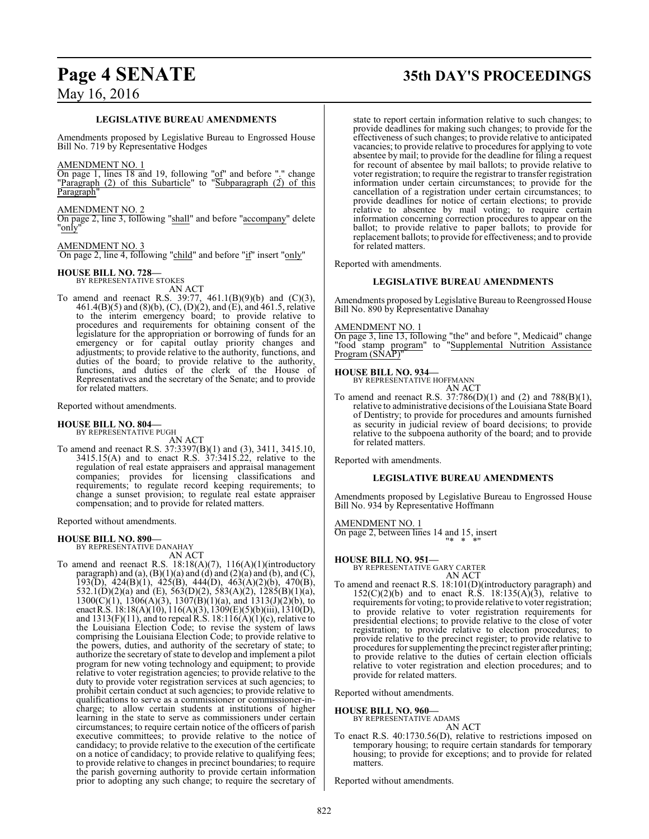### **LEGISLATIVE BUREAU AMENDMENTS**

Amendments proposed by Legislative Bureau to Engrossed House Bill No. 719 by Representative Hodges

### AMENDMENT NO. 1

On page 1, lines 18 and 19, following "of" and before "." change "Paragraph (2) of this Subarticle" to "Subparagraph (2) of this Paragraph"

### AMENDMENT NO. 2

On page 2, line 3, following "shall" and before "accompany" delete "<u>on</u>ly'

### AMENDMENT NO. 3

On page 2, line 4, following "child" and before "if" insert "only"

### **HOUSE BILL NO. 728—** BY REPRESENTATIVE STOKES

- AN ACT
- To amend and reenact R.S. 39:77, 461.1(B)(9)(b) and (C)(3), 461.4(B)(5) and (8)(b), (C), (D)(2), and (E), and 461.5, relative to the interim emergency board; to provide relative to procedures and requirements for obtaining consent of the legislature for the appropriation or borrowing of funds for an emergency or for capital outlay priority changes and adjustments; to provide relative to the authority, functions, and duties of the board; to provide relative to the authority, functions, and duties of the clerk of the House of Representatives and the secretary of the Senate; and to provide for related matters.

Reported without amendments.

### **HOUSE BILL NO. 804—** BY REPRESENTATIVE PUGH

AN ACT To amend and reenact R.S. 37:3397(B)(1) and (3), 3411, 3415.10, 3415.15(A) and to enact R.S. 37:3415.22, relative to the regulation of real estate appraisers and appraisal management companies; provides for licensing classifications and requirements; to regulate record keeping requirements; to change a sunset provision; to regulate real estate appraiser compensation; and to provide for related matters.

Reported without amendments.

### **HOUSE BILL NO. 890—**

BY REPRESENTATIVE DANAHAY AN ACT

To amend and reenact R.S. 18:18(A)(7), 116(A)(1)(introductory paragraph) and (a),  $(B)(1)(a)$  and  $(d)$  and  $(2)(a)$  and  $(b)$ , and  $(C)$ , 193(D), 424(B)(1), 425(B), 444(D), 463(A)(2)(b), 470(B), 532.1(D)(2)(a) and (E), 563(D)(2), 583(A)(2), 1285(B)(1)(a),  $1300(C)(1)$ ,  $1306(A)(3)$ ,  $1307(B)(1)(a)$ , and  $1313(J)(2)(b)$ , to enactR.S. 18:18(A)(10), 116(A)(3), 1309(E)(5)(b)(iii), 1310(D), and  $1313(F)(11)$ , and to repeal R.S.  $18:116(A)(1)(c)$ , relative to the Louisiana Election Code; to revise the system of laws comprising the Louisiana Election Code; to provide relative to the powers, duties, and authority of the secretary of state; to authorize the secretary of state to develop and implement a pilot program for new voting technology and equipment; to provide relative to voter registration agencies; to provide relative to the duty to provide voter registration services at such agencies; to prohibit certain conduct at such agencies; to provide relative to qualifications to serve as a commissioner or commissioner-incharge; to allow certain students at institutions of higher learning in the state to serve as commissioners under certain circumstances; to require certain notice of the officers of parish executive committees; to provide relative to the notice of candidacy; to provide relative to the execution of the certificate on a notice of candidacy; to provide relative to qualifying fees; to provide relative to changes in precinct boundaries; to require the parish governing authority to provide certain information prior to adopting any such change; to require the secretary of

# **Page 4 SENATE 35th DAY'S PROCEEDINGS**

state to report certain information relative to such changes; to provide deadlines for making such changes; to provide for the effectiveness of such changes; to provide relative to anticipated vacancies; to provide relative to procedures for applying to vote absentee by mail; to provide for the deadline for filing a request for recount of absentee by mail ballots; to provide relative to voter registration; to require the registrar to transfer registration information under certain circumstances; to provide for the cancellation of a registration under certain circumstances; to provide deadlines for notice of certain elections; to provide relative to absentee by mail voting; to require certain information concerning correction procedures to appear on the ballot; to provide relative to paper ballots; to provide for replacement ballots; to provide for effectiveness; and to provide for related matters.

Reported with amendments.

### **LEGISLATIVE BUREAU AMENDMENTS**

Amendments proposed by Legislative Bureau to Reengrossed House Bill No. 890 by Representative Danahay

### AMENDMENT NO. 1

On page 3, line 13, following "the" and before ", Medicaid" change "food stamp program" to "Supplemental Nutrition Assistance Program (SÑAP)"

### **HOUSE BILL NO. 934—**

BY REPRESENTATIVE HOFFMANN AN ACT

To amend and reenact R.S. 37:786(D)(1) and (2) and 788(B)(1), relative to administrative decisions ofthe Louisiana State Board of Dentistry; to provide for procedures and amounts furnished as security in judicial review of board decisions; to provide relative to the subpoena authority of the board; and to provide for related matters.

Reported with amendments.

### **LEGISLATIVE BUREAU AMENDMENTS**

Amendments proposed by Legislative Bureau to Engrossed House Bill No. 934 by Representative Hoffmann

### AMENDMENT NO. 1

On page 2, between lines 14 and 15, insert  $"$ 

### **HOUSE BILL NO. 951—**

BY REPRESENTATIVE GARY CARTER AN ACT

To amend and reenact R.S. 18:101(D)(introductory paragraph) and  $152(C)(2)(b)$  and to enact R.S.  $18:135(A)(3)$ , relative to requirements for voting; to provide relative to voter registration; to provide relative to voter registration requirements for presidential elections; to provide relative to the close of voter registration; to provide relative to election procedures; to provide relative to the precinct register; to provide relative to procedures for supplementing the precinct register after printing; to provide relative to the duties of certain election officials relative to voter registration and election procedures; and to provide for related matters.

Reported without amendments.

### **HOUSE BILL NO. 960—** BY REPRESENTATIVE ADAMS

AN ACT

To enact R.S. 40:1730.56(D), relative to restrictions imposed on temporary housing; to require certain standards for temporary housing; to provide for exceptions; and to provide for related matters.

Reported without amendments.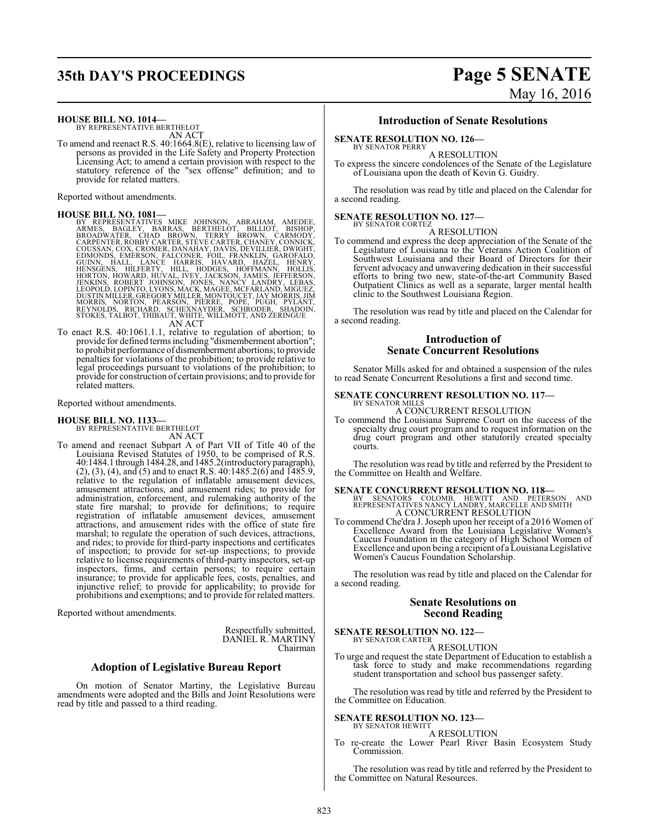# **35th DAY'S PROCEEDINGS Page 5 SENATE**

# May 16, 2016

**HOUSE BILL NO. 1014—** BY REPRESENTATIVE BERTHELOT

AN ACT

To amend and reenact R.S. 40:1664.8(E), relative to licensing law of persons as provided in the Life Safety and Property Protection Licensing Act; to amend a certain provision with respect to the statutory reference of the "sex offense" definition; and to provide for related matters.

Reported without amendments.

HOUSE BILL NO. 1081—<br>
BY REPRESENTATIVES MIKE JOHNSON, ABRAHAM, AMEDEE,<br>
BY REPRESENTATIVES MIKE JOHNSON, BERAHAM, AMEDEE,<br>
BROADWATER, CHAD BROWN, TERRY BROWN, CARMODY,<br>
COUSSAN, COX, CROMER, SPEVE CARTER, CHANEY, CONNICK

To enact R.S. 40:1061.1.1, relative to regulation of abortion; to provide for defined terms including "dismemberment abortion"; to prohibit performance of dismemberment abortions; to provide penalties for violations of the prohibition; to provide relative to legal proceedings pursuant to violations of the prohibition; to provide for construction of certain provisions; and to provide for related matters.

Reported without amendments.

# **HOUSE BILL NO. 1133—**<br>BY REPRESENTATIVE BERTHELOT

AN ACT

To amend and reenact Subpart A of Part VII of Title 40 of the Louisiana Revised Statutes of 1950, to be comprised of R.S. 40:1484.1 through 1484.28, and 1485.2(introductoryparagraph),  $(2)$ ,  $(3)$ ,  $(4)$ , and  $(5)$  and to enact R.S.  $40:1485.2(6)$  and  $1485.9$ , relative to the regulation of inflatable amusement devices, amusement attractions, and amusement rides; to provide for administration, enforcement, and rulemaking authority of the state fire marshal; to provide for definitions; to require registration of inflatable amusement devices, amusement attractions, and amusement rides with the office of state fire marshal; to regulate the operation of such devices, attractions, and rides; to provide for third-party inspections and certificates of inspection; to provide for set-up inspections; to provide relative to license requirements of third-party inspectors, set-up inspectors, firms, and certain persons; to require certain insurance; to provide for applicable fees, costs, penalties, and injunctive relief; to provide for applicability; to provide for prohibitions and exemptions; and to provide for related matters.

Reported without amendments.

Respectfully submitted, DANIEL R. MARTINY Chairman

### **Adoption of Legislative Bureau Report**

On motion of Senator Martiny, the Legislative Bureau amendments were adopted and the Bills and Joint Resolutions were read by title and passed to a third reading.

### **Introduction of Senate Resolutions**

# **SENATE RESOLUTION NO. 126-**<br>BY SENATOR PERRY

A RESOLUTION

To express the sincere condolences of the Senate of the Legislature of Louisiana upon the death of Kevin G. Guidry.

The resolution was read by title and placed on the Calendar for a second reading.

### **SENATE RESOLUTION NO. 127-**<br>BY SENATOR CORTEZ

A RESOLUTION

To commend and express the deep appreciation of the Senate of the Legislature of Louisiana to the Veterans Action Coalition of Southwest Louisiana and their Board of Directors for their fervent advocacy and unwavering dedication in their successful efforts to bring two new, state-of-the-art Community Based Outpatient Clinics as well as a separate, larger mental health clinic to the Southwest Louisiana Region.

The resolution was read by title and placed on the Calendar for a second reading.

### **Introduction of Senate Concurrent Resolutions**

Senator Mills asked for and obtained a suspension of the rules to read Senate Concurrent Resolutions a first and second time.

### **SENATE CONCURRENT RESOLUTION NO. 117-**BY SENATOR MILLS<br>A CONCURRENT RESOLUTION

To commend the Louisiana Supreme Court on the success of the specialty drug court program and to request information on the drug court program and other statutorily created specialty courts.

The resolution was read by title and referred by the President to the Committee on Health and Welfare.

- **SENATE CONCURRENT RESOLUTION NO. 118—**<br>BY SENATORS COLOMB, HEWITT AND PETERSON AND<br>REPRESENTATIVES NANCY LANDRY, MARCELLE AND SMITH A CONCURRENT RESOLUTION
- To commend Che'dra J. Joseph upon her receipt of a 2016 Women of Excellence Award from the Louisiana Legislative Women's Caucus Foundation in the category of High School Women of Excellence and upon being a recipient of a Louisiana Legislative Women's Caucus Foundation Scholarship.

The resolution was read by title and placed on the Calendar for a second reading.

### **Senate Resolutions on Second Reading**

**SENATE RESOLUTION NO. 122—** BY SENATOR CARTER

A RESOLUTION

To urge and request the state Department of Education to establish a task force to study and make recommendations regarding student transportation and school bus passenger safety.

The resolution was read by title and referred by the President to the Committee on Education.

### **SENATE RESOLUTION NO. 123-**<br>BY SENATOR HEWITT

A RESOLUTION

To re-create the Lower Pearl River Basin Ecosystem Study Commission.

The resolution was read by title and referred by the President to the Committee on Natural Resources.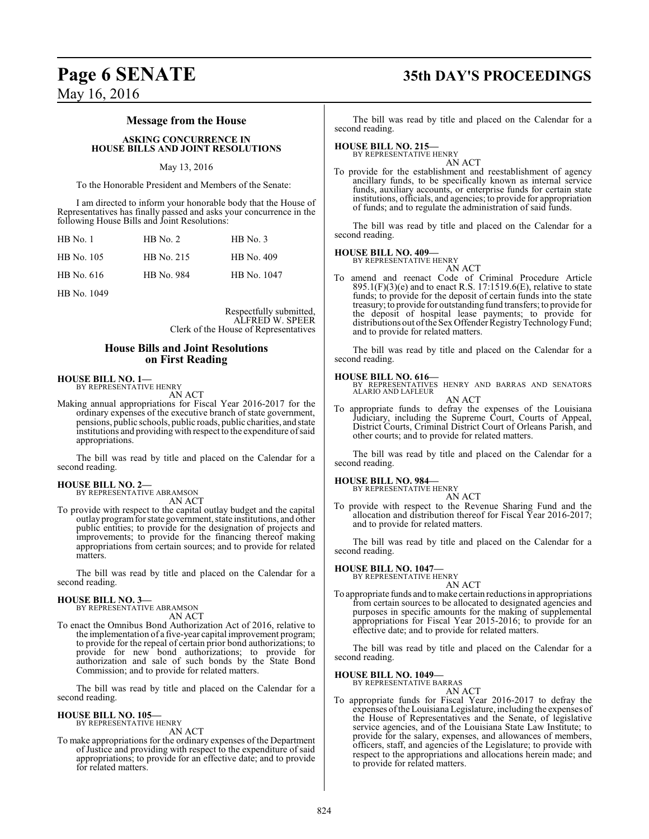### **Page 6 SENATE 35th DAY'S PROCEEDINGS**

### **Message from the House**

**ASKING CONCURRENCE IN HOUSE BILLS AND JOINT RESOLUTIONS**

### May 13, 2016

To the Honorable President and Members of the Senate:

I am directed to inform your honorable body that the House of Representatives has finally passed and asks your concurrence in the following House Bills and Joint Resolutions:

| $HB$ No. 1 | $HB$ No. 2 | $HB$ No. 3  |
|------------|------------|-------------|
| HB No. 105 | HB No. 215 | HB No. 409  |
| HB No. 616 | HB No. 984 | HB No. 1047 |

HB No. 1049

Respectfully submitted, ALFRED W. SPEER Clerk of the House of Representatives

### **House Bills and Joint Resolutions on First Reading**

### **HOUSE BILL NO. 1—** BY REPRESENTATIVE HENRY

AN ACT

Making annual appropriations for Fiscal Year 2016-2017 for the ordinary expenses of the executive branch of state government, pensions, public schools, public roads, public charities, and state institutions and providing with respect to the expenditure ofsaid appropriations.

The bill was read by title and placed on the Calendar for a second reading.

# **HOUSE BILL NO. 2—** BY REPRESENTATIVE ABRAMSON

AN ACT

To provide with respect to the capital outlay budget and the capital outlay programfor state government, state institutions, and other public entities; to provide for the designation of projects and improvements; to provide for the financing thereof making appropriations from certain sources; and to provide for related matters.

The bill was read by title and placed on the Calendar for a second reading.

### **HOUSE BILL NO. 3—**

BY REPRESENTATIVE ABRAMSON AN ACT

To enact the Omnibus Bond Authorization Act of 2016, relative to the implementation of a five-year capital improvement program; to provide for the repeal of certain prior bond authorizations; to provide for new bond authorizations; to provide for authorization and sale of such bonds by the State Bond Commission; and to provide for related matters.

The bill was read by title and placed on the Calendar for a second reading.

#### **HOUSE BILL NO. 105—** BY REPRESENTATIVE HENRY

AN ACT

To make appropriations for the ordinary expenses of the Department of Justice and providing with respect to the expenditure of said appropriations; to provide for an effective date; and to provide for related matters.

The bill was read by title and placed on the Calendar for a second reading.

### **HOUSE BILL NO. 215—**

BY REPRESENTATIVE HENRY AN ACT

To provide for the establishment and reestablishment of agency ancillary funds, to be specifically known as internal service funds, auxiliary accounts, or enterprise funds for certain state institutions, officials, and agencies; to provide for appropriation of funds; and to regulate the administration of said funds.

The bill was read by title and placed on the Calendar for a second reading.

### **HOUSE BILL NO. 409—** BY REPRESENTATIVE HENRY

AN ACT To amend and reenact Code of Criminal Procedure Article 895.1(F)(3)(e) and to enact R.S. 17:1519.6(E), relative to state funds; to provide for the deposit of certain funds into the state treasury; to provide for outstanding fund transfers; to provide for the deposit of hospital lease payments; to provide for distributions out oftheSexOffender RegistryTechnologyFund; and to provide for related matters.

The bill was read by title and placed on the Calendar for a second reading.

### **HOUSE BILL NO. 616—**

BY REPRESENTATIVES HENRY AND BARRAS AND SENATORS ALARIO AND LAFLEUR AN ACT

To appropriate funds to defray the expenses of the Louisiana Judiciary, including the Supreme Court, Courts of Appeal, District Courts, Criminal District Court of Orleans Parish, and other courts; and to provide for related matters.

The bill was read by title and placed on the Calendar for a second reading.

### **HOUSE BILL NO. 984—**

BY REPRESENTATIVE HENRY

- AN ACT
- To provide with respect to the Revenue Sharing Fund and the allocation and distribution thereof for Fiscal Year 2016-2017; and to provide for related matters.

The bill was read by title and placed on the Calendar for a second reading.

### **HOUSE BILL NO. 1047—** BY REPRESENTATIVE HENRY

AN ACT

To appropriate funds and tomake certain reductions in appropriations from certain sources to be allocated to designated agencies and purposes in specific amounts for the making of supplemental appropriations for Fiscal Year 2015-2016; to provide for an effective date; and to provide for related matters.

The bill was read by title and placed on the Calendar for a second reading.

### **HOUSE BILL NO. 1049—**

BY REPRESENTATIVE BARRAS

AN ACT To appropriate funds for Fiscal Year 2016-2017 to defray the expenses ofthe Louisiana Legislature, including the expenses of the House of Representatives and the Senate, of legislative service agencies, and of the Louisiana State Law Institute; to provide for the salary, expenses, and allowances of members, officers, staff, and agencies of the Legislature; to provide with respect to the appropriations and allocations herein made; and to provide for related matters.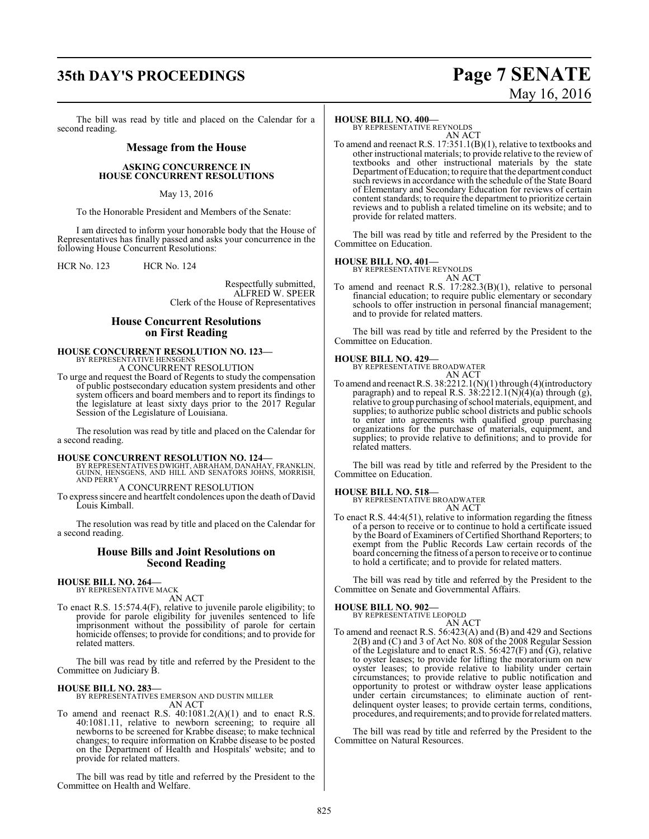## **35th DAY'S PROCEEDINGS Page 7 SENATE**

# May 16, 2016

The bill was read by title and placed on the Calendar for a second reading.

### **Message from the House**

### **ASKING CONCURRENCE IN HOUSE CONCURRENT RESOLUTIONS**

### May 13, 2016

To the Honorable President and Members of the Senate:

I am directed to inform your honorable body that the House of Representatives has finally passed and asks your concurrence in the following House Concurrent Resolutions:

HCR No. 123 HCR No. 124

Respectfully submitted, ALFRED W. SPEER Clerk of the House of Representatives

### **House Concurrent Resolutions on First Reading**

### **HOUSE CONCURRENT RESOLUTION NO. 123—** BY REPRESENTATIVE HENSGENS

A CONCURRENT RESOLUTION

To urge and request the Board of Regents to study the compensation of public postsecondary education system presidents and other system officers and board members and to report its findings to the legislature at least sixty days prior to the 2017 Regular Session of the Legislature of Louisiana.

The resolution was read by title and placed on the Calendar for a second reading.

### **HOUSE CONCURRENT RESOLUTION NO. 124—**

BY REPRESENTATIVES DWIGHT, ABRAHAM, DANAHAY, FRANKLIN, GUINN, HENSGENS, AND HILL AND SENATORS JOHNS, MORRISH, AND PERRY

A CONCURRENT RESOLUTION

To express sincere and heartfelt condolences upon the death of David Louis Kimball.

The resolution was read by title and placed on the Calendar for a second reading.

### **House Bills and Joint Resolutions on Second Reading**

#### **HOUSE BILL NO. 264—** BY REPRESENTATIVE MACK

AN ACT

To enact R.S. 15:574.4(F), relative to juvenile parole eligibility; to provide for parole eligibility for juveniles sentenced to life imprisonment without the possibility of parole for certain homicide offenses; to provide for conditions; and to provide for related matters.

The bill was read by title and referred by the President to the Committee on Judiciary B.

**HOUSE BILL NO. 283—** BY REPRESENTATIVES EMERSON AND DUSTIN MILLER AN ACT

To amend and reenact R.S.  $40:1081.2(A)(1)$  and to enact R.S. 40:1081.11, relative to newborn screening; to require all newborns to be screened for Krabbe disease; to make technical changes; to require information on Krabbe disease to be posted on the Department of Health and Hospitals' website; and to provide for related matters.

The bill was read by title and referred by the President to the Committee on Health and Welfare.

### **HOUSE BILL NO. 400—**

BY REPRESENTATIVE REYNOLDS AN ACT

To amend and reenact R.S. 17:351.1(B)(1), relative to textbooks and other instructional materials; to provide relative to the review of textbooks and other instructional materials by the state Department ofEducation; to require that the department conduct such reviews in accordance with the schedule of the State Board of Elementary and Secondary Education for reviews of certain content standards; to require the department to prioritize certain reviews and to publish a related timeline on its website; and to provide for related matters.

The bill was read by title and referred by the President to the Committee on Education.

**HOUSE BILL NO. 401—** BY REPRESENTATIVE REYNOLDS AN ACT

To amend and reenact R.S. 17:282.3(B)(1), relative to personal financial education; to require public elementary or secondary schools to offer instruction in personal financial management; and to provide for related matters.

The bill was read by title and referred by the President to the Committee on Education.

**HOUSE BILL NO. 429—** BY REPRESENTATIVE BROADWATER AN ACT

To amend and reenact R.S. 38:2212.1(N)(1) through (4)(introductory paragraph) and to repeal R.S.  $38:2212.1(N)(4)(a)$  through (g), relative to group purchasing ofschool materials, equipment, and supplies; to authorize public school districts and public schools to enter into agreements with qualified group purchasing organizations for the purchase of materials, equipment, and supplies; to provide relative to definitions; and to provide for related matters.

The bill was read by title and referred by the President to the Committee on Education.

### **HOUSE BILL NO. 518—**

BY REPRESENTATIVE BROADWATER AN ACT

To enact R.S. 44:4(51), relative to information regarding the fitness of a person to receive or to continue to hold a certificate issued by the Board of Examiners of Certified Shorthand Reporters; to exempt from the Public Records Law certain records of the board concerning the fitness of a person to receive or to continue to hold a certificate; and to provide for related matters.

The bill was read by title and referred by the President to the Committee on Senate and Governmental Affairs.

### **HOUSE BILL NO. 902—**

BY REPRESENTATIVE LEOPOLD AN ACT

To amend and reenact R.S. 56:423(A) and (B) and 429 and Sections 2(B) and (C) and 3 of Act No. 808 of the 2008 Regular Session of the Legislature and to enact R.S. 56:427(F) and (G), relative to oyster leases; to provide for lifting the moratorium on new oyster leases; to provide relative to liability under certain circumstances; to provide relative to public notification and opportunity to protest or withdraw oyster lease applications under certain circumstances; to eliminate auction of rentdelinquent oyster leases; to provide certain terms, conditions, procedures, and requirements; and to provide for related matters.

The bill was read by title and referred by the President to the Committee on Natural Resources.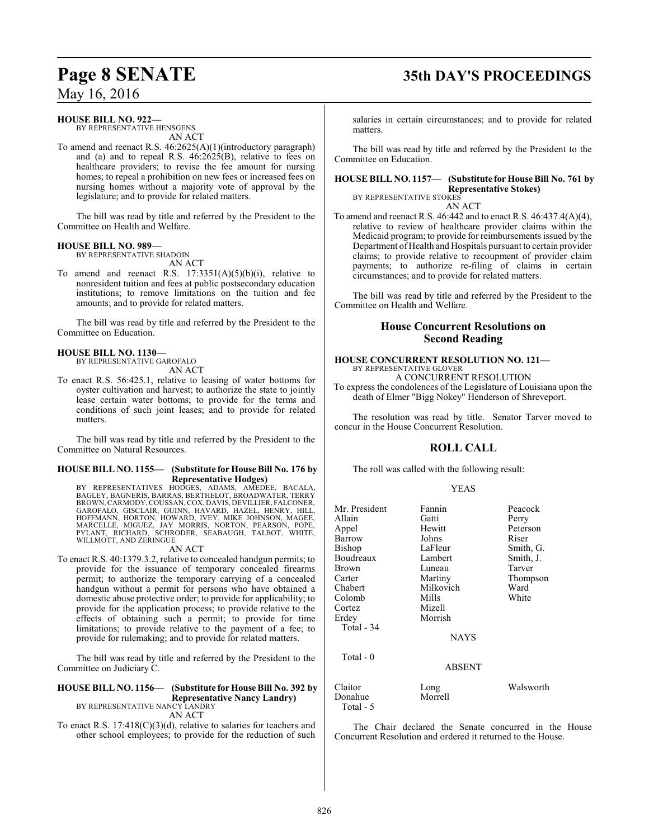## **Page 8 SENATE 35th DAY'S PROCEEDINGS**

May 16, 2016

### **HOUSE BILL NO. 922—**

BY REPRESENTATIVE HENSGENS AN ACT

To amend and reenact R.S. 46:2625(A)(1)(introductory paragraph) and (a) and to repeal R.S.  $46:2625(B)$ , relative to fees on healthcare providers; to revise the fee amount for nursing homes; to repeal a prohibition on new fees or increased fees on nursing homes without a majority vote of approval by the legislature; and to provide for related matters.

The bill was read by title and referred by the President to the Committee on Health and Welfare.

### **HOUSE BILL NO. 989—**

BY REPRESENTATIVE SHADOIN

AN ACT To amend and reenact R.S.  $17:3351(A)(5)(b)(i)$ , relative to nonresident tuition and fees at public postsecondary education institutions; to remove limitations on the tuition and fee amounts; and to provide for related matters.

The bill was read by title and referred by the President to the Committee on Education.

### **HOUSE BILL NO. 1130—**

BY REPRESENTATIVE GAROFALO AN ACT

To enact R.S. 56:425.1, relative to leasing of water bottoms for oyster cultivation and harvest; to authorize the state to jointly lease certain water bottoms; to provide for the terms and conditions of such joint leases; and to provide for related matters.

The bill was read by title and referred by the President to the Committee on Natural Resources.

### **HOUSE BILL NO. 1155— (Substitute for House Bill No. 176 by Representative Hodges)**

BY REPRESENTATIVES HODGES, ADAMS, AMEDEE, BACALA, BAGLEY, BAGNERIS, BARRAS, BERTHELOT, BROADWATER, TERRY BROWN,CARMODY,COUSSAN,COX, DAVIS, DEVILLIER, FALCONER, GAROFALO, GISCLAIR, GUINN, HAVARD, HAZEL, HENRY, HILL,<br>HOFFMANN, HORTON, HOWARD, IVEY, MIKE JOHNSON, MAGEE,<br>MARCELLE, MIGUEZ, JAY MORRIS, NORTON, PEARSON, POPE,<br>PYLANT, RICHARD, SCHRODER, SEABAUGH, TALBOT, WHITE,<br>WILLMOTT,

### AN ACT

To enact R.S. 40:1379.3.2, relative to concealed handgun permits; to provide for the issuance of temporary concealed firearms permit; to authorize the temporary carrying of a concealed handgun without a permit for persons who have obtained a domestic abuse protective order; to provide for applicability; to provide for the application process; to provide relative to the effects of obtaining such a permit; to provide for time limitations; to provide relative to the payment of a fee; to provide for rulemaking; and to provide for related matters.

The bill was read by title and referred by the President to the Committee on Judiciary C.

### **HOUSE BILL NO. 1156— (Substitute for House Bill No. 392 by Representative Nancy Landry)** BY REPRESENTATIVE NANCY LANDRY

AN ACT

To enact R.S. 17:418(C)(3)(d), relative to salaries for teachers and other school employees; to provide for the reduction of such

salaries in certain circumstances; and to provide for related matters.

The bill was read by title and referred by the President to the Committee on Education.

### **HOUSE BILL NO. 1157— (Substitute for House Bill No. 761 by Representative Stokes)** BY REPRESENTATIVE STOKES

AN ACT

To amend and reenact R.S. 46:442 and to enact R.S. 46:437.4(A)(4), relative to review of healthcare provider claims within the Medicaid program; to provide for reimbursements issued by the Department of Health and Hospitals pursuant to certain provider claims; to provide relative to recoupment of provider claim payments; to authorize re-filing of claims in certain circumstances; and to provide for related matters.

The bill was read by title and referred by the President to the Committee on Health and Welfare.

### **House Concurrent Resolutions on Second Reading**

### **HOUSE CONCURRENT RESOLUTION NO. 121—** BY REPRESENTATIVE GLOVER

A CONCURRENT RESOLUTION

To express the condolences of the Legislature of Louisiana upon the death of Elmer "Bigg Nokey" Henderson of Shreveport.

The resolution was read by title. Senator Tarver moved to concur in the House Concurrent Resolution.

### **ROLL CALL**

The roll was called with the following result:

### YEAS

| Mr. President        | Fannin        | Peacock   |
|----------------------|---------------|-----------|
| Allain               | Gatti         | Perry     |
| Appel                | Hewitt        | Peterson  |
| Barrow               | Johns         | Riser     |
| Bishop               | LaFleur       | Smith, G. |
| Boudreaux            | Lambert       | Smith, J. |
| Brown                | Luneau        | Tarver    |
| Carter               | Martiny       | Thompson  |
| Chabert              | Milkovich     | Ward      |
| Colomb               | Mills         | White     |
| Cortez               | Mizell        |           |
| Erdey                | Morrish       |           |
| Total - 34           |               |           |
|                      | <b>NAYS</b>   |           |
| Total $-0$           |               |           |
|                      | <b>ABSENT</b> |           |
| Claitor              | Long          | Walsworth |
| Donahue<br>Total - 5 | Morrell       |           |

The Chair declared the Senate concurred in the House Concurrent Resolution and ordered it returned to the House.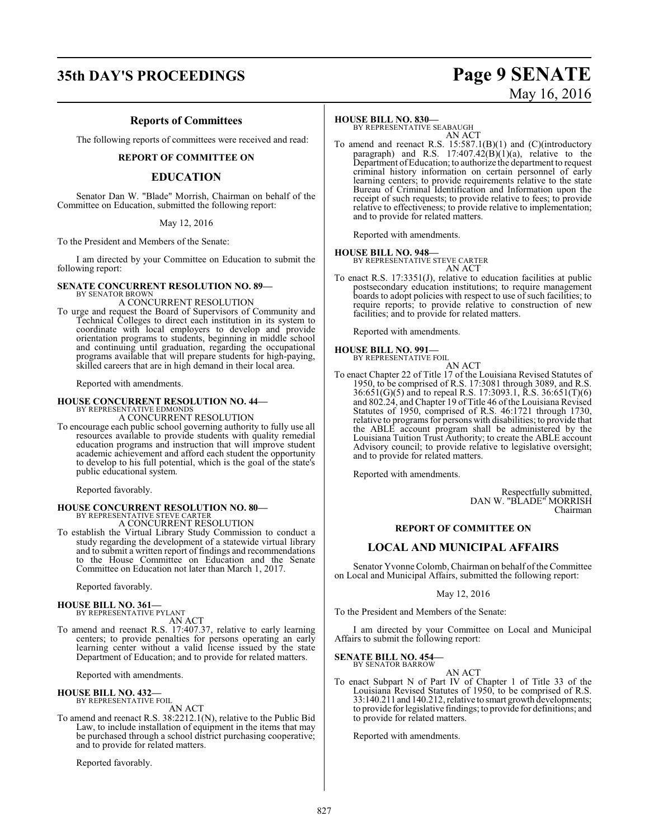### **35th DAY'S PROCEEDINGS Page 9 SENATE**

# May 16, 2016

### **Reports of Committees**

The following reports of committees were received and read:

### **REPORT OF COMMITTEE ON**

### **EDUCATION**

Senator Dan W. "Blade" Morrish, Chairman on behalf of the Committee on Education, submitted the following report:

### May 12, 2016

To the President and Members of the Senate:

I am directed by your Committee on Education to submit the following report:

### **SENATE CONCURRENT RESOLUTION NO. 89—**

BY SENATOR BROWI A CONCURRENT RESOLUTION

To urge and request the Board of Supervisors of Community and Technical Colleges to direct each institution in its system to coordinate with local employers to develop and provide orientation programs to students, beginning in middle school and continuing until graduation, regarding the occupational programs available that will prepare students for high-paying, skilled careers that are in high demand in their local area.

Reported with amendments.

### **HOUSE CONCURRENT RESOLUTION NO. 44—**

BY REPRESENTATIVE EDMONDS A CONCURRENT RESOLUTION

To encourage each public school governing authority to fully use all resources available to provide students with quality remedial education programs and instruction that will improve student academic achievement and afford each student the opportunity to develop to his full potential, which is the goal of the state's public educational system.

Reported favorably.

# **HOUSE CONCURRENT RESOLUTION NO. 80—** BY REPRESENTATIVE STEVE CARTER

A CONCURRENT RESOLUTION

To establish the Virtual Library Study Commission to conduct a study regarding the development of a statewide virtual library and to submit a written report of findings and recommendations to the House Committee on Education and the Senate Committee on Education not later than March 1, 2017.

Reported favorably.

#### **HOUSE BILL NO. 361—** BY REPRESENTATIVE PYLANT

AN ACT

To amend and reenact R.S. 17:407.37, relative to early learning centers; to provide penalties for persons operating an early learning center without a valid license issued by the state Department of Education; and to provide for related matters.

Reported with amendments.

### **HOUSE BILL NO. 432—** BY REPRESENTATIVE FOIL

AN ACT To amend and reenact R.S. 38:2212.1(N), relative to the Public Bid Law, to include installation of equipment in the items that may be purchased through a school district purchasing cooperative; and to provide for related matters.

Reported favorably.

### **HOUSE BILL NO. 830—**

BY REPRESENTATIVE SEABAUGH AN ACT

To amend and reenact R.S. 15:587.1(B)(1) and (C)(introductory paragraph) and R.S.  $17:407.42(B)(1)(a)$ , relative to the Department ofEducation; to authorize the department to request criminal history information on certain personnel of early learning centers; to provide requirements relative to the state Bureau of Criminal Identification and Information upon the receipt of such requests; to provide relative to fees; to provide relative to effectiveness; to provide relative to implementation; and to provide for related matters.

Reported with amendments.

**HOUSE BILL NO. 948—** BY REPRESENTATIVE STEVE CARTER AN ACT

To enact R.S. 17:3351(J), relative to education facilities at public postsecondary education institutions; to require management boards to adopt policies with respect to use of such facilities; to require reports; to provide relative to construction of new facilities; and to provide for related matters.

Reported with amendments.

### **HOUSE BILL NO. 991—**

BY REPRESENTATIVE FOIL AN ACT

To enact Chapter 22 of Title 17 of the Louisiana Revised Statutes of 1950, to be comprised of R.S. 17:3081 through 3089, and R.S. 36:651(G)(5) and to repeal R.S. 17:3093.1, R.S. 36:651(T)(6) and 802.24, and Chapter 19 of Title 46 of the Louisiana Revised Statutes of 1950, comprised of R.S. 46:1721 through 1730, relative to programs for persons with disabilities; to provide that the ABLE account program shall be administered by the Louisiana Tuition Trust Authority; to create the ABLE account Advisory council; to provide relative to legislative oversight; and to provide for related matters.

Reported with amendments.

Respectfully submitted, DAN W. "BLADE" MORRISH Chairman

### **REPORT OF COMMITTEE ON**

### **LOCAL AND MUNICIPAL AFFAIRS**

Senator Yvonne Colomb, Chairman on behalf of the Committee on Local and Municipal Affairs, submitted the following report:

May 12, 2016

To the President and Members of the Senate:

I am directed by your Committee on Local and Municipal Affairs to submit the following report:

### **SENATE BILL NO. 454—** BY SENATOR BARROW

AN ACT

To enact Subpart N of Part IV of Chapter 1 of Title 33 of the Louisiana Revised Statutes of 1950, to be comprised of R.S. 33:140.211 and 140.212, relative to smart growth developments; to provide for legislative findings; to provide for definitions; and to provide for related matters.

Reported with amendments.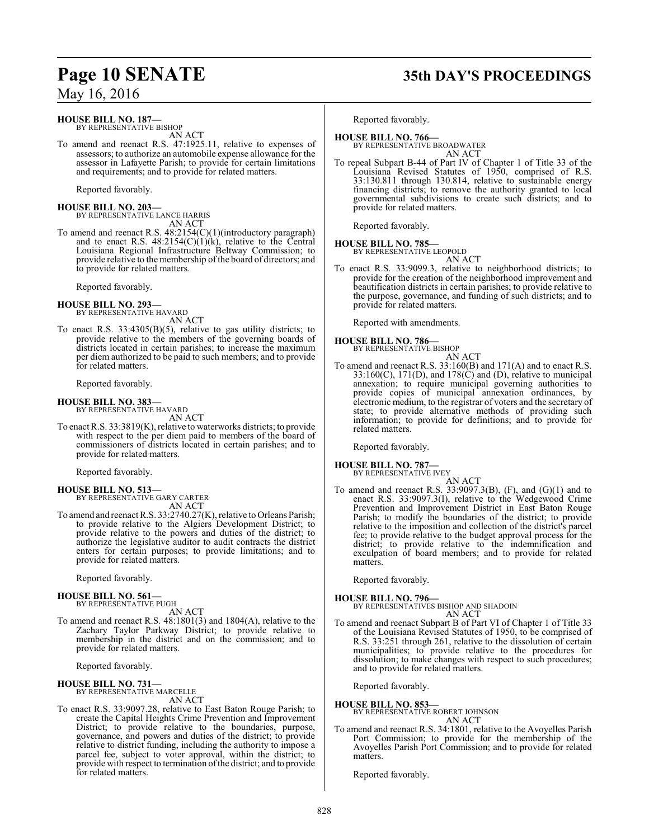### **HOUSE BILL NO. 187—**

BY REPRESENTATIVE BISHOP AN ACT

To amend and reenact R.S. 47:1925.11, relative to expenses of assessors; to authorize an automobile expense allowance for the assessor in Lafayette Parish; to provide for certain limitations and requirements; and to provide for related matters.

Reported favorably.

**HOUSE BILL NO. 203—** BY REPRESENTATIVE LANCE HARRIS AN ACT

To amend and reenact R.S. 48:2154(C)(1)(introductory paragraph) and to enact R.S.  $48.2154(C)(1)(k)$ , relative to the Central Louisiana Regional Infrastructure Beltway Commission; to provide relative to the membership of the board of directors; and to provide for related matters.

Reported favorably.

### **HOUSE BILL NO. 293—**

- BY REPRESENTATIVE HAVARD AN ACT
- To enact R.S. 33:4305(B)(5), relative to gas utility districts; to provide relative to the members of the governing boards of districts located in certain parishes; to increase the maximum per diem authorized to be paid to such members; and to provide for related matters.

Reported favorably.

### **HOUSE BILL NO. 383—**

BY REPRESENTATIVE HAVARD AN ACT

To enact R.S. 33:3819(K), relative to waterworks districts; to provide with respect to the per diem paid to members of the board of commissioners of districts located in certain parishes; and to provide for related matters.

Reported favorably.

#### **HOUSE BILL NO. 513—** BY REPRESENTATIVE GARY CARTER

AN ACT

To amend and reenact R.S. 33:2740.27(K), relative to Orleans Parish; to provide relative to the Algiers Development District; to provide relative to the powers and duties of the district; to authorize the legislative auditor to audit contracts the district enters for certain purposes; to provide limitations; and to provide for related matters.

Reported favorably.

#### **HOUSE BILL NO. 561—** BY REPRESENTATIVE PUGH

AN ACT

To amend and reenact R.S. 48:1801(3) and 1804(A), relative to the Zachary Taylor Parkway District; to provide relative to membership in the district and on the commission; and to provide for related matters.

Reported favorably.

### **HOUSE BILL NO. 731—**

BY REPRESENTATIVE MARCELLE AN ACT

To enact R.S. 33:9097.28, relative to East Baton Rouge Parish; to create the Capital Heights Crime Prevention and Improvement District; to provide relative to the boundaries, purpose, governance, and powers and duties of the district; to provide relative to district funding, including the authority to impose a parcel fee, subject to voter approval, within the district; to provide with respect to termination of the district; and to provide for related matters.

# **Page 10 SENATE 35th DAY'S PROCEEDINGS**

Reported favorably.

**HOUSE BILL NO. 766—** BY REPRESENTATIVE BROADWATER AN ACT

To repeal Subpart B-44 of Part IV of Chapter 1 of Title 33 of the Louisiana Revised Statutes of 1950, comprised of R.S. 33:130.811 through 130.814, relative to sustainable energy financing districts; to remove the authority granted to local governmental subdivisions to create such districts; and to provide for related matters.

Reported favorably.

### **HOUSE BILL NO. 785—**

BY REPRESENTATIVE LEOPOLD AN ACT

To enact R.S. 33:9099.3, relative to neighborhood districts; to provide for the creation of the neighborhood improvement and beautification districts in certain parishes; to provide relative to the purpose, governance, and funding of such districts; and to provide for related matters.

Reported with amendments.

### **HOUSE BILL NO. 786—**



To amend and reenact R.S. 33:160(B) and 171(A) and to enact R.S.  $33:160(C)$ ,  $171(D)$ , and  $178(C)$  and (D), relative to municipal annexation; to require municipal governing authorities to provide copies of municipal annexation ordinances, by electronic medium, to the registrar of voters and the secretary of state; to provide alternative methods of providing such information; to provide for definitions; and to provide for related matters.

Reported favorably.

### **HOUSE BILL NO. 787—** BY REPRESENTATIVE IVEY

AN ACT

To amend and reenact R.S.  $33:9097.3(B)$ , (F), and (G)(1) and to enact R.S. 33:9097.3(I), relative to the Wedgewood Crime Prevention and Improvement District in East Baton Rouge Parish; to modify the boundaries of the district; to provide relative to the imposition and collection of the district's parcel fee; to provide relative to the budget approval process for the district; to provide relative to the indemnification and exculpation of board members; and to provide for related matters.

Reported favorably.

**HOUSE BILL NO. 796—** BY REPRESENTATIVES BISHOP AND SHADOIN AN ACT

To amend and reenact Subpart B of Part VI of Chapter 1 of Title 33 of the Louisiana Revised Statutes of 1950, to be comprised of R.S. 33:251 through 261, relative to the dissolution of certain municipalities; to provide relative to the procedures for dissolution; to make changes with respect to such procedures; and to provide for related matters.

Reported favorably.

**HOUSE BILL NO. 853—**

BY REPRESENTATIVE ROBERT JOHNSON AN ACT

To amend and reenact R.S. 34:1801, relative to the Avoyelles Parish Port Commission; to provide for the membership of the Avoyelles Parish Port Commission; and to provide for related matters.

Reported favorably.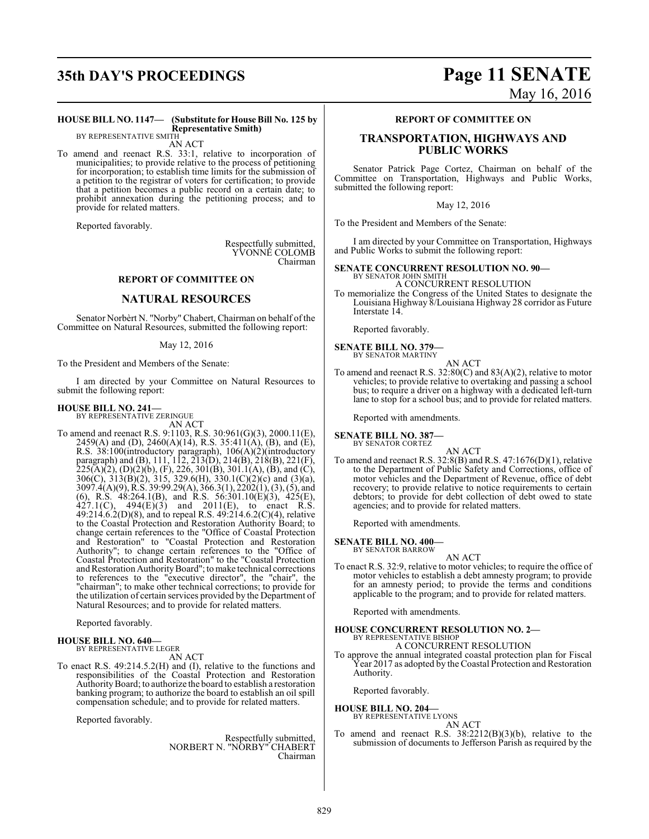## **35th DAY'S PROCEEDINGS Page 11 SENATE**

# May 16, 2016

#### **HOUSE BILL NO. 1147— (Substitute for House Bill No. 125 by Representative Smith)** BY REPRESENTATIVE SMITH

AN ACT

To amend and reenact R.S. 33:1, relative to incorporation of municipalities; to provide relative to the process of petitioning for incorporation; to establish time limits for the submission of a petition to the registrar of voters for certification; to provide that a petition becomes a public record on a certain date; to prohibit annexation during the petitioning process; and to provide for related matters.

Reported favorably.

Respectfully submitted, YVONNE COLOMB Chairman

### **REPORT OF COMMITTEE ON**

### **NATURAL RESOURCES**

Senator Norbèrt N. "Norby" Chabert, Chairman on behalf ofthe Committee on Natural Resources, submitted the following report:

May 12, 2016

To the President and Members of the Senate:

I am directed by your Committee on Natural Resources to submit the following report:

#### **HOUSE BILL NO. 241—** BY REPRESENTATIVE ZERINGUE

AN ACT

To amend and reenact R.S. 9:1103, R.S. 30:961(G)(3), 2000.11(E), 2459(A) and (D), 2460(A)(14), R.S. 35:411(A), (B), and (E), R.S. 38:100(introductory paragraph), 106(A)(2)(introductory paragraph) and (B), 111, 112, 213(D), 214(B), 218(B), 221(F),  $225(A)(2)$ , (D)(2)(b), (F), 226, 301(B), 301.1(A), (B), and (C), 306(C), 313(B)(2), 315, 329.6(H), 330.1(C)(2)(c) and (3)(a), 3097.4(A)(9), R.S. 39:99.29(A), 366.3(1), 2202(1), (3), (5), and (6), R.S. 48:264.1(B), and R.S. 56:301.10(E)(3), 425(E),  $427.1(C)$ ,  $494(E)(3)$  and  $2011(E)$ , to enact R.S. 49:214.6.2(D)(8), and to repeal R.S.  $49:214.6.2(C)(4)$ , relative to the Coastal Protection and Restoration Authority Board; to change certain references to the "Office of Coastal Protection and Restoration" to "Coastal Protection and Restoration Authority"; to change certain references to the "Office of Coastal Protection and Restoration" to the "Coastal Protection and Restoration Authority Board"; to make technical corrections to references to the "executive director", the "chair", the "chairman"; to make other technical corrections; to provide for the utilization of certain services provided by the Department of Natural Resources; and to provide for related matters.

Reported favorably.

### **HOUSE BILL NO. 640—** BY REPRESENTATIVE LEGER

AN ACT

To enact R.S. 49:214.5.2(H) and (I), relative to the functions and responsibilities of the Coastal Protection and Restoration AuthorityBoard; to authorize the board to establish a restoration banking program; to authorize the board to establish an oil spill compensation schedule; and to provide for related matters.

Reported favorably.

Respectfully submitted, NORBERT N. "NORBY" CHABERT Chairman

### **REPORT OF COMMITTEE ON**

### **TRANSPORTATION, HIGHWAYS AND PUBLIC WORKS**

Senator Patrick Page Cortez, Chairman on behalf of the Committee on Transportation, Highways and Public Works, submitted the following report:

May 12, 2016

To the President and Members of the Senate:

I am directed by your Committee on Transportation, Highways and Public Works to submit the following report:

### **SENATE CONCURRENT RESOLUTION NO. 90—**

BY SENATOR JOHN SMITH A CONCURRENT RESOLUTION

To memorialize the Congress of the United States to designate the Louisiana Highway 8/Louisiana Highway 28 corridor as Future Interstate 14.

Reported favorably.

**SENATE BILL NO. 379—** BY SENATOR MARTINY

AN ACT

To amend and reenact R.S. 32:80(C) and 83(A)(2), relative to motor vehicles; to provide relative to overtaking and passing a school bus; to require a driver on a highway with a dedicated left-turn lane to stop for a school bus; and to provide for related matters.

Reported with amendments.

**SENATE BILL NO. 387—**

BY SENATOR CORTEZ AN ACT

To amend and reenact R.S. 32:8(B) and R.S. 47:1676(D)(1), relative to the Department of Public Safety and Corrections, office of motor vehicles and the Department of Revenue, office of debt recovery; to provide relative to notice requirements to certain debtors; to provide for debt collection of debt owed to state agencies; and to provide for related matters.

Reported with amendments.

**SENATE BILL NO. 400—**

#### BY SENATOR BARROW

AN ACT To enact R.S. 32:9, relative to motor vehicles; to require the office of motor vehicles to establish a debt amnesty program; to provide for an amnesty period; to provide the terms and conditions applicable to the program; and to provide for related matters.

Reported with amendments.

# **HOUSE CONCURRENT RESOLUTION NO. 2—** BY REPRESENTATIVE BISHOP

A CONCURRENT RESOLUTION

To approve the annual integrated coastal protection plan for Fiscal Year 2017 as adopted by the Coastal Protection and Restoration Authority.

Reported favorably.

### **HOUSE BILL NO. 204—** BY REPRESENTATIVE LYONS

AN ACT

To amend and reenact R.S. 38:2212(B)(3)(b), relative to the submission of documents to Jefferson Parish as required by the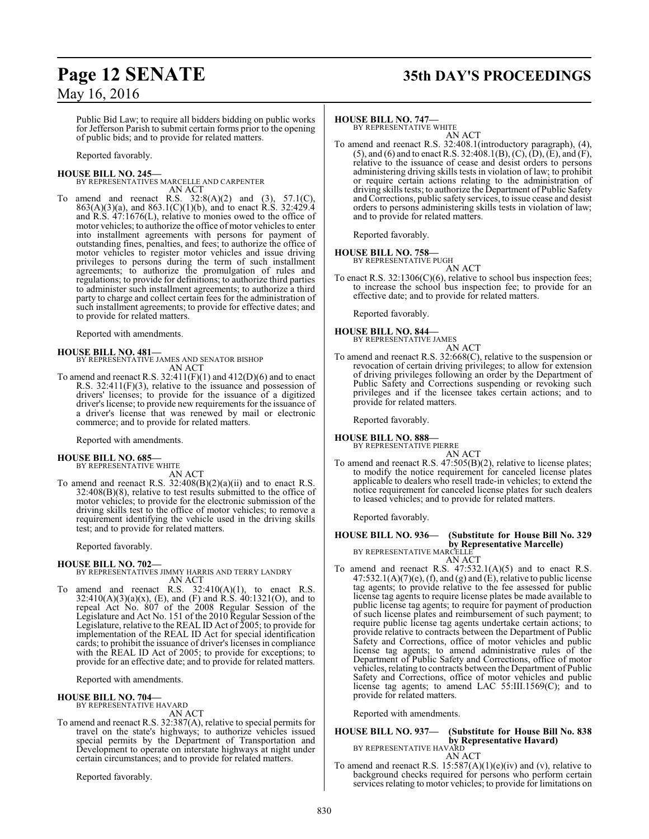# **Page 12 SENATE 35th DAY'S PROCEEDINGS**

### May 16, 2016

Public Bid Law; to require all bidders bidding on public works for Jefferson Parish to submit certain forms prior to the opening of public bids; and to provide for related matters.

Reported favorably.

### **HOUSE BILL NO. 245—**

BY REPRESENTATIVES MARCELLE AND CARPENTER AN ACT

To amend and reenact R.S.  $32:8(A)(2)$  and  $(3)$ ,  $57.1(C)$ , 863(A)(3)(a), and 863.1(C)(1)(b), and to enact R.S. 32:429.4 and R.S. 47:1676(L), relative to monies owed to the office of motor vehicles; to authorize the office of motor vehicles to enter into installment agreements with persons for payment of outstanding fines, penalties, and fees; to authorize the office of motor vehicles to register motor vehicles and issue driving privileges to persons during the term of such installment agreements; to authorize the promulgation of rules and regulations; to provide for definitions; to authorize third parties to administer such installment agreements; to authorize a third party to charge and collect certain fees for the administration of such installment agreements; to provide for effective dates; and to provide for related matters.

Reported with amendments.

### **HOUSE BILL NO. 481—**

BY REPRESENTATIVE JAMES AND SENATOR BISHOP AN ACT

To amend and reenact R.S.  $32:411(F)(1)$  and  $412(D)(6)$  and to enact R.S. 32:411(F)(3), relative to the issuance and possession of drivers' licenses; to provide for the issuance of a digitized driver's license; to provide new requirements for the issuance of a driver's license that was renewed by mail or electronic commerce; and to provide for related matters.

Reported with amendments.

#### **HOUSE BILL NO. 685—** BY REPRESENTATIVE WHITE

AN ACT

To amend and reenact R.S. 32:408(B)(2)(a)(ii) and to enact R.S. 32:408(B)(8), relative to test results submitted to the office of motor vehicles; to provide for the electronic submission of the driving skills test to the office of motor vehicles; to remove a requirement identifying the vehicle used in the driving skills test; and to provide for related matters.

Reported favorably.

### **HOUSE BILL NO. 702—** BY REPRESENTATIVES JIMMY HARRIS AND TERRY LANDRY AN ACT

To amend and reenact R.S.  $32:410(A)(1)$ , to enact R.S. 32:410(A)(3)(a)(x), (E), and (F) and R.S. 40:1321(O), and to repeal Act No. 807 of the 2008 Regular Session of the Legislature and Act No. 151 of the 2010 Regular Session of the Legislature, relative to the REAL ID Act of 2005; to provide for implementation of the REAL ID Act for special identification cards; to prohibit the issuance of driver's licenses in compliance with the REAL ID Act of 2005; to provide for exceptions; to provide for an effective date; and to provide for related matters.

Reported with amendments.

**HOUSE BILL NO. 704—** BY REPRESENTATIVE HAVARD AN ACT

To amend and reenact R.S. 32:387(A), relative to special permits for travel on the state's highways; to authorize vehicles issued special permits by the Department of Transportation and Development to operate on interstate highways at night under certain circumstances; and to provide for related matters.

Reported favorably.

### **HOUSE BILL NO. 747—**

BY REPRESENTATIVE WHITE AN ACT

To amend and reenact R.S. 32:408.1(introductory paragraph), (4), (5), and (6) and to enact R.S. 32:408.1(B), (C), (D), (E), and (F), relative to the issuance of cease and desist orders to persons administering driving skills tests in violation of law; to prohibit or require certain actions relating to the administration of driving skills tests; to authorize the Department of Public Safety and Corrections, public safety services, to issue cease and desist orders to persons administering skills tests in violation of law; and to provide for related matters.

Reported favorably.

## **HOUSE BILL NO. 758—** BY REPRESENTATIVE PUGH

AN ACT To enact R.S. 32:1306(C)(6), relative to school bus inspection fees; to increase the school bus inspection fee; to provide for an effective date; and to provide for related matters.

Reported favorably.

#### **HOUSE BILL NO. 844—** BY REPRESENTATIVE JAMES

AN ACT

To amend and reenact R.S. 32:668(C), relative to the suspension or revocation of certain driving privileges; to allow for extension of driving privileges following an order by the Department of Public Safety and Corrections suspending or revoking such privileges and if the licensee takes certain actions; and to provide for related matters.

Reported favorably.

**HOUSE BILL NO. 888—** BY REPRESENTATIVE PIERRE

AN ACT

To amend and reenact R.S. 47:505(B)(2), relative to license plates; to modify the notice requirement for canceled license plates applicable to dealers who resell trade-in vehicles; to extend the notice requirement for canceled license plates for such dealers to leased vehicles; and to provide for related matters.

Reported favorably.

### **HOUSE BILL NO. 936— (Substitute for House Bill No. 329 by Representative Marcelle)**<br>BY REPRESENTATIVE MARCELLE

AN ACT

To amend and reenact R.S. 47:532.1(A)(5) and to enact R.S.  $47:532.1(A)(7)(e)$ , (f), and (g) and (E), relative to public license tag agents; to provide relative to the fee assessed for public license tag agents to require license plates be made available to public license tag agents; to require for payment of production of such license plates and reimbursement of such payment; to require public license tag agents undertake certain actions; to provide relative to contracts between the Department of Public Safety and Corrections, office of motor vehicles and public license tag agents; to amend administrative rules of the Department of Public Safety and Corrections, office of motor vehicles, relating to contracts between the Department of Public Safety and Corrections, office of motor vehicles and public license tag agents; to amend LAC 55:III.1569(C); and to provide for related matters.

Reported with amendments.

# **HOUSE BILL NO. 937— (Substitute for House Bill No. 838 by Representative Havard)**<br>BY REPRESENTATIVE HAVARD<br>AN ACT

To amend and reenact R.S.  $15:587(A)(1)(e)(iv)$  and (v), relative to background checks required for persons who perform certain services relating to motor vehicles; to provide for limitations on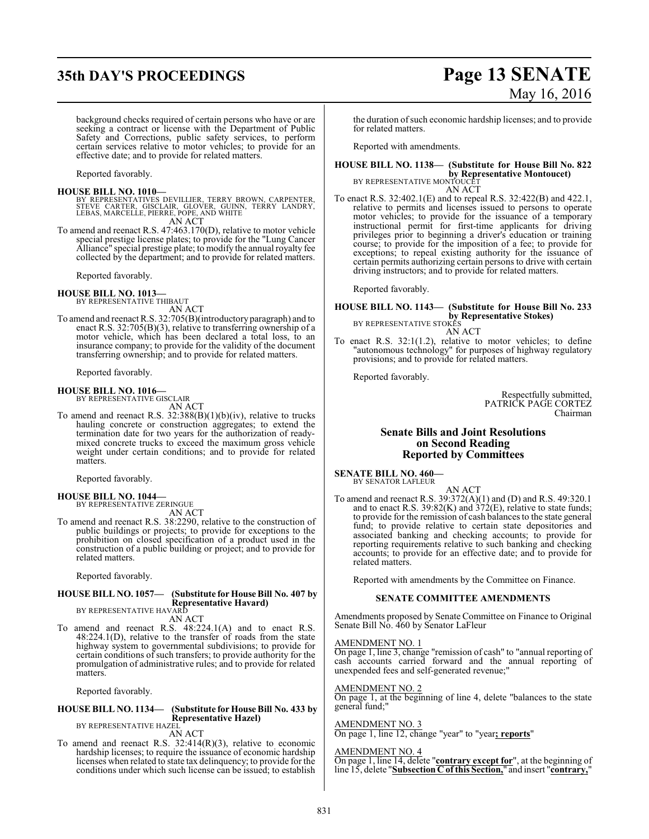## **35th DAY'S PROCEEDINGS Page 13 SENATE**

# May 16, 2016

background checks required of certain persons who have or are seeking a contract or license with the Department of Public Safety and Corrections, public safety services, to perform certain services relative to motor vehicles; to provide for an effective date; and to provide for related matters.

Reported favorably.

**HOUSE BILL NO. 1010—** BY REPRESENTATIVES DEVILLIER, TERRY BROWN, CARPENTER, STEVE CARTER, GISCLAIR, GLOVER, GUINN, TERRY LANDRY, LEBAS, MARCELLE, PIERRE, POPE, AND WHITE AN ACT

To amend and reenact R.S. 47:463.170(D), relative to motor vehicle To amend and reenact R.S. 47:463.170(D), relative to motor vehicle special prestige license plates; to provide for the "Lung Cancer Alliance" special prestige plate; to modify the annual royalty fee collected by the department; and to provide for related matters.

Reported favorably.

### **HOUSE BILL NO. 1013—**

BY REPRESENTATIVE THIBAUT AN ACT

To amend and reenact R.S. 32:705(B)(introductory paragraph) and to enact R.S. 32:705(B)(3), relative to transferring ownership of a motor vehicle, which has been declared a total loss, to an insurance company; to provide for the validity of the document transferring ownership; and to provide for related matters.

Reported favorably.

### **HOUSE BILL NO. 1016—** BY REPRESENTATIVE GISCLAIR

AN ACT

To amend and reenact R.S. 32:388(B)(1)(b)(iv), relative to trucks hauling concrete or construction aggregates; to extend the termination date for two years for the authorization of readymixed concrete trucks to exceed the maximum gross vehicle weight under certain conditions; and to provide for related matters.

Reported favorably.

#### **HOUSE BILL NO. 1044—** BY REPRESENTATIVE ZERINGUE

AN ACT

To amend and reenact R.S. 38:2290, relative to the construction of public buildings or projects; to provide for exceptions to the prohibition on closed specification of a product used in the construction of a public building or project; and to provide for related matters.

Reported favorably.

#### **HOUSE BILL NO. 1057— (Substitute for House Bill No. 407 by Representative Havard)** BY REPRESENTATIVE HAVARD

AN ACT

To amend and reenact R.S. 48:224.1(A) and to enact R.S. 48:224.1(D), relative to the transfer of roads from the state highway system to governmental subdivisions; to provide for certain conditions of such transfers; to provide authority for the promulgation of administrative rules; and to provide for related matters.

Reported favorably.

#### **HOUSE BILL NO. 1134— (Substitute for House Bill No. 433 by Representative Hazel)** BY REPRESENTATIVE HAZEL

AN ACT

To amend and reenact R.S. 32:414(R)(3), relative to economic hardship licenses; to require the issuance of economic hardship licenses when related to state tax delinquency; to provide for the conditions under which such license can be issued; to establish

the duration ofsuch economic hardship licenses; and to provide for related matters.

Reported with amendments.

### **HOUSE BILL NO. 1138— (Substitute for House Bill No. 822 by Representative Montoucet**)<br>BY REPRESENTATIVE MONTOUCET

AN ACT To enact R.S. 32:402.1(E) and to repeal R.S. 32:422(B) and 422.1, relative to permits and licenses issued to persons to operate motor vehicles; to provide for the issuance of a temporary instructional permit for first-time applicants for driving privileges prior to beginning a driver's education or training course; to provide for the imposition of a fee; to provide for exceptions; to repeal existing authority for the issuance of certain permits authorizing certain persons to drive with certain driving instructors; and to provide for related matters.

Reported favorably.

#### **HOUSE BILL NO. 1143— (Substitute for House Bill No. 233 by Representative Stokes)** BY REPRESENTATIVE STOKES

AN ACT

To enact R.S. 32:1(1.2), relative to motor vehicles; to define "autonomous technology" for purposes of highway regulatory provisions; and to provide for related matters.

Reported favorably.

Respectfully submitted, PATRICK PAGE CORTEZ Chairman

### **Senate Bills and Joint Resolutions on Second Reading Reported by Committees**

**SENATE BILL NO. 460—** BY SENATOR LAFLEUR

AN ACT

To amend and reenact R.S. 39:372(A)(1) and (D) and R.S. 49:320.1 and to enact R.S. 39:82(K) and 372(E), relative to state funds; to provide for the remission of cash balances to the state general fund; to provide relative to certain state depositories and associated banking and checking accounts; to provide for reporting requirements relative to such banking and checking accounts; to provide for an effective date; and to provide for related matters.

Reported with amendments by the Committee on Finance.

### **SENATE COMMITTEE AMENDMENTS**

Amendments proposed by Senate Committee on Finance to Original Senate Bill No. 460 by Senator LaFleur

#### AMENDMENT NO. 1

On page 1, line 3, change "remission of cash" to "annual reporting of cash accounts carried forward and the annual reporting of unexpended fees and self-generated revenue;

### AMENDMENT NO. 2

On page 1, at the beginning of line 4, delete "balances to the state general fund;"

### AMENDMENT NO. 3

On page 1, line 12, change "year" to "year**; reports**"

#### AMENDMENT NO. 4

On page 1, line 14, delete "**contrary except for**", at the beginning of line 15, delete "**Subsection C of this Section,**" and insert "**contrary,**"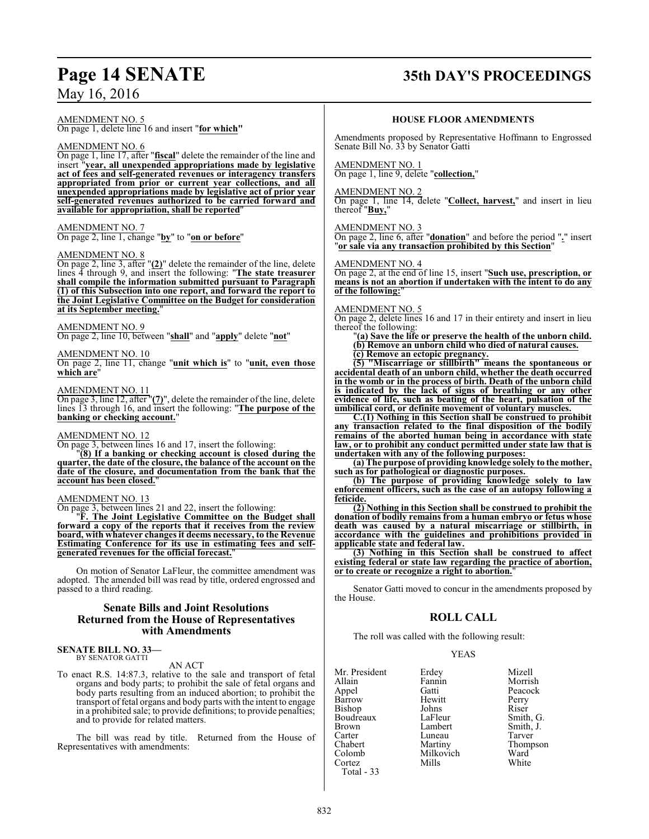## **Page 14 SENATE 35th DAY'S PROCEEDINGS**

AMENDMENT NO. 5

On page 1, delete line 16 and insert "**for which"**

### AMENDMENT NO. 6

On page 1, line 17, after "**fiscal**" delete the remainder of the line and insert "**year, all unexpended appropriations made by legislative act of fees and self-generated revenues or interagency transfers appropriated from prior or current year collections, and all unexpended appropriations made by legislative act of prior year self-generated revenues authorized to be carried forward and available for appropriation, shall be reported**"

### AMENDMENT NO. 7

On page 2, line 1, change "**by**" to "**on or before**"

### AMENDMENT NO. 8

On page 2, line 3, after "**(2)**" delete the remainder of the line, delete lines 4 through 9, and insert the following: "**The state treasurer shall compile the information submitted pursuant to Paragraph (1) of this Subsection into one report, and forward the report to the Joint Legislative Committee on the Budget for consideration at its September meeting.**"

AMENDMENT NO. 9 On page 2, line 10, between "**shall**" and "**apply**" delete "**not**"

AMENDMENT NO. 10

On page 2, line 11, change "**unit which is**" to "**unit, even those which are**"

### AMENDMENT NO. 11

On page 3, line 12, after "**(7)**", delete the remainder of the line, delete lines 13 through 16, and insert the following: "**The purpose of the banking or checking account.**"

### AMENDMENT NO. 12

On page 3, between lines 16 and 17, insert the following:

"**(8) If a banking or checking account is closed during the quarter, the date of the closure, the balance of the account on the date of the closure, and documentation from the bank that the account has been closed.**"

### AMENDMENT NO. 13

On page 3, between lines 21 and 22, insert the following:

"**F. The Joint Legislative Committee on the Budget shall forward a copy of the reports that it receives from the review board, with whatever changes it deems necessary, to the Revenue Estimating Conference for its use in estimating fees and selfgenerated revenues for the official forecast.**"

On motion of Senator LaFleur, the committee amendment was adopted. The amended bill was read by title, ordered engrossed and passed to a third reading.

### **Senate Bills and Joint Resolutions Returned from the House of Representatives with Amendments**

#### **SENATE BILL NO. 33—** BY SENATOR GATTI

AN ACT

To enact R.S. 14:87.3, relative to the sale and transport of fetal organs and body parts; to prohibit the sale of fetal organs and body parts resulting from an induced abortion; to prohibit the transport of fetal organs and body parts with the intent to engage in a prohibited sale; to provide definitions; to provide penalties; and to provide for related matters.

The bill was read by title. Returned from the House of Representatives with amendments:

### **HOUSE FLOOR AMENDMENTS**

Amendments proposed by Representative Hoffmann to Engrossed Senate Bill No. 33 by Senator Gatti

### AMENDMENT NO. 1

On page 1, line 9, delete "**collection,**"

### AMENDMENT NO. 2

On page 1, line 14, delete "**Collect, harvest,**" and insert in lieu thereof "**Buy,**"

### AMENDMENT NO. 3

On page 2, line 6, after "**donation**" and before the period "**.**" insert "**or sale via any transaction prohibited by this Section**"

### AMENDMENT NO. 4

On page 2, at the end of line 15, insert "**Such use, prescription, or means is not an abortion if undertaken with the intent to do any of the following:**"

### AMENDMENT NO. 5

On page 2, delete lines 16 and 17 in their entirety and insert in lieu thereof the following:

"**(a) Save the life or preserve the health of the unborn child. (b) Remove an unborn child who died of natural causes. (c) Remove an ectopic pregnancy.**

**(5) "Miscarriage or stillbirth" means the spontaneous or**

**accidental death of an unborn child, whether the death occurred in the womb or in the process of birth. Death of the unborn child is indicated by the lack of signs of breathing or any other evidence of life, such as beating of the heart, pulsation of the umbilical cord, or definite movement of voluntary muscles.**

**C.(1) Nothing in this Section shall be construed to prohibit any transaction related to the final disposition of the bodily remains of the aborted human being in accordance with state law, or to prohibit any conduct permitted under state law that is undertaken with any of the following purposes:** 

**(a) The purpose of providing knowledge solely to the mother, such as for pathological or diagnostic purposes.** 

**(b) The purpose of providing knowledge solely to law enforcement officers, such as the case of an autopsy following a feticide.**

**(2) Nothing in this Section shall be construed to prohibit the donation of bodily remains from a human embryo or fetus whose death was caused by a natural miscarriage or stillbirth, in accordance with the guidelines and prohibitions provided in applicable state and federal law.**

**(3) Nothing in this Section shall be construed to affect existing federal or state law regarding the practice of abortion, or to create or recognize a right to abortion.**"

Senator Gatti moved to concur in the amendments proposed by the House.

### **ROLL CALL**

The roll was called with the following result:

### YEAS

Tarver Thompson<br>Ward

| Mr. President | Erdey     | Mizell          |
|---------------|-----------|-----------------|
| Allain        | Fannin    | Morrish         |
| Appel         | Gatti     | Peacock         |
| Barrow        | Hewitt    | Perry           |
| Bishop        | Johns     | Riser           |
| Boudreaux     | LaFleur   | Smith, G.       |
| <b>Brown</b>  | Lambert   | Smith, J.       |
| Carter        | Luneau    | Tarver          |
| Chabert       | Martiny   | <b>Thompson</b> |
| Colomb        | Milkovich | Ward            |
| Cortez        | Mills     | White           |
| Total - 33    |           |                 |
|               |           |                 |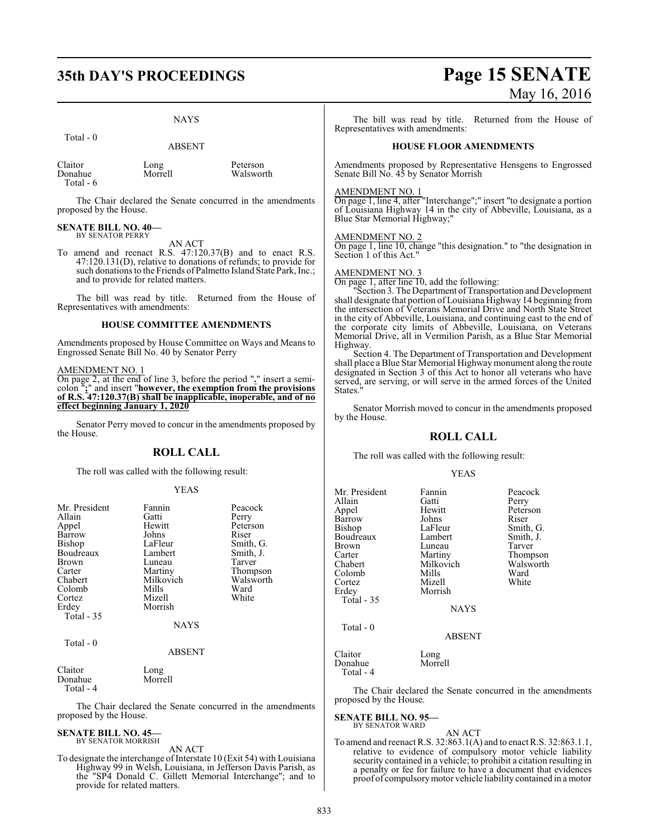# **35th DAY'S PROCEEDINGS Page 15 SENATE**

### NAYS

Peterson Walsworth

|                                 | <b>ABSENT</b>   |  |  |
|---------------------------------|-----------------|--|--|
| Claitor<br>Donahue<br>Total - 6 | Long<br>Morrell |  |  |

The Chair declared the Senate concurred in the amendments proposed by the House.

#### **SENATE BILL NO. 40—** BY SENATOR PERRY

Total - 0

AN ACT

To amend and reenact R.S. 47:120.37(B) and to enact R.S. 47:120.131(D), relative to donations of refunds; to provide for such donations to the Friends of Palmetto Island State Park, Inc.; and to provide for related matters.

The bill was read by title. Returned from the House of Representatives with amendments:

### **HOUSE COMMITTEE AMENDMENTS**

Amendments proposed by House Committee on Ways and Means to Engrossed Senate Bill No. 40 by Senator Perry

### AMENDMENT NO. 1

On page 2, at the end of line 3, before the period "**.**" insert a semicolon "**;**" and insert "**however, the exemption from the provisions of R.S. 47:120.37(B) shall be inapplicable, inoperable, and of no effect beginning January 1, 2020**

Senator Perry moved to concur in the amendments proposed by the House.

### **ROLL CALL**

The roll was called with the following result:

### YEAS

| Mr. President<br>Allain<br>Appel<br>Barrow<br>Bishop<br>Boudreaux<br>Brown<br>Carter<br>Chabert<br>Colomb<br>Cortez<br>Erdey<br>Total $-35$ | Fannin<br>Gatti<br>Hewitt<br>Johns<br>LaFleur<br>Lambert<br>Luneau<br>Martiny<br>Milkovich<br>Mills<br>Mizell<br>Morrish | Peacock<br>Perry<br>Peterson<br>Riser<br>Smith, G.<br>Smith, J.<br>Tarver<br>Thompson<br>Walsworth<br>Ward<br>White |
|---------------------------------------------------------------------------------------------------------------------------------------------|--------------------------------------------------------------------------------------------------------------------------|---------------------------------------------------------------------------------------------------------------------|
|                                                                                                                                             | <b>NAYS</b>                                                                                                              |                                                                                                                     |
| Total $-0$                                                                                                                                  | <b>ABSENT</b>                                                                                                            |                                                                                                                     |
| Claitor                                                                                                                                     | Long                                                                                                                     |                                                                                                                     |

Donahue Morrell Total - 4

The Chair declared the Senate concurred in the amendments proposed by the House.

### **SENATE BILL NO. 45—** BY SENATOR MORRISH

AN ACT

To designate the interchange of Interstate 10 (Exit 54) with Louisiana Highway 99 in Welsh, Louisiana, in Jefferson Davis Parish, as the "SP4 Donald C. Gillett Memorial Interchange"; and to provide for related matters.

# May 16, 2016

The bill was read by title. Returned from the House of Representatives with amendments:

### **HOUSE FLOOR AMENDMENTS**

Amendments proposed by Representative Hensgens to Engrossed Senate Bill No. 45 by Senator Morrish

### AMENDMENT NO. 1

On page 1, line 4, after "Interchange";" insert "to designate a portion of Louisiana Highway 14 in the city of Abbeville, Louisiana, as a Blue Star Memorial Highway;"

### AMENDMENT NO. 2

On page 1, line 10, change "this designation." to "the designation in Section 1 of this Act."

### AMENDMENT NO. 3

On page 1, after line 10, add the following:

"Section 3. The Department of Transportation and Development shall designate that portion of Louisiana Highway 14 beginning from the intersection of Veterans Memorial Drive and North State Street in the city of Abbeville, Louisiana, and continuing east to the end of the corporate city limits of Abbeville, Louisiana, on Veterans Memorial Drive, all in Vermilion Parish, as a Blue Star Memorial Highway.

Section 4. The Department of Transportation and Development shall place a Blue Star Memorial Highway monument along the route designated in Section 3 of this Act to honor all veterans who have served, are serving, or will serve in the armed forces of the United States.

Senator Morrish moved to concur in the amendments proposed by the House.

### **ROLL CALL**

The roll was called with the following result:

### YEAS

Thompson Walsworth<br>Ward

| Mr. President<br>Allain<br>Appel<br>Barrow<br>Bishop<br>Boudreaux<br><b>Brown</b><br>Carter<br>Chabert<br>Colomb<br>Cortez<br>Erdey<br>Total $-35$ | Fannin<br>Gatti<br>Hewitt<br>Johns<br>LaFleur<br>Lambert<br>Luneau<br>Martiny<br>Milkovich<br>Mills<br>Mizell<br>Morrish<br><b>NAYS</b> | Peacock<br>Perry<br>Peterson<br>Riser<br>Smith, G.<br>Smith, J.<br>Tarver<br>Thompson<br>Walswort<br>Ward<br>White |
|----------------------------------------------------------------------------------------------------------------------------------------------------|-----------------------------------------------------------------------------------------------------------------------------------------|--------------------------------------------------------------------------------------------------------------------|
| Total $-0$                                                                                                                                         | <b>ABSENT</b>                                                                                                                           |                                                                                                                    |
| Claitor<br>Donahue<br>Total - 4                                                                                                                    | Long<br>Morrell                                                                                                                         |                                                                                                                    |

The Chair declared the Senate concurred in the amendments proposed by the House.

#### **SENATE BILL NO. 95—** BY SENATOR WARD

AN ACT

To amend and reenact R.S. 32:863.1(A) and to enact R.S. 32:863.1.1, relative to evidence of compulsory motor vehicle liability security contained in a vehicle; to prohibit a citation resulting in a penalty or fee for failure to have a document that evidences proof of compulsorymotor vehicle liability contained in a motor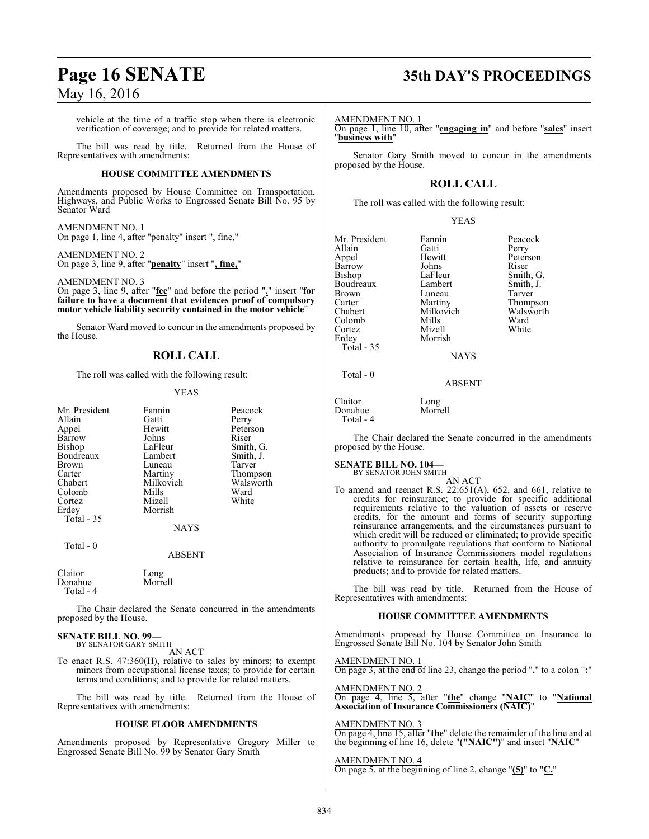vehicle at the time of a traffic stop when there is electronic verification of coverage; and to provide for related matters.

The bill was read by title. Returned from the House of Representatives with amendments:

### **HOUSE COMMITTEE AMENDMENTS**

Amendments proposed by House Committee on Transportation, Highways, and Public Works to Engrossed Senate Bill No. 95 by Senator Ward

### AMENDMENT NO. 1

On page 1, line 4, after "penalty" insert ", fine,"

### AMENDMENT NO. 2

On page 3, line 9, after "**penalty**" insert "**, fine,**"

AMENDMENT NO. 3

On page 3, line 9, after "**fee**" and before the period "**.**" insert "**for failure to have a document that evidences proof of compulsory motor vehicle liability security contained in the motor vehicle**"

Senator Ward moved to concur in the amendments proposed by the House.

### **ROLL CALL**

The roll was called with the following result:

### YEAS

| Mr. President     | Fannin    | Peacock   |
|-------------------|-----------|-----------|
| Allain            | Gatti     | Perry     |
| Appel             | Hewitt    | Peterson  |
| Barrow            | Johns     | Riser     |
| Bishop            | LaFleur   | Smith, G. |
| Boudreaux         | Lambert   | Smith, J. |
| <b>Brown</b>      | Luneau    | Tarver    |
| Carter            | Martiny   | Thompson  |
| Chabert           | Milkovich | Walsworth |
| Colomb            | Mills     | Ward      |
| Cortez            | Mizell    | White     |
| Erdey             | Morrish   |           |
| <b>Total - 35</b> |           |           |
|                   | NAYS      |           |
| Total - 0         |           |           |
|                   | ABSENT    |           |
|                   |           |           |

Claitor Long Donahue Total - 4

The Chair declared the Senate concurred in the amendments proposed by the House.

### **SENATE BILL NO. 99—** BY SENATOR GARY SMITH

AN ACT

To enact R.S. 47:360(H), relative to sales by minors; to exempt minors from occupational license taxes; to provide for certain terms and conditions; and to provide for related matters.

The bill was read by title. Returned from the House of Representatives with amendments:

### **HOUSE FLOOR AMENDMENTS**

Amendments proposed by Representative Gregory Miller to Engrossed Senate Bill No. 99 by Senator Gary Smith

## **Page 16 SENATE 35th DAY'S PROCEEDINGS**

AMENDMENT NO. 1

On page 1, line 10, after "**engaging in**" and before "**sales**" insert "**business with**"

Senator Gary Smith moved to concur in the amendments proposed by the House.

### **ROLL CALL**

The roll was called with the following result:

### YEAS

| Mr. President | Fannin      | Peacock   |
|---------------|-------------|-----------|
| Allain        | Gatti       | Perry     |
| Appel         | Hewitt      | Peterson  |
| Barrow        | Johns       | Riser     |
| Bishop        | LaFleur     | Smith, G. |
| Boudreaux     | Lambert     | Smith, J. |
| <b>Brown</b>  | Luneau      | Tarver    |
| Carter        | Martiny     | Thompson  |
| Chabert       | Milkovich   | Walsworth |
| Colomb        | Mills       | Ward      |
| Cortez        | Mizell      | White     |
| Erdey         | Morrish     |           |
| Total - 35    |             |           |
|               | <b>NAYS</b> |           |
| Total - 0     |             |           |
|               | ABSENT      |           |

Claitor Long Donahue

Total - 4

The Chair declared the Senate concurred in the amendments proposed by the House.

### **SENATE BILL NO. 104—** BY SENATOR JOHN SMITH

AN ACT To amend and reenact R.S. 22:651(A), 652, and 661, relative to credits for reinsurance; to provide for specific additional requirements relative to the valuation of assets or reserve credits, for the amount and forms of security supporting reinsurance arrangements, and the circumstances pursuant to which credit will be reduced or eliminated; to provide specific authority to promulgate regulations that conform to National Association of Insurance Commissioners model regulations relative to reinsurance for certain health, life, and annuity products; and to provide for related matters.

The bill was read by title. Returned from the House of Representatives with amendments:

### **HOUSE COMMITTEE AMENDMENTS**

Amendments proposed by House Committee on Insurance to Engrossed Senate Bill No. 104 by Senator John Smith

AMENDMENT NO. 1 On page 3, at the end of line 23, change the period "**.**" to a colon "**:**"

AMENDMENT NO. 2 On page 4, line 5, after "**the**" change "**NAIC**" to "**National Association of Insurance Commissioners (NAIC)**"

### AMENDMENT NO. 3

On page 4, line 15, after "**the**" delete the remainder of the line and at the beginning of line 16, delete "**("NAIC")**" and insert "**NAIC**"

### AMENDMENT NO. 4

On page 5, at the beginning of line 2, change "**(5)**" to "**C.**"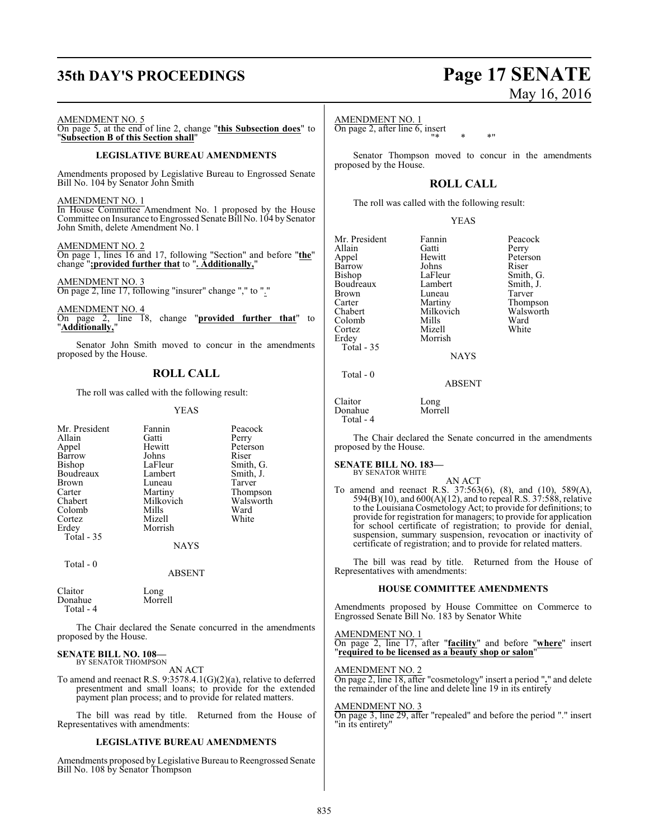## **35th DAY'S PROCEEDINGS Page 17 SENATE**

### AMENDMENT NO. 5

On page 5, at the end of line 2, change "**this Subsection does**" to "**Subsection B of this Section shall**"

### **LEGISLATIVE BUREAU AMENDMENTS**

Amendments proposed by Legislative Bureau to Engrossed Senate Bill No. 104 by Senator John Smith

AMENDMENT NO. 1

In House Committee Amendment No. 1 proposed by the House Committee on Insurance to Engrossed Senate Bill No. 104 by Senator John Smith, delete Amendment No. l

AMENDMENT NO. 2

On page 1, lines 16 and 17, following "Section" and before "**the**" change "**;provided further that** to "**. Additionally,**"

AMENDMENT NO. 3

On page 2, line 17, following "insurer" change "," to "."

AMENDMENT NO. 4 On page 2, line 18, change "**provided further that**" to "**Additionally,**"

Senator John Smith moved to concur in the amendments proposed by the House.

### **ROLL CALL**

The roll was called with the following result:

### YEAS

| Mr. President | Fannin        | Peacock   |
|---------------|---------------|-----------|
| Allain        | Gatti         | Perry     |
| Appel         | Hewitt        | Peterson  |
| Barrow        | Johns         | Riser     |
| Bishop        | LaFleur       | Smith, G. |
| Boudreaux     | Lambert       | Smith, J. |
| Brown         | Luneau        | Tarver    |
| Carter        | Martiny       | Thompson  |
| Chabert       | Milkovich     | Walsworth |
| Colomb        | Mills         | Ward      |
| Cortez        | Mizell        | White     |
| Erdey         | Morrish       |           |
| Total - 35    |               |           |
|               | <b>NAYS</b>   |           |
| Total $-0$    |               |           |
|               | <b>ABSENT</b> |           |
| Claitor       | Long          |           |

Donahue Morrell Total - 4

The Chair declared the Senate concurred in the amendments proposed by the House.

#### **SENATE BILL NO. 108—** BY SENATOR THOMPSON

AN ACT

To amend and reenact R.S. 9:3578.4.1(G)(2)(a), relative to deferred presentment and small loans; to provide for the extended payment plan process; and to provide for related matters.

The bill was read by title. Returned from the House of Representatives with amendments:

### **LEGISLATIVE BUREAU AMENDMENTS**

Amendments proposed by Legislative Bureau to Reengrossed Senate Bill No. 108 by Senator Thompson

# May 16, 2016

### AMENDMENT NO. 1

On page 2, after line 6, insert "\* \* \*"

Senator Thompson moved to concur in the amendments proposed by the House.

### **ROLL CALL**

The roll was called with the following result:

### YEAS

| Mr. President | Fannin      | Peacock   |
|---------------|-------------|-----------|
| Allain        | Gatti       | Perry     |
| Appel         | Hewitt      | Peterson  |
| Barrow        | Johns       | Riser     |
| <b>Bishop</b> | LaFleur     | Smith, G. |
| Boudreaux     | Lambert     | Smith, J. |
| <b>Brown</b>  | Luneau      | Tarver    |
| Carter        | Martiny     | Thompson  |
| Chabert       | Milkovich   | Walsworth |
| Colomb        | Mills       | Ward      |
| Cortez        | Mizell      | White     |
| Erdey         | Morrish     |           |
| Total - 35    |             |           |
|               | <b>NAYS</b> |           |
|               |             |           |
|               |             |           |

Total - 0

Claitor Long Donahue Total - 4

The Chair declared the Senate concurred in the amendments proposed by the House.

ABSENT

### **SENATE BILL NO. 183—** BY SENATOR WHITE

AN ACT To amend and reenact R.S. 37:563(6), (8), and (10), 589(A), 594(B)(10), and 600(A)(12), and to repeal R.S. 37:588, relative to the Louisiana Cosmetology Act; to provide for definitions; to provide for registration for managers; to provide for application for school certificate of registration; to provide for denial, suspension, summary suspension, revocation or inactivity of certificate of registration; and to provide for related matters.

The bill was read by title. Returned from the House of Representatives with amendments:

### **HOUSE COMMITTEE AMENDMENTS**

Amendments proposed by House Committee on Commerce to Engrossed Senate Bill No. 183 by Senator White

AMENDMENT NO. 1 On page 2, line 17, after "**facility**" and before "**where**" insert "**required to be licensed as a beauty shop or salon**"

### AMENDMENT NO. 2

On page 2, line 18, after "cosmetology" insert a period "**.**" and delete the remainder of the line and delete line 19 in its entirety

### AMENDMENT NO. 3

On page 3, line 29, after "repealed" and before the period "." insert "in its entirety"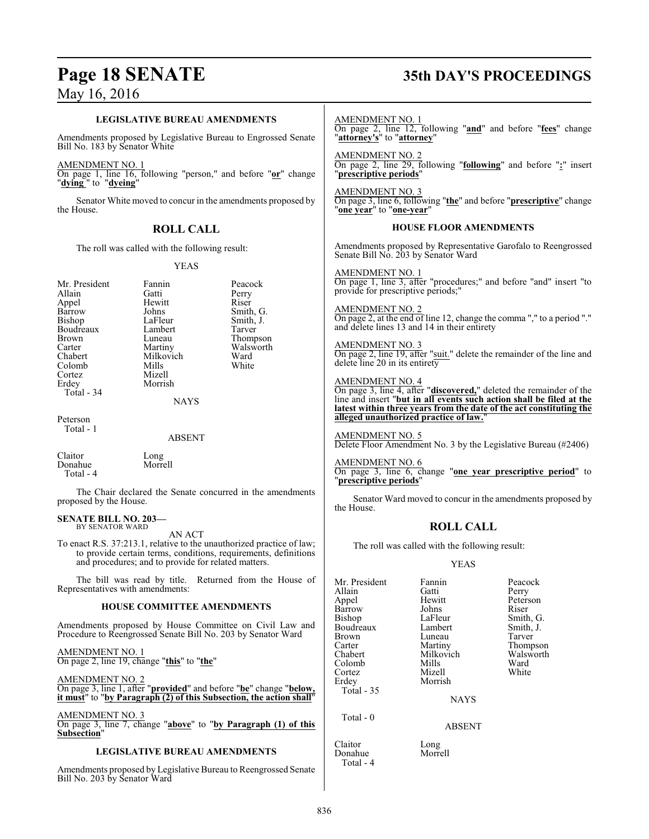# **Page 18 SENATE 35th DAY'S PROCEEDINGS**

Bill No. 203 by Senator Ward

| <b>LEGISLATIVE BUREAU AMENDMENTS</b>                                                                                                      |                                                     | <b>AMENDMENT NO. 1</b>                                                   | On page 2, line 12, following "and" and before "fees" change                              |                                                                                                                                                                                 |                    |
|-------------------------------------------------------------------------------------------------------------------------------------------|-----------------------------------------------------|--------------------------------------------------------------------------|-------------------------------------------------------------------------------------------|---------------------------------------------------------------------------------------------------------------------------------------------------------------------------------|--------------------|
| Amendments proposed by Legislative Bureau to Engrossed Senate<br>Bill No. 183 by Senator White                                            |                                                     | " <b>attorney's</b> " to " <b>attorney</b> "                             |                                                                                           |                                                                                                                                                                                 |                    |
|                                                                                                                                           |                                                     |                                                                          | <b>AMENDMENT NO. 2</b>                                                                    |                                                                                                                                                                                 |                    |
| AMENDMENT NO. 1<br>"dying" to "dyeing"                                                                                                    |                                                     | On page 1, line 16, following "person," and before "or" change           | On page 2, line 29, following "following" and before ":" insert<br>"prescriptive periods" |                                                                                                                                                                                 |                    |
| the House.                                                                                                                                |                                                     | Senator White moved to concur in the amendments proposed by              | <b>AMENDMENT NO. 3</b><br>"one year" to "one-year"                                        | On page 3, line 6, following " <b>the</b> " and before " <b>prescriptive</b> " change                                                                                           |                    |
|                                                                                                                                           | <b>ROLL CALL</b>                                    |                                                                          |                                                                                           | <b>HOUSE FLOOR AMENDMENTS</b>                                                                                                                                                   |                    |
|                                                                                                                                           | The roll was called with the following result:      |                                                                          | Senate Bill No. 203 by Senator Ward                                                       | Amendments proposed by Representative Garofalo to Reengrossed                                                                                                                   |                    |
|                                                                                                                                           | <b>YEAS</b>                                         |                                                                          |                                                                                           |                                                                                                                                                                                 |                    |
|                                                                                                                                           |                                                     |                                                                          | <b>AMENDMENT NO. 1</b>                                                                    | On page 1, line 3, after "procedures;" and before "and" insert "to                                                                                                              |                    |
| Mr. President<br>Allain                                                                                                                   | Fannin<br>Gatti                                     | Peacock<br>Perry                                                         | provide for prescriptive periods;"                                                        |                                                                                                                                                                                 |                    |
| Appel                                                                                                                                     | Hewitt                                              | Riser                                                                    |                                                                                           |                                                                                                                                                                                 |                    |
| Barrow<br>Bishop                                                                                                                          | Johns<br>LaFleur                                    | Smith, G.<br>Smith, J.                                                   | <b>AMENDMENT NO. 2</b>                                                                    | On page 2, at the end of line 12, change the comma "," to a period "."                                                                                                          |                    |
| Boudreaux                                                                                                                                 | Lambert                                             | Tarver                                                                   |                                                                                           | and delete lines 13 and 14 in their entirety                                                                                                                                    |                    |
| Brown                                                                                                                                     | Luneau                                              | Thompson<br>Walsworth                                                    | <b>AMENDMENT NO. 3</b>                                                                    |                                                                                                                                                                                 |                    |
| Carter<br>Chabert                                                                                                                         | Martiny<br>Milkovich                                | Ward                                                                     |                                                                                           | On page 2, line 19, after "suit." delete the remainder of the line and                                                                                                          |                    |
| Colomb                                                                                                                                    | Mills                                               | White                                                                    | delete line 20 in its entirety                                                            |                                                                                                                                                                                 |                    |
| Cortez<br>Erdey                                                                                                                           | Mizell<br>Morrish                                   |                                                                          |                                                                                           |                                                                                                                                                                                 |                    |
| Total - 34                                                                                                                                |                                                     |                                                                          |                                                                                           | AMENDMENT NO. 4<br>On page 3, line 4, after " <b>discovered</b> ," deleted the remainder of the<br>line and insert " <b>but in all events such action shall be filed at the</b> |                    |
|                                                                                                                                           | <b>NAYS</b>                                         |                                                                          |                                                                                           | latest within three years from the date of the act constituting the                                                                                                             |                    |
| Peterson                                                                                                                                  |                                                     |                                                                          | alleged unauthorized practice of law."                                                    |                                                                                                                                                                                 |                    |
| Total - 1                                                                                                                                 | <b>ABSENT</b>                                       |                                                                          | <b>AMENDMENT NO. 5</b>                                                                    | Delete Floor Amendment No. 3 by the Legislative Bureau (#2406)                                                                                                                  |                    |
| Claitor                                                                                                                                   | Long                                                |                                                                          |                                                                                           |                                                                                                                                                                                 |                    |
| Donahue<br>Total - 4                                                                                                                      | Morrell                                             |                                                                          | <b>AMENDMENT NO. 6</b><br>"prescriptive periods"                                          | On page 3, line 6, change "one year prescriptive period" to                                                                                                                     |                    |
|                                                                                                                                           |                                                     | The Chair declared the Senate concurred in the amendments                |                                                                                           |                                                                                                                                                                                 |                    |
| proposed by the House.                                                                                                                    |                                                     | Senator Ward moved to concur in the amendments proposed by<br>the House. |                                                                                           |                                                                                                                                                                                 |                    |
| <b>SENATE BILL NO. 203-</b><br>BY SENATOR WARD                                                                                            | AN ACT                                              |                                                                          | <b>ROLL CALL</b>                                                                          |                                                                                                                                                                                 |                    |
|                                                                                                                                           |                                                     | To enact R.S. 37:213.1, relative to the unauthorized practice of law;    | The roll was called with the following result:                                            |                                                                                                                                                                                 |                    |
|                                                                                                                                           | and procedures; and to provide for related matters. | to provide certain terms, conditions, requirements, definitions          | <b>YEAS</b>                                                                               |                                                                                                                                                                                 |                    |
| Representatives with amendments:                                                                                                          |                                                     | The bill was read by title. Returned from the House of   Mr. President   | Allain                                                                                    | Fannin<br>Gatti                                                                                                                                                                 | Peacock<br>Perry   |
|                                                                                                                                           |                                                     |                                                                          | Appel                                                                                     | Hewitt                                                                                                                                                                          | Peterson           |
|                                                                                                                                           | <b>HOUSE COMMITTEE AMENDMENTS</b>                   |                                                                          | Barrow<br>Bishop                                                                          | Johns<br>LaFleur                                                                                                                                                                | Riser<br>Smith, G. |
|                                                                                                                                           |                                                     | Amendments proposed by House Committee on Civil Law and                  | Boudreaux                                                                                 | Lambert                                                                                                                                                                         | Smith, J.          |
| Procedure to Reengrossed Senate Bill No. 203 by Senator Ward                                                                              |                                                     | <b>Brown</b><br>Carter                                                   | Luneau<br>Martiny                                                                         | Tarver<br>Thompson                                                                                                                                                              |                    |
| AMENDMENT NO. 1                                                                                                                           |                                                     | Chabert                                                                  | Milkovich                                                                                 | Walsworth                                                                                                                                                                       |                    |
| On page 2, line 19, change "this" to "the"                                                                                                |                                                     | Colomb                                                                   | <b>Mills</b><br>Mizell                                                                    | Ward<br>White                                                                                                                                                                   |                    |
| <b>AMENDMENT NO. 2</b>                                                                                                                    |                                                     | Cortez<br>Erdey                                                          | Morrish                                                                                   |                                                                                                                                                                                 |                    |
| On page 3, line 1, after "provided" and before "be" change "below,<br>it must" to "by Paragraph (2) of this Subsection, the action shall" |                                                     | Total - 35                                                               | <b>NAYS</b>                                                                               |                                                                                                                                                                                 |                    |
| <b>AMENDMENT NO. 3</b>                                                                                                                    |                                                     | Total - 0                                                                |                                                                                           |                                                                                                                                                                                 |                    |
| On page 3, line 7, change "above" to "by Paragraph (1) of this<br>Subsection"                                                             |                                                     |                                                                          | <b>ABSENT</b>                                                                             |                                                                                                                                                                                 |                    |
| <b>LEGISLATIVE BUREAU AMENDMENTS</b>                                                                                                      |                                                     | Claitor<br>Donahue                                                       | Long<br>Morrell                                                                           |                                                                                                                                                                                 |                    |
|                                                                                                                                           |                                                     | Amendments proposed by Legislative Bureau to Reengrossed Senate          | Total - 4                                                                                 |                                                                                                                                                                                 |                    |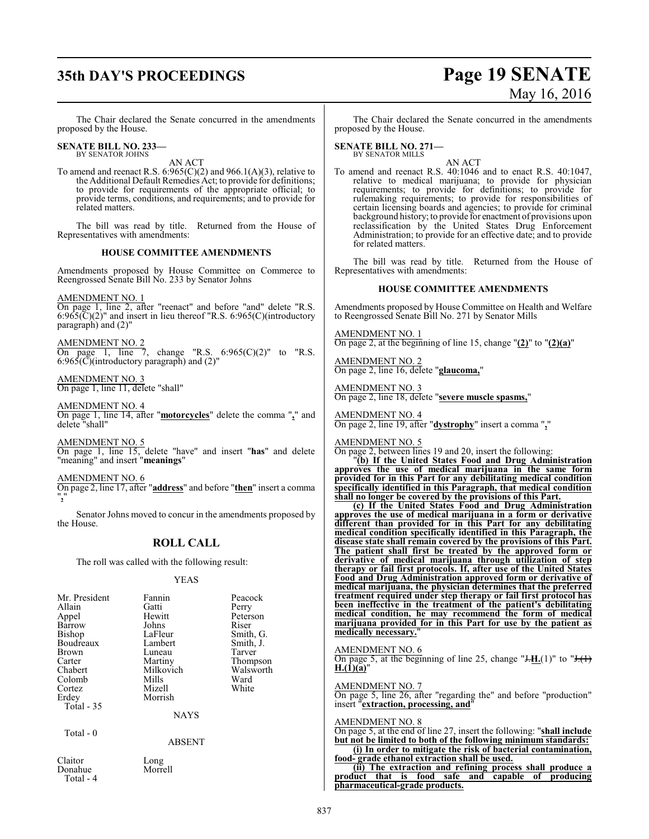# **35th DAY'S PROCEEDINGS Page 19 SENATE**

# May 16, 2016

The Chair declared the Senate concurred in the amendments proposed by the House.

#### **SENATE BILL NO. 233—** BY SENATOR JOHNS

AN ACT

To amend and reenact R.S. 6:965(C)(2) and 966.1(A)(3), relative to the Additional Default Remedies Act; to provide for definitions; to provide for requirements of the appropriate official; to provide terms, conditions, and requirements; and to provide for related matters.

The bill was read by title. Returned from the House of Representatives with amendments:

### **HOUSE COMMITTEE AMENDMENTS**

Amendments proposed by House Committee on Commerce to Reengrossed Senate Bill No. 233 by Senator Johns

### AMENDMENT NO. 1

On page 1, line 2, after "reenact" and before "and" delete "R.S.  $6:965(\text{C})(2)$ " and insert in lieu thereof "R.S.  $6:965(\text{C})(\text{introducing}$ paragraph) and (2)"

AMENDMENT NO. 2

On page 1, line 7, change "R.S.  $6:965(C)(2)$ " to "R.S.  $6:965(\overline{C})$ (introductory paragraph) and (2)"

AMENDMENT NO. 3 On page 1, line 11, delete "shall"

AMENDMENT NO. 4 On page 1, line 14, after "**motorcycles**" delete the comma "**,**" and delete "shall"

AMENDMENT NO. 5 On page 1, line 15, delete "have" and insert "**has**" and delete "meaning" and insert "**meanings**"

AMENDMENT NO. 6 On page 2, line 17, after "**address**" and before "**then**" insert a comma "**,**"

Senator Johns moved to concur in the amendments proposed by the House.

### **ROLL CALL**

The roll was called with the following result:

### YEAS

| Mr. President        | Fannin        | Peacock   |
|----------------------|---------------|-----------|
| Allain               | Gatti         | Perry     |
| Appel                | Hewitt        | Peterson  |
| Barrow               | Johns         | Riser     |
| Bishop               | LaFleur       | Smith, G. |
| Boudreaux            | Lambert       | Smith, J. |
| <b>Brown</b>         | Luneau        | Tarver    |
| Carter               | Martiny       | Thompson  |
| Chabert              | Milkovich     | Walsworth |
| Colomb               | Mills         | Ward      |
| Cortez               | Mizell        | White     |
| Erdey                | Morrish       |           |
| <b>Total - 35</b>    |               |           |
|                      | <b>NAYS</b>   |           |
| Total - 0            |               |           |
|                      | <b>ABSENT</b> |           |
| Claitor              | Long          |           |
| Donahue<br>Total - 4 | Morrell       |           |

The Chair declared the Senate concurred in the amendments proposed by the House.

**SENATE BILL NO. 271—** BY SENATOR MILLS

AN ACT

To amend and reenact R.S. 40:1046 and to enact R.S. 40:1047, relative to medical marijuana; to provide for physician requirements; to provide for definitions; to provide for rulemaking requirements; to provide for responsibilities of certain licensing boards and agencies; to provide for criminal background history; to provide for enactment of provisions upon reclassification by the United States Drug Enforcement Administration; to provide for an effective date; and to provide for related matters.

The bill was read by title. Returned from the House of Representatives with amendments:

### **HOUSE COMMITTEE AMENDMENTS**

Amendments proposed by House Committee on Health and Welfare to Reengrossed Senate Bill No. 271 by Senator Mills

AMENDMENT NO. 1 On page 2, at the beginning of line 15, change "**(2)**" to "**(2)(a)**"

AMENDMENT NO. 2 On page 2, line 16, delete "**glaucoma,**"

AMENDMENT NO. 3 On page 2, line 18, delete "**severe muscle spasms,**"

AMENDMENT NO. 4 On page 2, line 19, after "**dystrophy**" insert a comma "**,**"

AMENDMENT NO. 5

On page 2, between lines 19 and 20, insert the following:

"**(b) If the United States Food and Drug Administration approves the use of medical marijuana in the same form provided for in this Part for any debilitating medical condition specifically identified in this Paragraph, that medical condition shall no longer be covered by the provisions of this Part.**

**(c) If the United States Food and Drug Administration approves the use of medical marijuana in a form or derivative different than provided for in this Part for any debilitating medical condition specifically identified in this Paragraph, the disease state shall remain covered by the provisions of this Part. The patient shall first be treated by the approved form or derivative of medical marijuana through utilization of step therapy or fail first protocols. If, after use of the United States Food and Drug Administration approved form or derivative of medical marijuana, the physician determines that the preferred treatment required under step therapy or fail first protocol has been ineffective in the treatment of the patient's debilitating medical condition, he may recommend the form of medical marijuana provided for in this Part for use by the patient as medically necessary.**"

AMENDMENT NO. 6

On page 5, at the beginning of line 25, change " $H_1(1)$ " to " $H_2(1)$ "  $H.(1)(a)$ "

AMENDMENT NO. 7

On page 5, line 26, after "regarding the" and before "production" insert "**extraction, processing, and**"

### AMENDMENT NO. 8

On page 5, at the end of line 27, insert the following: "**shall include but not be limited to both of the following minimum standards: (i) In order to mitigate the risk of bacterial contamination, food- grade ethanol extraction shall be used.**

**(ii) The extraction and refining process shall produce a product that is food safe and capable of producing pharmaceutical-grade products.**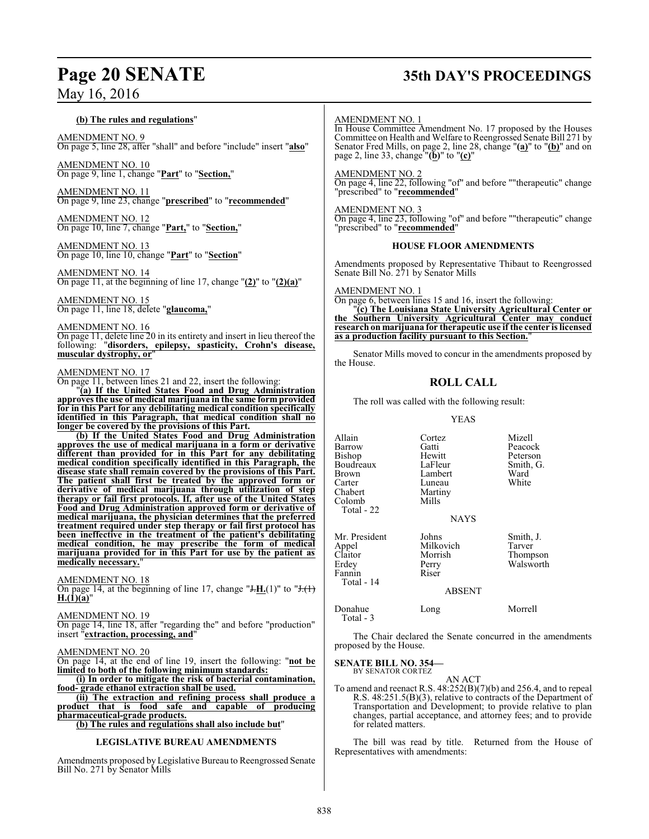### **(b) The rules and regulations**"

AMENDMENT NO. 9 On page 5, line 28, after "shall" and before "include" insert "**also**"

AMENDMENT NO. 10 On page 9, line 1, change "**Part**" to "**Section,**"

AMENDMENT NO. 11 On page 9, line 23, change "**prescribed**" to "**recommended**"

AMENDMENT NO. 12 On page 10, line 7, change "**Part,**" to "**Section,**"

AMENDMENT NO. 13 On page 10, line 10, change "**Part**" to "**Section**"

AMENDMENT NO. 14 On page 11, at the beginning of line 17, change "**(2)**" to "**(2)(a)**"

AMENDMENT NO. 15 On page 11, line 18, delete "**glaucoma,**"

AMENDMENT NO. 16

On page 11, delete line 20 in its entirety and insert in lieu thereof the following: "**disorders, epilepsy, spasticity, Crohn's disease, muscular dystrophy, or**"

### AMENDMENT NO. 17

On page 11, between lines 21 and 22, insert the following:

"**(a) If the United States Food and Drug Administration approves the use of medical marijuana in the same form provided for in this Part for any debilitating medical condition specifically identified in this Paragraph, that medical condition shall no longer be covered by the provisions of this Part.**

**(b) If the United States Food and Drug Administration approves the use of medical marijuana in a form or derivative different than provided for in this Part for any debilitating medical condition specifically identified in this Paragraph, the disease state shall remain covered by the provisions of this Part. The patient shall first be treated by the approved form or derivative of medical marijuana through utilization of step therapy or fail first protocols. If, after use of the United States Food and Drug Administration approved form or derivative of medical marijuana, the physician determines that the preferred treatment required under step therapy or fail first protocol has been ineffective in the treatment of the patient's debilitating medical condition, he may prescribe the form of medical marijuana provided for in this Part for use by the patient as** medically necessary.

AMENDMENT NO. 18

On page 14, at the beginning of line 17, change " $J.H.(1)$ " to " $J.(1)$ "  $H.(1)(a)'$ 

AMENDMENT NO. 19

On page 14, line 18, after "regarding the" and before "production" insert "**extraction, processing, and**"

### AMENDMENT NO. 20

On page 14, at the end of line 19, insert the following: "**not be limited to both of the following minimum standards:**

**(i) In order to mitigate the risk of bacterial contamination, food- grade ethanol extraction shall be used.**

**(ii) The extraction and refining process shall produce a product that is food safe and capable of producing pharmaceutical-grade products.**

**(b) The rules and regulations shall also include but**"

### **LEGISLATIVE BUREAU AMENDMENTS**

Amendments proposed by Legislative Bureau to Reengrossed Senate Bill No. 271 by Senator Mills

## **Page 20 SENATE 35th DAY'S PROCEEDINGS**

### AMENDMENT NO. 1

In House Committee Amendment No. 17 proposed by the Houses Committee on Health and Welfare to Reengrossed Senate Bill 271 by Senator Fred Mills, on page 2, line 28, change "**(a)**" to "**(b)**" and on page 2, line 33, change "**(b)**" to "**(c)**"

AMENDMENT NO. 2

On page 4, line 22, following "of" and before ""therapeutic" change "prescribed" to "**recommended**"

### AMENDMENT NO. 3

On page 4, line 23, following "of" and before ""therapeutic" change "prescribed" to "**recommended**"

### **HOUSE FLOOR AMENDMENTS**

Amendments proposed by Representative Thibaut to Reengrossed Senate Bill No. 271 by Senator Mills

AMENDMENT NO. 1

On page 6, between lines 15 and 16, insert the following:

"**(c) The Louisiana State University Agricultural Center or the Southern University Agricultural Center may conduct research on marijuana for therapeutic use if the center is licensed as a production facility pursuant to this Section.**"

Senator Mills moved to concur in the amendments proposed by the House.

### **ROLL CALL**

The roll was called with the following result:

Martiny<br>Mills

### YEAS

Hewitt Peterson<br>
LaFleur Smith, G.

Allain Cortez Mizell Barrow Gatti Peacock<br>Bishop Hewitt Peterson Boudreaux LaFleur Smith<br>Brown Lambert Ward Brown Lambert Ward<br>Carter Luneau White Carter Luneau<br>Chabert Martiny Colomb

Total - 22

Fannin Total - 14

Total - 3

**NAYS** 

Mr. President Johns Smith, J.<br>Appel Milkovich Tarver Claitor Morrish Thompson Perry Walsworth<br>Riser

### ABSENT

### Donahue Long Morrell

The Chair declared the Senate concurred in the amendments proposed by the House.

**SENATE BILL NO. 354—** BY SENATOR CORTEZ

Appel Milkovich<br>Claitor Morrish

AN ACT

To amend and reenact R.S. 48:252(B)(7)(b) and 256.4, and to repeal R.S. 48:251.5(B)(3), relative to contracts of the Department of Transportation and Development; to provide relative to plan changes, partial acceptance, and attorney fees; and to provide for related matters.

The bill was read by title. Returned from the House of Representatives with amendments: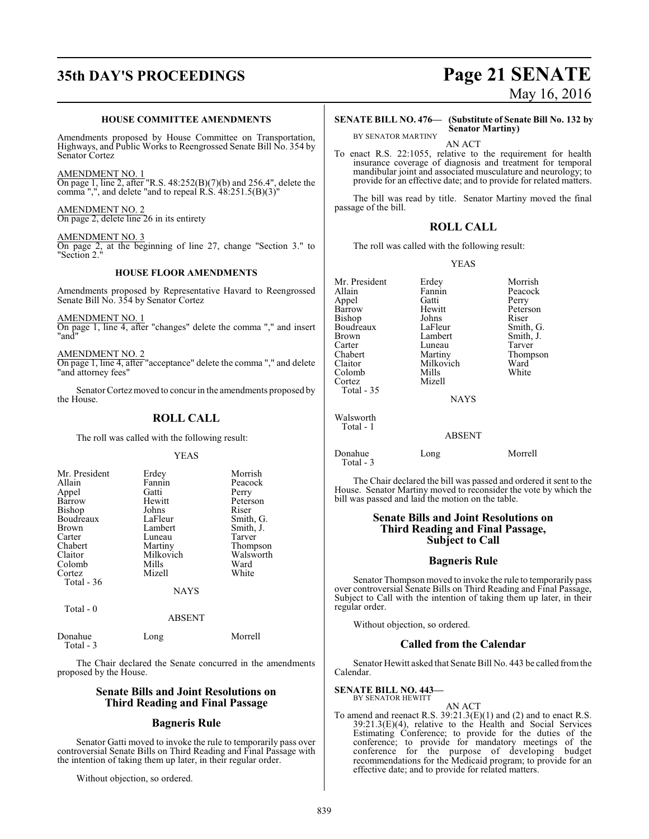## **35th DAY'S PROCEEDINGS Page 21 SENATE**

### **HOUSE COMMITTEE AMENDMENTS**

Amendments proposed by House Committee on Transportation, Highways, and Public Works to Reengrossed Senate Bill No. 354 by Senator Cortez

AMENDMENT NO. 1 On page 1, line 2, after "R.S. 48:252(B)(7)(b) and 256.4", delete the comma ",", and delete "and to repeal R.S. 48:251.5(B)(3)"

AMENDMENT NO. 2 On page 2, delete line 26 in its entirety

AMENDMENT NO. 3

On page 2, at the beginning of line 27, change "Section 3." to "Section 2."

### **HOUSE FLOOR AMENDMENTS**

Amendments proposed by Representative Havard to Reengrossed Senate Bill No. 354 by Senator Cortez

AMENDMENT NO. 1 On page 1, line 4, after "changes" delete the comma "," and insert 'and

AMENDMENT NO. 2 On page 1, line 4, after "acceptance" delete the comma "," and delete "and attorney fees"

Senator Cortez moved to concur in the amendments proposed by the House.

### **ROLL CALL**

The roll was called with the following result:

YEAS

| Mr. President | Erdey       | Morrish   |
|---------------|-------------|-----------|
| Allain        | Fannin      | Peacock   |
| Appel         | Gatti       | Perry     |
| Barrow        | Hewitt      | Peterson  |
| Bishop        | Johns       | Riser     |
| Boudreaux     | LaFleur     | Smith, G. |
| <b>Brown</b>  | Lambert     | Smith, J. |
| Carter        | Luneau      | Tarver    |
| Chabert       | Martiny     | Thompson  |
| Claitor       | Milkovich   | Walsworth |
| Colomb        | Mills       | Ward      |
| Cortez        | Mizell      | White     |
| Total - 36    |             |           |
|               | <b>NAYS</b> |           |

Total - 0

### ABSENT

| Donahue<br>Total - 3 | Long | Morrell |
|----------------------|------|---------|
|                      |      |         |

The Chair declared the Senate concurred in the amendments proposed by the House.

### **Senate Bills and Joint Resolutions on Third Reading and Final Passage**

### **Bagneris Rule**

Senator Gatti moved to invoke the rule to temporarily pass over controversial Senate Bills on Third Reading and Final Passage with the intention of taking them up later, in their regular order.

Without objection, so ordered.

# May 16, 2016

BY SENATOR MARTINY

**SENATE BILL NO. 476— (Substitute of Senate Bill No. 132 by Senator Martiny)**

AN ACT

To enact R.S. 22:1055, relative to the requirement for health insurance coverage of diagnosis and treatment for temporal mandibular joint and associated musculature and neurology; to provide for an effective date; and to provide for related matters.

The bill was read by title. Senator Martiny moved the final passage of the bill.

### **ROLL CALL**

The roll was called with the following result:

YEAS

| Mr. President | Erdey       | Morrish   |
|---------------|-------------|-----------|
| Allain        | Fannin      | Peacock   |
| Appel         | Gatti       | Perry     |
| Barrow        | Hewitt      | Peterson  |
| Bishop        | Johns       | Riser     |
| Boudreaux     | LaFleur     | Smith, G. |
| <b>Brown</b>  | Lambert     | Smith, J. |
| Carter        | Luneau      | Tarver    |
| Chabert       | Martiny     | Thompson  |
| Claitor       | Milkovich   | Ward      |
| Colomb        | Mills       | White     |
|               |             |           |
| Cortez        | Mizell      |           |
| Total $-35$   |             |           |
|               | <b>NAYS</b> |           |
| Walsworth     |             |           |
| Total - 1     |             |           |
|               | ABSENT      |           |
|               |             |           |
| Donahue       | Long        | Morrell   |
| Total - 3     |             |           |

The Chair declared the bill was passed and ordered it sent to the House. Senator Martiny moved to reconsider the vote by which the bill was passed and laid the motion on the table.

### **Senate Bills and Joint Resolutions on Third Reading and Final Passage, Subject to Call**

### **Bagneris Rule**

Senator Thompson moved to invoke the rule to temporarily pass over controversial Senate Bills on Third Reading and Final Passage, Subject to Call with the intention of taking them up later, in their regular order.

Without objection, so ordered.

### **Called from the Calendar**

Senator Hewitt asked that Senate Bill No. 443 be called fromthe Calendar.

### **SENATE BILL NO. 443—**

BY SENATOR HEWITT AN ACT To amend and reenact R.S.  $39:21.3(E)(1)$  and (2) and to enact R.S. 39:21.3(E)(4), relative to the Health and Social Services Estimating Conference; to provide for the duties of the conference; to provide for mandatory meetings of the conference for the purpose of developing budget recommendations for the Medicaid program; to provide for an effective date; and to provide for related matters.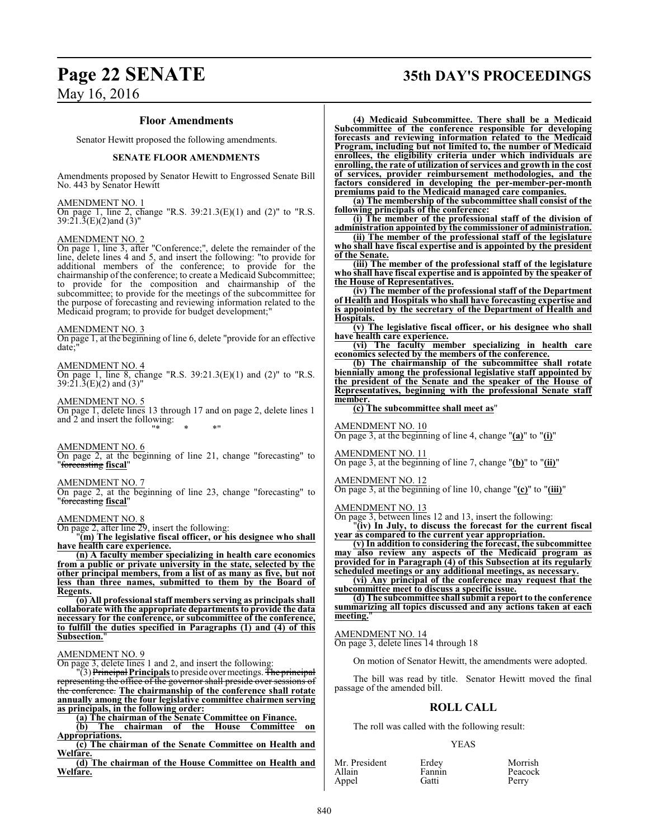# **Page 22 SENATE 35th DAY'S PROCEEDINGS**

### May 16, 2016

### **Floor Amendments**

Senator Hewitt proposed the following amendments.

### **SENATE FLOOR AMENDMENTS**

Amendments proposed by Senator Hewitt to Engrossed Senate Bill No. 443 by Senator Hewitt

### AMENDMENT NO. 1

On page 1, line 2, change "R.S. 39:21.3(E)(1) and (2)" to "R.S. 39:21.3(E)(2)and (3)"

### AMENDMENT NO. 2

On page 1, line 3, after "Conference;", delete the remainder of the line, delete lines 4 and 5, and insert the following: "to provide for additional members of the conference; to provide for the chairmanship of the conference; to create a Medicaid Subcommittee; provide for the composition and chairmanship of the subcommittee; to provide for the meetings of the subcommittee for the purpose of forecasting and reviewing information related to the Medicaid program; to provide for budget development;"

### AMENDMENT NO. 3

On page 1, at the beginning of line 6, delete "provide for an effective date;"

### AMENDMENT NO. 4

On page 1, line 8, change "R.S.  $39:21.3(E)(1)$  and  $(2)$ " to "R.S.  $39:21.3(E)(2)$  and  $(3)$ "

AMENDMENT NO. 5 On page 1, delete lines 13 through 17 and on page 2, delete lines 1 and 2 and insert the following: "\* \* \*"

### AMENDMENT NO. 6

On page 2, at the beginning of line 21, change "forecasting" to "forecasting **fiscal**"

### AMENDMENT NO. 7

On page 2, at the beginning of line 23, change "forecasting" to "forecasting **fiscal**"

### AMENDMENT NO. 8

On page 2, after line 29, insert the following:

"**(m) The legislative fiscal officer, or his designee who shall have health care experience.**

**(n) A faculty member specializing in health care economics from a public or private university in the state, selected by the other principal members, from a list of as many as five, but not less than three names, submitted to them by the Board of Regents.**

**(o) All professional staff members serving as principals shall collaborate with the appropriate departments to provide the data necessary for the conference, or subcommittee of the conference, to fulfill the duties specified in Paragraphs (1) and (4) of this Subsection.**"

### AMENDMENT NO. 9

On page 3, delete lines 1 and 2, and insert the following:

"(3) Principal **Principals**to preside over meetings. The principal representing the office of the governor the conference. **The chairmanship of the conference shall rotate annually among the four legislative committee chairmen serving as principals, in the following order:**

**(a) The chairman of the Senate Committee on Finance.**

**(b) The chairman of the House Committee on Appropriations.**

**(c) The chairman of the Senate Committee on Health and Welfare.**

**(d) The chairman of the House Committee on Health and Welfare.**

**(4) Medicaid Subcommittee. There shall be a Medicaid Subcommittee of the conference responsible for developing forecasts and reviewing information related to the Medicaid Program, including but not limited to, the number of Medicaid enrollees, the eligibility criteria under which individuals are enrolling, the rate of utilization of services and growth in the cost of services, provider reimbursement methodologies, and the factors considered in developing the per-member-per-month premiums paid to the Medicaid managed care companies.**

**(a) The membership of the subcommittee shall consist of the following principals of the conference:**

**(i) The member of the professional staff of the division of administration appointed by the commissioner of administration.**

**(ii) The member of the professional staff of the legislature who shall have fiscal expertise and is appointed by the president of the Senate.**

**(iii) The member of the professional staff of the legislature who shall have fiscal expertise and is appointed by the speaker of the House of Representatives.**

**(iv) The member of the professional staff of the Department of Health and Hospitals who shall have forecasting expertise and is appointed by the secretary of the Department of Health and Hospitals.**

**(v) The legislative fiscal officer, or his designee who shall have health care experience.**

**(vi) The faculty member specializing in health care economics selected by the members of the conference.**

**(b) The chairmanship of the subcommittee shall rotate biennially among the professional legislative staff appointed by the president of the Senate and the speaker of the House of Representatives, beginning with the professional Senate staff member.**

### **(c) The subcommittee shall meet as**"

#### AMENDMENT NO. 10

On page 3, at the beginning of line 4, change "**(a)**" to "**(i)**"

### AMENDMENT NO. 11 On page 3, at the beginning of line 7, change "**(b)**" to "**(ii)**"

### AMENDMENT NO. 12

On page 3, at the beginning of line 10, change "**(c)**" to "**(iii)**"

AMENDMENT NO. 13

On page 3, between lines 12 and 13, insert the following:

"**(iv) In July, to discuss the forecast for the current fiscal year as compared to the current year appropriation.**

**(v) In addition to considering the forecast, the subcommittee may also review any aspects of the Medicaid program as provided for in Paragraph (4) of this Subsection at its regularly scheduled meetings or any additional meetings, as necessary.**

**(vi) Any principal of the conference may request that the subcommittee meet to discuss a specific issue.**

**(d) The subcommittee shall submit a report to the conference summarizing all topics discussed and any actions taken at each** meeting.

AMENDMENT NO. 14

On page 3, delete lines 14 through 18

On motion of Senator Hewitt, the amendments were adopted.

The bill was read by title. Senator Hewitt moved the final passage of the amended bill.

### **ROLL CALL**

The roll was called with the following result:

### YEAS

| Mr. President | Erdey  | Morrish |
|---------------|--------|---------|
| Allain        | Fannin | Peacock |
| Appel         | Gatti  | Perry   |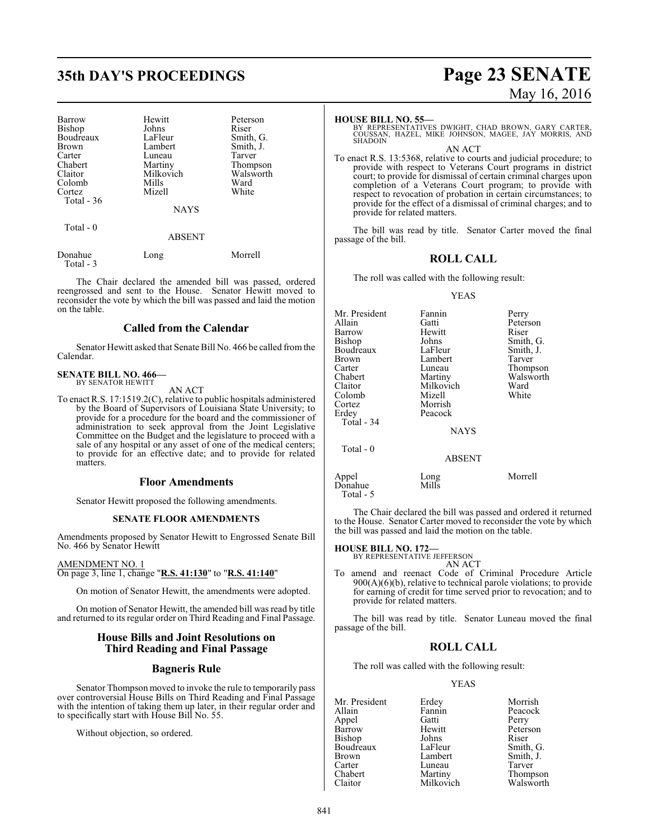## **35th DAY'S PROCEEDINGS Page 23 SENATE**

| Barrow        | Hewitt    | Peterson  |
|---------------|-----------|-----------|
| <b>Bishop</b> | Johns     | Riser     |
| Boudreaux     | LaFleur   | Smith, G. |
| Brown         | Lambert   | Smith, J. |
| Carter        | Luneau    | Tarver    |
| Chabert       | Martiny   | Thompson  |
| Claitor       | Milkovich | Walsworth |
| Colomb        | Mills     | Ward      |
| Cortez        | Mizell    | White     |
| Total $-36$   |           |           |
|               | NAYS      |           |
| Total - 0     |           |           |
|               | ABSENT    |           |

| Donahue   | Long | Morrell |
|-----------|------|---------|
| Total - 3 |      |         |

The Chair declared the amended bill was passed, ordered reengrossed and sent to the House. Senator Hewitt moved to reconsider the vote by which the bill was passed and laid the motion on the table.

### **Called from the Calendar**

Senator Hewitt asked that Senate Bill No. 466 be called fromthe Calendar.

#### **SENATE BILL NO. 466—** BY SENATOR HEWITT

AN ACT

To enact R.S. 17:1519.2(C), relative to public hospitals administered by the Board of Supervisors of Louisiana State University; to provide for a procedure for the board and the commissioner of administration to seek approval from the Joint Legislative Committee on the Budget and the legislature to proceed with a sale of any hospital or any asset of one of the medical centers; to provide for an effective date; and to provide for related matters.

### **Floor Amendments**

Senator Hewitt proposed the following amendments.

### **SENATE FLOOR AMENDMENTS**

Amendments proposed by Senator Hewitt to Engrossed Senate Bill No. 466 by Senator Hewitt

AMENDMENT NO. 1 On page 3, line 1, change "**R.S. 41:130**" to "**R.S. 41:140**"

On motion of Senator Hewitt, the amendments were adopted.

On motion of Senator Hewitt, the amended bill was read by title and returned to its regular order on Third Reading and Final Passage.

### **House Bills and Joint Resolutions on Third Reading and Final Passage**

### **Bagneris Rule**

Senator Thompson moved to invoke the rule to temporarily pass over controversial House Bills on Third Reading and Final Passage with the intention of taking them up later, in their regular order and to specifically start with House Bill No. 55.

Without objection, so ordered.

# May 16, 2016

### **HOUSE BILL NO. 55—**

BY REPRESENTATIVES DWIGHT, CHAD BROWN, GARY CARTER, COUSSAN, HAZEL, MIKE JOHNSON, MAGEE, JAY MORRIS, AND SHADOIN

AN ACT

To enact R.S. 13:5368, relative to courts and judicial procedure; to provide with respect to Veterans Court programs in district court; to provide for dismissal of certain criminal charges upon completion of a Veterans Court program; to provide with respect to revocation of probation in certain circumstances; to provide for the effect of a dismissal of criminal charges; and to provide for related matters.

The bill was read by title. Senator Carter moved the final passage of the bill.

### **ROLL CALL**

The roll was called with the following result:

#### YEAS

| Mr. President<br>Allain<br>Barrow<br>Bishop<br>Boudreaux<br><b>Brown</b><br>Carter<br>Chabert<br>Claitor<br>Colomb<br>Cortez<br>Erdey<br>Total - 34<br>Total - 0 | Fannin<br>Gatti<br>Hewitt<br>Johns<br>LaFleur<br>Lambert<br>Luneau<br>Martiny<br>Milkovich<br>Mizell<br>Morrish<br>Peacock<br><b>NAYS</b> | Perry<br>Peterson<br>Riser<br>Smith, G.<br>Smith, J.<br>Tarver<br>Thompson<br>Walsworth<br>Ward<br>White |
|------------------------------------------------------------------------------------------------------------------------------------------------------------------|-------------------------------------------------------------------------------------------------------------------------------------------|----------------------------------------------------------------------------------------------------------|
|                                                                                                                                                                  | <b>ABSENT</b>                                                                                                                             |                                                                                                          |
| Appel<br>Donahue                                                                                                                                                 | Long<br>Mills                                                                                                                             | Morrell                                                                                                  |

The Chair declared the bill was passed and ordered it returned to the House. Senator Carter moved to reconsider the vote by which the bill was passed and laid the motion on the table.

### **HOUSE BILL NO. 172—**

Total - 5

BY REPRESENTATIVE JEFFERSON AN ACT

To amend and reenact Code of Criminal Procedure Article  $900(A)(6)(b)$ , relative to technical parole violations; to provide for earning of credit for time served prior to revocation; and to provide for related matters.

The bill was read by title. Senator Luneau moved the final passage of the bill.

### **ROLL CALL**

The roll was called with the following result:

### YEAS

Mr. President Erdey Morrish<br>Allain Fannin Peacock Fannin Peacock<br>Gatti Perry Appel Gatti<br>Barrow Hewitt Hewitt Peterson<br>Johns Riser Bishop Johns Riser<br>Boudreaux LaFleur Smith, G. Boudreaux LaFleur<br>Brown Lambert Brown Lambert Smith, J.<br>
Carter Luneau Tarver Carter Luneau<br>Chabert Martiny Chabert Martiny Thompson<br>Claitor Milkovich Walsworth Milkovich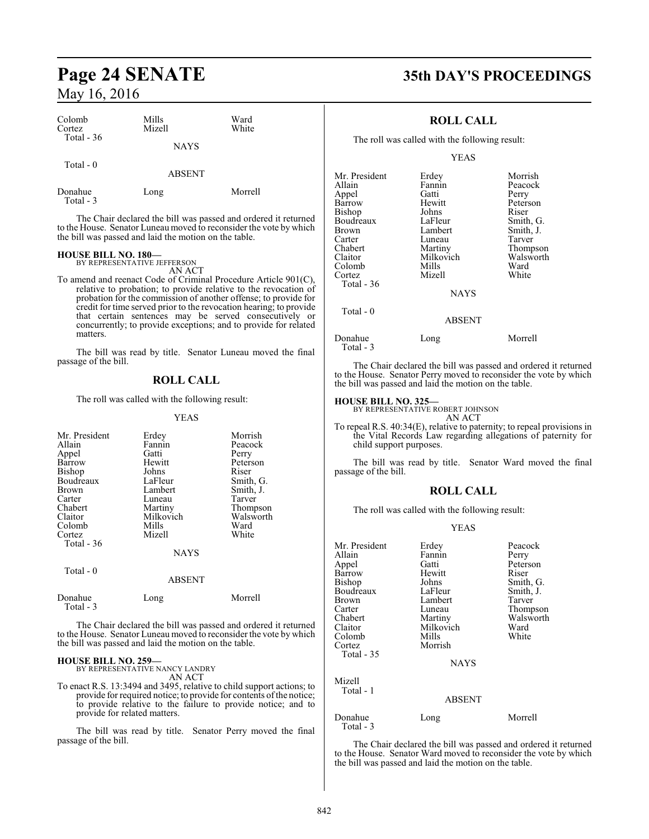| Colomb<br>Cortez     | Mills<br>Mizell | Ward<br>White |  |
|----------------------|-----------------|---------------|--|
| Total - 36           | <b>NAYS</b>     |               |  |
| Total $-0$           | <b>ABSENT</b>   |               |  |
| Donahue<br>Total - 3 | Long            | Morrell       |  |

The Chair declared the bill was passed and ordered it returned to the House. Senator Luneau moved to reconsider the vote by which the bill was passed and laid the motion on the table.

### **HOUSE BILL NO. 180—** BY REPRESENTATIVE JEFFERSON

AN ACT

To amend and reenact Code of Criminal Procedure Article 901(C), relative to probation; to provide relative to the revocation of probation for the commission of another offense; to provide for credit for time served prior to the revocation hearing; to provide that certain sentences may be served consecutively or concurrently; to provide exceptions; and to provide for related matters.

The bill was read by title. Senator Luneau moved the final passage of the bill.

### **ROLL CALL**

The roll was called with the following result:

#### YEAS

| Mr. President<br>Allain<br>Appel<br>Barrow<br><b>Bishop</b><br>Boudreaux<br>Brown<br>Carter<br>Chabert<br>Claitor<br>Colomb<br>Cortez<br>Total $-36$ | Erdey<br>Fannin<br>Gatti<br>Hewitt<br>Johns<br>LaFleur<br>Lambert<br>Luneau<br>Martiny<br>Milkovich<br>Mills<br>Mizell | Morrish<br>Peacock<br>Perry<br>Peterson<br>Riser<br>Smith, G.<br>Smith, J.<br>Tarver<br>Thompson<br>Walsworth<br>Ward<br>White |
|------------------------------------------------------------------------------------------------------------------------------------------------------|------------------------------------------------------------------------------------------------------------------------|--------------------------------------------------------------------------------------------------------------------------------|
|                                                                                                                                                      | <b>NAYS</b>                                                                                                            |                                                                                                                                |
| Total $-0$                                                                                                                                           | <b>ABSENT</b>                                                                                                          |                                                                                                                                |
| Donahue<br>Total - 3                                                                                                                                 | Long                                                                                                                   | Morrell                                                                                                                        |

The Chair declared the bill was passed and ordered it returned to the House. Senator Luneau moved to reconsider the vote by which the bill was passed and laid the motion on the table.

### **HOUSE BILL NO. 259—** BY REPRESENTATIVE NANCY LANDRY

AN ACT

To enact R.S. 13:3494 and 3495, relative to child support actions; to provide for required notice; to provide for contents ofthe notice; to provide relative to the failure to provide notice; and to provide for related matters.

The bill was read by title. Senator Perry moved the final passage of the bill.

### **Page 24 SENATE 35th DAY'S PROCEEDINGS**

### **ROLL CALL**

The roll was called with the following result:

YEAS

|               | Morrish                               |
|---------------|---------------------------------------|
|               |                                       |
|               | Peacock                               |
|               | Perry                                 |
| Hewitt        | Peterson                              |
| Johns         | Riser                                 |
| LaFleur       | Smith, G.                             |
| Lambert       | Smith, J.                             |
| Luneau        | Tarver                                |
| Martiny       | Thompson                              |
|               | Walsworth                             |
| Mills         | Ward                                  |
| Mizell        | White                                 |
|               |                                       |
| <b>NAYS</b>   |                                       |
|               |                                       |
| <b>ABSENT</b> |                                       |
| $T = 12$      | $M = 11$                              |
|               | Erdey<br>Fannin<br>Gatti<br>Milkovich |

Donahue Long Morrell Total - 3

The Chair declared the bill was passed and ordered it returned to the House. Senator Perry moved to reconsider the vote by which the bill was passed and laid the motion on the table.

### **HOUSE BILL NO. 325—**

BY REPRESENTATIVE ROBERT JOHNSON AN ACT

To repeal R.S. 40:34(E), relative to paternity; to repeal provisions in the Vital Records Law regarding allegations of paternity for child support purposes.

The bill was read by title. Senator Ward moved the final passage of the bill.

### **ROLL CALL**

The roll was called with the following result:

### YEAS

| Mr. President<br>Allain<br>Appel<br><b>Barrow</b><br>Bishop<br>Boudreaux<br>Brown<br>Carter<br>Chabert<br>Claitor<br>Colomb<br>Cortez | Erdey<br>Fannin<br>Gatti<br>Hewitt<br>Johns<br>LaFleur<br>Lambert<br>Luneau<br>Martiny<br>Milkovich<br>Mills<br>Morrish | Peacock<br>Perry<br>Peterson<br>Riser<br>Smith, G.<br>Smith, J.<br>Tarver<br>Thompson<br>Walsworth<br>Ward<br>White |
|---------------------------------------------------------------------------------------------------------------------------------------|-------------------------------------------------------------------------------------------------------------------------|---------------------------------------------------------------------------------------------------------------------|
| Total - 35                                                                                                                            | <b>NAYS</b>                                                                                                             |                                                                                                                     |
| Mizell<br>Total - 1                                                                                                                   | <b>ABSENT</b>                                                                                                           |                                                                                                                     |
| Donahue<br>Total - 3                                                                                                                  | Long                                                                                                                    | Morrell                                                                                                             |

The Chair declared the bill was passed and ordered it returned to the House. Senator Ward moved to reconsider the vote by which the bill was passed and laid the motion on the table.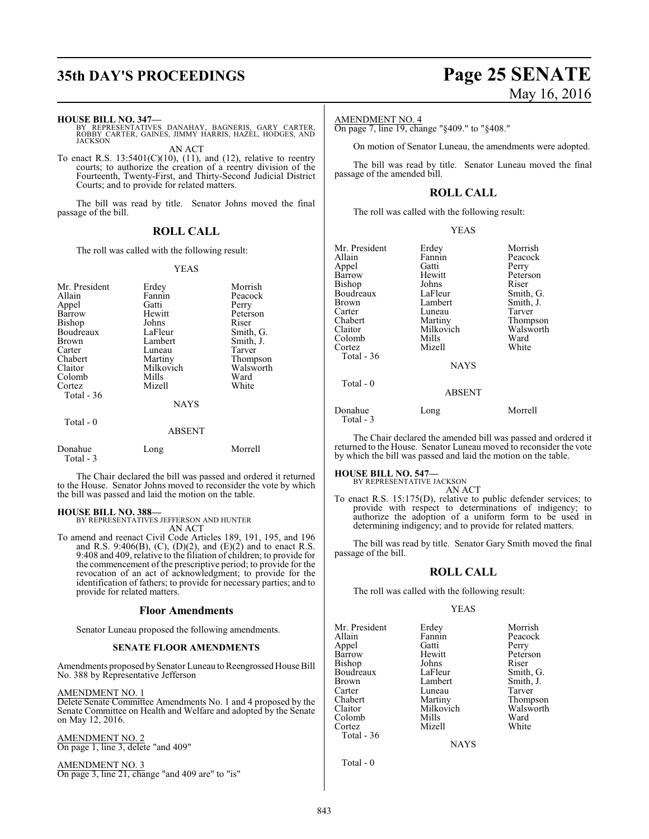## **35th DAY'S PROCEEDINGS Page 25 SENATE**

#### **HOUSE BILL NO. 347—**

BY REPRESENTATIVES DANAHAY, BAGNERIS, GARY CARTER, ROBBY CARTER, GAINES, JIMMY HARRIS, HAZEL, HODGES, AND JACKSON

AN ACT

To enact R.S.  $13:5401(C)(10)$ ,  $(11)$ , and  $(12)$ , relative to reentry courts; to authorize the creation of a reentry division of the Fourteenth, Twenty-First, and Thirty-Second Judicial District Courts; and to provide for related matters.

The bill was read by title. Senator Johns moved the final passage of the bill.

### **ROLL CALL**

The roll was called with the following result:

### YEAS

| Mr. President<br>Allain<br>Appel<br>Barrow<br><b>Bishop</b><br>Boudreaux<br>Brown<br>Carter<br>Chabert<br>Claitor<br>Colomb<br>Cortez | Erdey<br>Fannin<br>Gatti<br>Hewitt<br>Johns<br>LaFleur<br>Lambert<br>Luneau<br>Martiny<br>Milkovich<br>Mills<br>Mizell | Morrish<br>Peacock<br>Perry<br>Peterson<br>Riser<br>Smith, G.<br>Smith, J.<br>Tarver<br>Thompson<br>Walsworth<br>Ward<br>White |
|---------------------------------------------------------------------------------------------------------------------------------------|------------------------------------------------------------------------------------------------------------------------|--------------------------------------------------------------------------------------------------------------------------------|
| Total - $36$                                                                                                                          | <b>NAYS</b>                                                                                                            |                                                                                                                                |
| Total $-0$                                                                                                                            | <b>ABSENT</b>                                                                                                          |                                                                                                                                |
| Donahue<br>Total - 3                                                                                                                  | Long                                                                                                                   | Morrell                                                                                                                        |

The Chair declared the bill was passed and ordered it returned to the House. Senator Johns moved to reconsider the vote by which the bill was passed and laid the motion on the table.

### **HOUSE BILL NO. 388—**

BY REPRESENTATIVES JEFFERSON AND HUNTER

AN ACT

To amend and reenact Civil Code Articles 189, 191, 195, and 196 and R.S. 9:406(B), (C), (D)(2), and (E)(2) and to enact R.S. 9:408 and 409, relative to the filiation of children; to provide for the commencement of the prescriptive period; to provide for the revocation of an act of acknowledgment; to provide for the identification of fathers; to provide for necessary parties; and to provide for related matters.

### **Floor Amendments**

Senator Luneau proposed the following amendments.

### **SENATE FLOOR AMENDMENTS**

Amendments proposed by Senator Luneau to Reengrossed House Bill No. 388 by Representative Jefferson

AMENDMENT NO. 1

Delete Senate Committee Amendments No. 1 and 4 proposed by the Senate Committee on Health and Welfare and adopted by the Senate on May 12, 2016.

AMENDMENT NO. 2 On page 1, line 3, delete "and 409"

AMENDMENT NO. 3 On page 3, line 21, change "and 409 are" to "is"

# May 16, 2016

### AMENDMENT NO. 4

On page 7, line 19, change "§409." to "§408."

On motion of Senator Luneau, the amendments were adopted.

The bill was read by title. Senator Luneau moved the final passage of the amended bill.

### **ROLL CALL**

YEAS

The roll was called with the following result:

| Mr. President<br>Allain<br>Appel<br>Barrow<br>Bishop<br>Boudreaux<br>Brown<br>Carter<br>Chabert<br>Claitor<br>Colomb<br>Cortez<br>Total - $36$ | Erdey<br>Fannin<br>Gatti<br>Hewitt<br>Johns<br>LaFleur<br>Lambert<br>Luneau<br>Martiny<br>Milkovich<br>Mills<br>Mizell<br><b>NAYS</b> | Morrish<br>Peacock<br>Perry<br>Peterson<br>Riser<br>Smith, G.<br>Smith, J.<br>Tarver<br>Thompson<br>Walsworth<br>Ward<br>White |
|------------------------------------------------------------------------------------------------------------------------------------------------|---------------------------------------------------------------------------------------------------------------------------------------|--------------------------------------------------------------------------------------------------------------------------------|
| Total - 0                                                                                                                                      | <b>ABSENT</b>                                                                                                                         |                                                                                                                                |
| Donahue                                                                                                                                        | Long                                                                                                                                  | Morrell                                                                                                                        |

The Chair declared the amended bill was passed and ordered it returned to the House. Senator Luneau moved to reconsider the vote by which the bill was passed and laid the motion on the table.

**HOUSE BILL NO. 547—** BY REPRESENTATIVE JACKSON

Total - 3

AN ACT

To enact R.S. 15:175(D), relative to public defender services; to provide with respect to determinations of indigency; to authorize the adoption of a uniform form to be used in determining indigency; and to provide for related matters.

The bill was read by title. Senator Gary Smith moved the final passage of the bill.

### **ROLL CALL**

The roll was called with the following result:

### YEAS

| Mr. President | Erdey     | Morrish   |
|---------------|-----------|-----------|
| Allain        | Fannin    | Peacock   |
| Appel         | Gatti     | Perry     |
| Barrow        | Hewitt    | Peterson  |
| Bishop        | Johns     | Riser     |
| Boudreaux     | LaFleur   | Smith, G. |
| Brown         | Lambert   | Smith, J. |
| Carter        | Luneau    | Tarver    |
| Chabert       | Martiny   | Thompson  |
| Claitor       | Milkovich | Walsworth |
| Colomb        | Mills     | Ward      |
| Cortez        | Mizell    | White     |
| Total - 36    |           |           |
|               | NAYS      |           |

**NAYS** 

Total - 0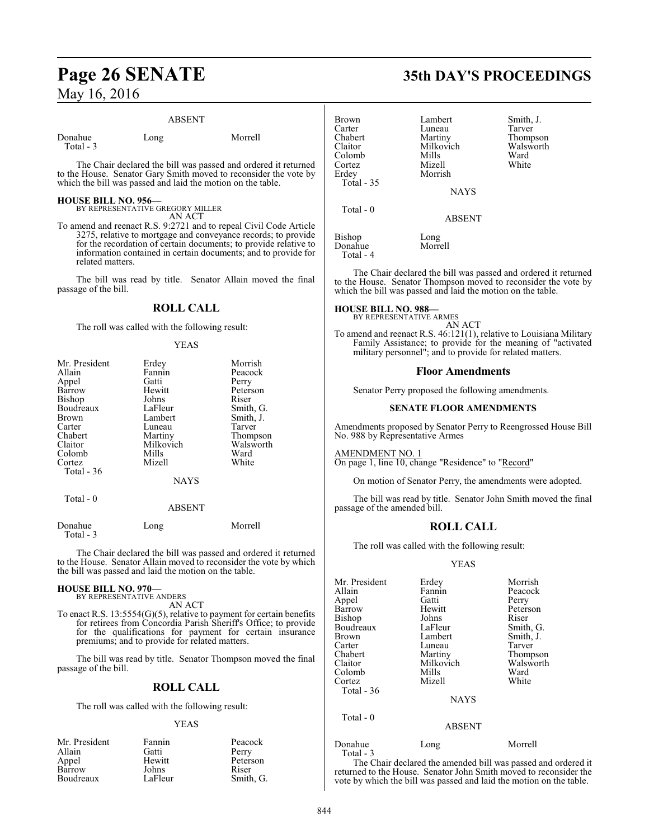### **Page 26 SENATE 35th DAY'S PROCEEDINGS** May 16, 2016

### ABSENT

Donahue Long Morrell Total - 3

The Chair declared the bill was passed and ordered it returned to the House. Senator Gary Smith moved to reconsider the vote by which the bill was passed and laid the motion on the table.

### **HOUSE BILL NO. 956—** BY REPRESENTATIVE GREGORY MILLER

AN ACT

To amend and reenact R.S. 9:2721 and to repeal Civil Code Article 3275, relative to mortgage and conveyance records; to provide for the recordation of certain documents; to provide relative to information contained in certain documents; and to provide for related matters.

The bill was read by title. Senator Allain moved the final passage of the bill.

### **ROLL CALL**

The roll was called with the following result:

#### YEAS

| Mr. President | Erdey         | Morrish   |
|---------------|---------------|-----------|
| Allain        | Fannin        | Peacock   |
| Appel         | Gatti         | Perry     |
| Barrow        | Hewitt        | Peterson  |
| Bishop        | Johns         | Riser     |
| Boudreaux     | LaFleur       | Smith, G. |
| Brown         | Lambert       | Smith, J. |
| Carter        | Luneau        | Tarver    |
| Chabert       | Martiny       | Thompson  |
| Claitor       | Milkovich     | Walsworth |
| Colomb        | Mills         | Ward      |
| Cortez        | Mizell        | White     |
| Total $-36$   |               |           |
|               | <b>NAYS</b>   |           |
| Total - $0$   |               |           |
|               | <b>ABSENT</b> |           |
|               |               |           |

Donahue Long Morrell Total - 3

The Chair declared the bill was passed and ordered it returned to the House. Senator Allain moved to reconsider the vote by which the bill was passed and laid the motion on the table.

### **HOUSE BILL NO. 970—** BY REPRESENTATIVE ANDERS

AN ACT

To enact R.S. 13:5554(G)(5), relative to payment for certain benefits for retirees from Concordia Parish Sheriff's Office; to provide for the qualifications for payment for certain insurance premiums; and to provide for related matters.

The bill was read by title. Senator Thompson moved the final passage of the bill.

### **ROLL CALL**

The roll was called with the following result:

### YEAS

| Mr. President | Fannin  | Peacock   |
|---------------|---------|-----------|
| Allain        | Gatti   | Perry     |
| Appel         | Hewitt  | Peterson  |
| Barrow        | Johns   | Riser     |
| Boudreaux     | LaFleur | Smith, G. |

| Brown<br>Carter<br>Chabert<br>Claitor<br>Colomb<br>Cortez<br>Erdey<br>Total - 35 | Lambert<br>Luneau<br>Martiny<br>Milkovich<br>Mills<br>Mizell<br>Morrish | Smith, J.<br>Tarver<br>Thompson<br>Walsworth<br>Ward<br>White |
|----------------------------------------------------------------------------------|-------------------------------------------------------------------------|---------------------------------------------------------------|
|                                                                                  | <b>NAYS</b>                                                             |                                                               |
| Total - 0                                                                        | <b>ABSENT</b>                                                           |                                                               |
| Bishop<br>Donahue                                                                | Long<br>Morrell                                                         |                                                               |

The Chair declared the bill was passed and ordered it returned to the House. Senator Thompson moved to reconsider the vote by which the bill was passed and laid the motion on the table.

### **HOUSE BILL NO. 988—**

Total - 4

BY REPRESENTATIVE ARMES

AN ACT To amend and reenact R.S. 46:121(1), relative to Louisiana Military Family Assistance; to provide for the meaning of "activated military personnel"; and to provide for related matters.

### **Floor Amendments**

Senator Perry proposed the following amendments.

### **SENATE FLOOR AMENDMENTS**

Amendments proposed by Senator Perry to Reengrossed House Bill No. 988 by Representative Armes

### AMENDMENT NO. 1

On page 1, line 10, change "Residence" to "Record"

On motion of Senator Perry, the amendments were adopted.

The bill was read by title. Senator John Smith moved the final passage of the amended bill.

### **ROLL CALL**

The roll was called with the following result:

### YEAS

| Mr. President<br>Allain<br>Appel<br>Barrow<br>Bishop<br>Boudreaux<br>Brown<br>Carter<br>Chabert<br>Claitor<br>Colomb | Erdey<br>Fannin<br>Gatti<br>Hewitt<br>Johns<br>LaFleur<br>Lambert<br>Luneau<br>Martiny<br>Milkovich<br>Mills | Morrish<br>Peacock<br>Perry<br>Peterson<br>Riser<br>Smith, G.<br>Smith, J.<br>Tarver<br>Thompson<br>Walsworth<br>Ward |
|----------------------------------------------------------------------------------------------------------------------|--------------------------------------------------------------------------------------------------------------|-----------------------------------------------------------------------------------------------------------------------|
| Cortez<br>Total - 36<br>Total $-0$                                                                                   | Mizell<br><b>NAYS</b><br><b>ABSENT</b>                                                                       | White                                                                                                                 |
| Donahue                                                                                                              | Long                                                                                                         | Morrell                                                                                                               |

Total - 3

The Chair declared the amended bill was passed and ordered it returned to the House. Senator John Smith moved to reconsider the vote by which the bill was passed and laid the motion on the table.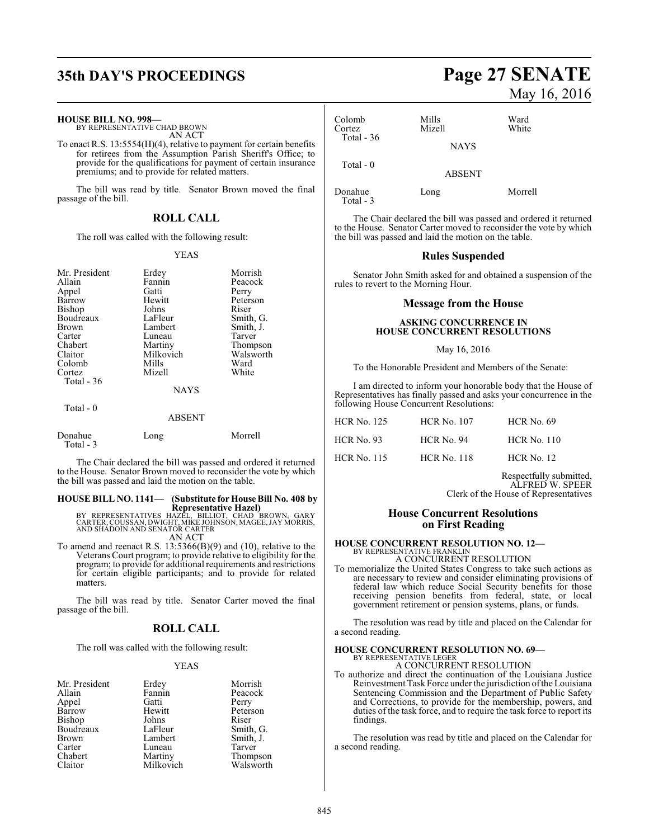## **35th DAY'S PROCEEDINGS Page 27 SENATE**

### **HOUSE BILL NO. 998—**

BY REPRESENTATIVE CHAD BROWN AN ACT

To enact R.S. 13:5554(H)(4), relative to payment for certain benefits for retirees from the Assumption Parish Sheriff's Office; to provide for the qualifications for payment of certain insurance premiums; and to provide for related matters.

The bill was read by title. Senator Brown moved the final passage of the bill.

### **ROLL CALL**

The roll was called with the following result:

### YEAS

| Mr. President<br>Allain<br>Appel<br>Barrow<br><b>Bishop</b><br>Boudreaux<br><b>Brown</b><br>Carter<br>Chabert<br>Claitor<br>Colomb<br>Cortez<br>Total - 36 | Erdey<br>Fannin<br>Gatti<br>Hewitt<br>Johns<br>LaFleur<br>Lambert<br>Luneau<br>Martiny<br>Milkovich<br>Mills<br>Mizell | Morrish<br>Peacock<br>Perry<br>Peterson<br>Riser<br>Smith, G.<br>Smith, J.<br>Tarver<br>Thompson<br>Walsworth<br>Ward<br>White |
|------------------------------------------------------------------------------------------------------------------------------------------------------------|------------------------------------------------------------------------------------------------------------------------|--------------------------------------------------------------------------------------------------------------------------------|
|                                                                                                                                                            | <b>NAYS</b>                                                                                                            |                                                                                                                                |
| Total - 0                                                                                                                                                  | <b>ABSENT</b>                                                                                                          |                                                                                                                                |

| Donahue   | Long | Morrell |
|-----------|------|---------|
| Total - 3 |      |         |

The Chair declared the bill was passed and ordered it returned to the House. Senator Brown moved to reconsider the vote by which the bill was passed and laid the motion on the table.

# **HOUSE BILL NO. 1141— (Substitute for House Bill No. 408 by**

**Representative Hazel)<br>BY REPRESENTATIVES HAZEL, BILLIOT, CHAD BROWN, GARY<br>CARTER, COUSSAN, DWIGHT, MIKE JOHNSON, MAGEE, JAY MORRIS,<br>AND SHADOIN AND SENATOR CARTER** AN ACT

To amend and reenact R.S. 13:5366(B)(9) and (10), relative to the Veterans Court program; to provide relative to eligibility for the program; to provide for additional requirements and restrictions for certain eligible participants; and to provide for related matters.

The bill was read by title. Senator Carter moved the final passage of the bill.

### **ROLL CALL**

The roll was called with the following result:

### YEAS

| Mr. President | Erdey     | Morrish   |
|---------------|-----------|-----------|
| Allain        | Fannin    | Peacock   |
| Appel         | Gatti     | Perry     |
| Barrow        | Hewitt    | Peterson  |
| <b>Bishop</b> | Johns     | Riser     |
| Boudreaux     | LaFleur   | Smith, G. |
| Brown         | Lambert   | Smith, J. |
| Carter        | Luneau    | Tarver    |
| Chabert       | Martiny   | Thompson  |
| Claitor       | Milkovich | Walsworth |

# May 16, 2016

| Colomb<br>Cortez<br>Total $-36$ | Mills<br>Mizell | Ward<br>White |
|---------------------------------|-----------------|---------------|
|                                 | <b>NAYS</b>     |               |
| Total $-0$                      | <b>ABSENT</b>   |               |
| Donahue                         | Long            | Morrell       |

Total - 3

The Chair declared the bill was passed and ordered it returned to the House. Senator Carter moved to reconsider the vote by which the bill was passed and laid the motion on the table.

### **Rules Suspended**

Senator John Smith asked for and obtained a suspension of the rules to revert to the Morning Hour.

### **Message from the House**

### **ASKING CONCURRENCE IN HOUSE CONCURRENT RESOLUTIONS**

### May 16, 2016

To the Honorable President and Members of the Senate:

I am directed to inform your honorable body that the House of Representatives has finally passed and asks your concurrence in the following House Concurrent Resolutions:

| <b>HCR No. 125</b> | <b>HCR No. 107</b> | <b>HCR</b> No. 69  |
|--------------------|--------------------|--------------------|
| <b>HCR</b> No. 93  | HCR No. 94         | <b>HCR No. 110</b> |
| <b>HCR</b> No. 115 | <b>HCR No. 118</b> | $HCR$ No. 12       |

Respectfully submitted, ALFRED W. SPEER Clerk of the House of Representatives

### **House Concurrent Resolutions on First Reading**

#### **HOUSE CONCURRENT RESOLUTION NO. 12—** BY REPRESENTATIVE FRANKLIN

A CONCURRENT RESOLUTION

To memorialize the United States Congress to take such actions as are necessary to review and consider eliminating provisions of federal law which reduce Social Security benefits for those receiving pension benefits from federal, state, or local government retirement or pension systems, plans, or funds.

The resolution was read by title and placed on the Calendar for a second reading.

### **HOUSE CONCURRENT RESOLUTION NO. 69—** BY REPRESENTATIVE LEGER

A CONCURRENT RESOLUTION

To authorize and direct the continuation of the Louisiana Justice Reinvestment Task Force under the jurisdiction of the Louisiana Sentencing Commission and the Department of Public Safety and Corrections, to provide for the membership, powers, and duties of the task force, and to require the task force to report its findings.

The resolution was read by title and placed on the Calendar for a second reading.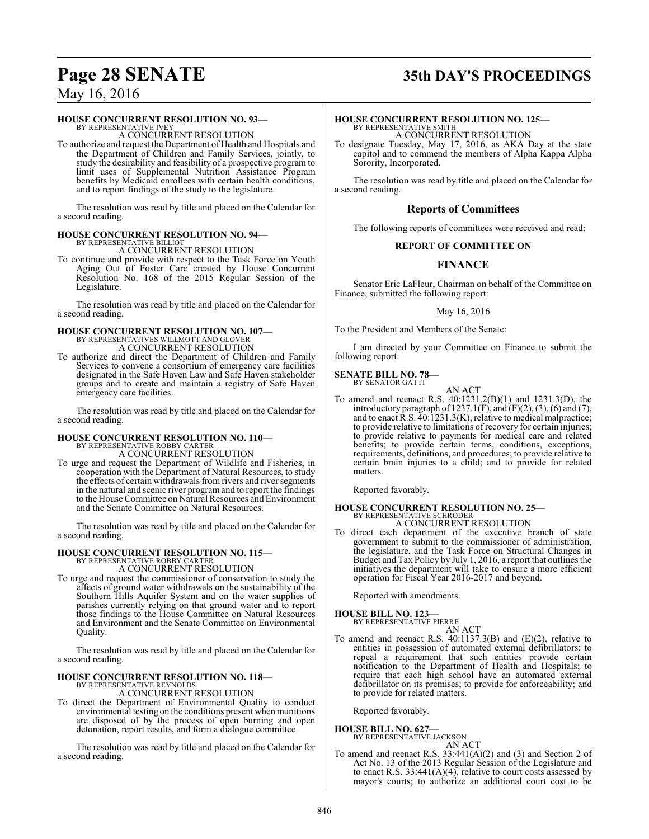# **Page 28 SENATE 35th DAY'S PROCEEDINGS**

### May 16, 2016

### **HOUSE CONCURRENT RESOLUTION NO. 93—**

BY REPRESENTATIVE IVEY A CONCURRENT RESOLUTION

To authorize and request the Department of Health and Hospitals and the Department of Children and Family Services, jointly, to study the desirability and feasibility of a prospective program to limit uses of Supplemental Nutrition Assistance Program benefits by Medicaid enrollees with certain health conditions, and to report findings of the study to the legislature.

The resolution was read by title and placed on the Calendar for a second reading.

#### **HOUSE CONCURRENT RESOLUTION NO. 94—** BY REPRESENTATIVE BILLIOT

A CONCURRENT RESOLUTION

To continue and provide with respect to the Task Force on Youth Aging Out of Foster Care created by House Concurrent Resolution No. 168 of the 2015 Regular Session of the Legislature.

The resolution was read by title and placed on the Calendar for a second reading.

# **HOUSE CONCURRENT RESOLUTION NO. 107—** BY REPRESENTATIVES WILLMOTT AND GLOVER A CONCURRENT RESOLUTION

To authorize and direct the Department of Children and Family Services to convene a consortium of emergency care facilities designated in the Safe Haven Law and Safe Haven stakeholder groups and to create and maintain a registry of Safe Haven emergency care facilities.

The resolution was read by title and placed on the Calendar for a second reading.

# **HOUSE CONCURRENT RESOLUTION NO. 110—** BY REPRESENTATIVE ROBBY CARTER

A CONCURRENT RESOLUTION

To urge and request the Department of Wildlife and Fisheries, in cooperation with the Department of Natural Resources, to study the effects of certain withdrawals from rivers and river segments in the natural and scenic river programand to report the findings to the House Committee on Natural Resources and Environment and the Senate Committee on Natural Resources.

The resolution was read by title and placed on the Calendar for a second reading.

### **HOUSE CONCURRENT RESOLUTION NO. 115—**

BY REPRESENTATIVE ROBBY CARTER A CONCURRENT RESOLUTION

To urge and request the commissioner of conservation to study the effects of ground water withdrawals on the sustainability of the Southern Hills Aquifer System and on the water supplies of parishes currently relying on that ground water and to report those findings to the House Committee on Natural Resources and Environment and the Senate Committee on Environmental Quality.

The resolution was read by title and placed on the Calendar for a second reading.

### **HOUSE CONCURRENT RESOLUTION NO. 118—** BY REPRESENTATIVE REYNOLDS A CONCURRENT RESOLUTION

To direct the Department of Environmental Quality to conduct environmental testing on the conditions present when munitions are disposed of by the process of open burning and open detonation, report results, and form a dialogue committee.

The resolution was read by title and placed on the Calendar for a second reading.

### **HOUSE CONCURRENT RESOLUTION NO. 125—**

BY REPRESENTATIVE SMITH A CONCURRENT RESOLUTION

To designate Tuesday, May 17, 2016, as AKA Day at the state capitol and to commend the members of Alpha Kappa Alpha Sorority, Incorporated.

The resolution was read by title and placed on the Calendar for a second reading.

### **Reports of Committees**

The following reports of committees were received and read:

### **REPORT OF COMMITTEE ON**

### **FINANCE**

Senator Eric LaFleur, Chairman on behalf of the Committee on Finance, submitted the following report:

May 16, 2016

To the President and Members of the Senate:

I am directed by your Committee on Finance to submit the following report:

**SENATE BILL NO. 78—** BY SENATOR GATTI

AN ACT

To amend and reenact R.S. 40:1231.2(B)(1) and 1231.3(D), the introductory paragraph of 1237.1(F), and  $(F)(2)$ ,  $(3)$ ,  $(6)$  and  $(7)$ , and to enact R.S. 40:1231.3(K), relative to medical malpractice; to provide relative to limitations of recovery for certain injuries; to provide relative to payments for medical care and related benefits; to provide certain terms, conditions, exceptions, requirements, definitions, and procedures; to provide relative to certain brain injuries to a child; and to provide for related matters.

Reported favorably.

## **HOUSE CONCURRENT RESOLUTION NO. 25—** BY REPRESENTATIVE SCHRODER

A CONCURRENT RESOLUTION

To direct each department of the executive branch of state government to submit to the commissioner of administration, the legislature, and the Task Force on Structural Changes in Budget and Tax Policy by July 1, 2016, a report that outlines the initiatives the department will take to ensure a more efficient operation for Fiscal Year 2016-2017 and beyond.

Reported with amendments.

### **HOUSE BILL NO. 123—** BY REPRESENTATIVE PIERRE

AN ACT To amend and reenact R.S. 40:1137.3(B) and (E)(2), relative to entities in possession of automated external defibrillators; to repeal a requirement that such entities provide certain notification to the Department of Health and Hospitals; to require that each high school have an automated external defibrillator on its premises; to provide for enforceability; and to provide for related matters.

Reported favorably.

### **HOUSE BILL NO. 627—**

BY REPRESENTATIVE JACKSON AN ACT

To amend and reenact R.S. 33:441(A)(2) and (3) and Section 2 of Act No. 13 of the 2013 Regular Session of the Legislature and to enact R.S.  $33:441(A)(4)$ , relative to court costs assessed by mayor's courts; to authorize an additional court cost to be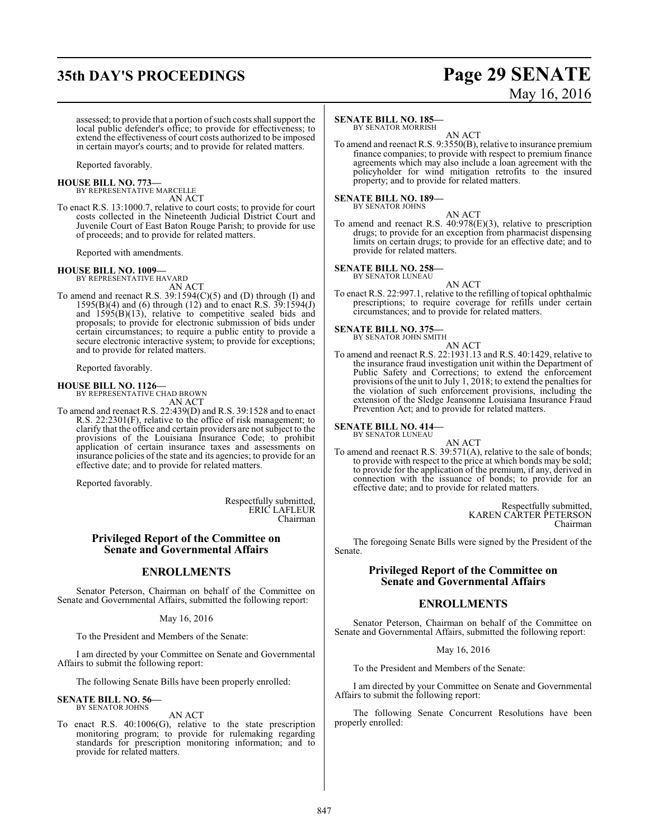## **35th DAY'S PROCEEDINGS Page 29 SENATE**

# May 16, 2016

assessed; to provide that a portion of such costs shall support the local public defender's office; to provide for effectiveness; to extend the effectiveness of court costs authorized to be imposed in certain mayor's courts; and to provide for related matters.

Reported favorably.

### **HOUSE BILL NO. 773—**

BY REPRESENTATIVE MARCELLE AN ACT

To enact R.S. 13:1000.7, relative to court costs; to provide for court costs collected in the Nineteenth Judicial District Court and Juvenile Court of East Baton Rouge Parish; to provide for use of proceeds; and to provide for related matters.

Reported with amendments.

### **HOUSE BILL NO. 1009—**

BY REPRESENTATIVE HAVARD AN ACT

To amend and reenact R.S. 39:1594(C)(5) and (D) through (I) and 1595(B)(4) and (6) through (12) and to enact R.S. 39:1594(J) and  $1595(B)(13)$ , relative to competitive sealed bids and proposals; to provide for electronic submission of bids under certain circumstances; to require a public entity to provide a secure electronic interactive system; to provide for exceptions; and to provide for related matters.

Reported favorably.

### **HOUSE BILL NO. 1126—**

BY REPRESENTATIVE CHAD BROWN AN ACT

To amend and reenact R.S. 22:439(D) and R.S. 39:1528 and to enact R.S. 22:2301(F), relative to the office of risk management; to clarify that the office and certain providers are not subject to the provisions of the Louisiana Insurance Code; to prohibit application of certain insurance taxes and assessments on insurance policies of the state and its agencies; to provide for an effective date; and to provide for related matters.

Reported favorably.

Respectfully submitted, ERIC LAFLEUR Chairman

### **Privileged Report of the Committee on Senate and Governmental Affairs**

### **ENROLLMENTS**

Senator Peterson, Chairman on behalf of the Committee on Senate and Governmental Affairs, submitted the following report:

### May 16, 2016

To the President and Members of the Senate:

I am directed by your Committee on Senate and Governmental Affairs to submit the following report:

The following Senate Bills have been properly enrolled:

### **SENATE BILL NO. 56—** BY SENATOR JOHNS

AN ACT

To enact R.S. 40:1006(G), relative to the state prescription monitoring program; to provide for rulemaking regarding standards for prescription monitoring information; and to provide for related matters.

### **SENATE BILL NO. 185—**

BY SENATOR MORRISH

AN ACT To amend and reenact R.S. 9:3550(B), relative to insurance premium finance companies; to provide with respect to premium finance agreements which may also include a loan agreement with the policyholder for wind mitigation retrofits to the insured property; and to provide for related matters.

#### **SENATE BILL NO. 189—** BY SENATOR JOHNS

AN ACT

To amend and reenact R.S. 40:978(E)(3), relative to prescription drugs; to provide for an exception from pharmacist dispensing limits on certain drugs; to provide for an effective date; and to provide for related matters.

**SENATE BILL NO. 258—** BY SENATOR LUNEAU

- AN ACT
- To enact R.S. 22:997.1, relative to the refilling of topical ophthalmic prescriptions; to require coverage for refills under certain circumstances; and to provide for related matters.

### **SENATE BILL NO. 375—** BY SENATOR JOHN SMITH

AN ACT

To amend and reenact R.S. 22:1931.13 and R.S. 40:1429, relative to the insurance fraud investigation unit within the Department of Public Safety and Corrections; to extend the enforcement provisions of the unit to July 1, 2018; to extend the penalties for the violation of such enforcement provisions, including the extension of the Sledge Jeansonne Louisiana Insurance Fraud Prevention Act; and to provide for related matters.

### **SENATE BILL NO. 414—** BY SENATOR LUNEAU

AN ACT

To amend and reenact R.S. 39:571(A), relative to the sale of bonds; to provide with respect to the price at which bonds may be sold; to provide for the application of the premium, if any, derived in connection with the issuance of bonds; to provide for an effective date; and to provide for related matters.

> Respectfully submitted, KAREN CARTER PETERSON Chairman

The foregoing Senate Bills were signed by the President of the Senate.

### **Privileged Report of the Committee on Senate and Governmental Affairs**

### **ENROLLMENTS**

Senator Peterson, Chairman on behalf of the Committee on Senate and Governmental Affairs, submitted the following report:

### May 16, 2016

To the President and Members of the Senate:

I am directed by your Committee on Senate and Governmental Affairs to submit the following report:

The following Senate Concurrent Resolutions have been properly enrolled: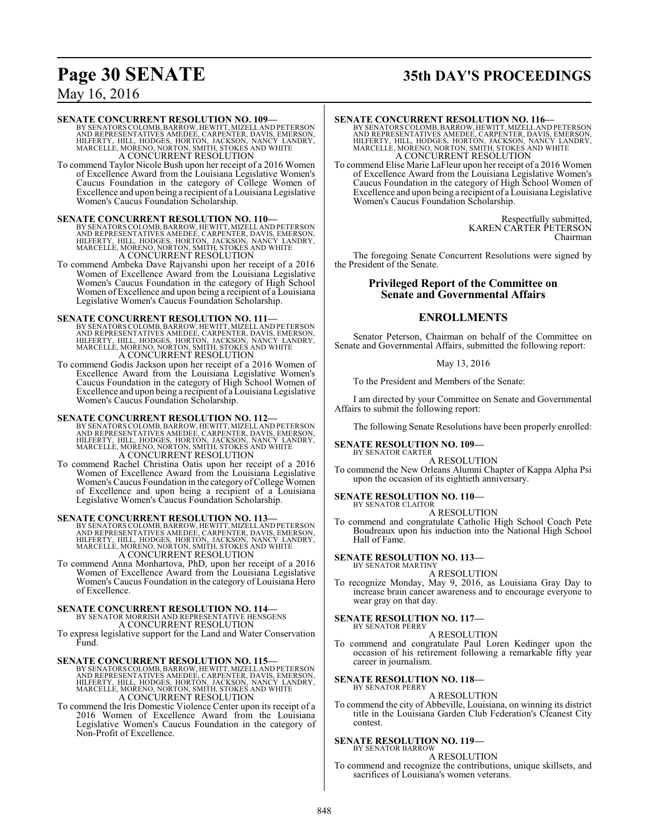# **Page 30 SENATE 35th DAY'S PROCEEDINGS**

### May 16, 2016

### **SENATE CONCURRENT RESOLUTION NO. 109—**

BY SENATORS COLOMB, BARROW, HEWITT, MIZELL AND PETERSON<br>AND REPRESENTATIVES AMEDEE, CARPENTER, DAVIS, EMERSON,<br>HILFERTY, HILL, HODGES, HORTON, JACKSON, NANCY LANDRY,<br>MARCELLE, MORENO, NORTON, SMITH, STOKES AND WHITE A CONCURRENT RESOLUTION

To commend Taylor Nicole Bush upon her receipt of a 2016 Women of Excellence Award from the Louisiana Legislative Women's Caucus Foundation in the category of College Women of Excellence and upon being a recipient of a Louisiana Legislative Women's Caucus Foundation Scholarship.

**SENATE CONCURRENT RESOLUTION NO. 110—**<br>BY SENATORS COLOMB, BARROW, HEWITT, MIZELL AND REPRESON AND REPRESON THE FRICAL HOLD CONCIDENT HILL FIRTY, HILL, HODGES, HORTON, JACKSON, NANCY LANDRY, MARCELLE, MORENO, NORTON, SMIT

To commend Ambeka Dave Rajvanshi upon her receipt of a 2016 Women of Excellence Award from the Louisiana Legislative Women's Caucus Foundation in the category of High School Women of Excellence and upon being a recipient of a Louisiana Legislative Women's Caucus Foundation Scholarship.

### **SENATE CONCURRENT RESOLUTION NO. 111—**

BY SENATORS COLOMB, BARROW, HEWITT, MIZELL AND PETERSON<br>AND REPRESENTATIVES AMEDEE, CARPENTER, DAVIS, EMERSON,<br>HILFERTY, HILL, HODGES, HORTON, JACKSON, NANCY LANDRY,<br>MARCELLE, MORENO, NORTON, SMITH, STOKES AND WHITE A CONCURRENT RESOLUTION

To commend Godis Jackson upon her receipt of a 2016 Women of Excellence Award from the Louisiana Legislative Women's Caucus Foundation in the category of High School Women of Excellence and upon being a recipient of a Louisiana Legislative Women's Caucus Foundation Scholarship.

**SENATE CONCURRENT RESOLUTION NO. 112—**<br>BY SENATORS COLOMB, BARROW, HEWITT, MIZELL AND REPRESON<br>AND REPRESENTATIVES AMEDEE, CARPENTER, DAVIS, EMERSON,<br>HILFERTY, HILL, HODGES, HORTON, JACKSON, NANCY LANDRY,<br>MARCELLE, MORENO A CONCURRENT RESOLUTION

To commend Rachel Christina Oatis upon her receipt of a 2016 Women of Excellence Award from the Louisiana Legislative Women's Caucus Foundation in the category of College Women of Excellence and upon being a recipient of a Louisiana Legislative Women's Caucus Foundation Scholarship.

**SENATE CONCURRENT RESOLUTION NO. 113—**<br>BY SENATORS COLOMB, BARROW, HEWITT, MIZELL AND REPRESON<br>AND REPRESENTATIVES AMEDEE, CARPENTER, DAVIS, EMERSON,<br>HILFERTY, HILL, HODGES, HORTON, JACKSON, NANCY LANDRY,<br>MARCELLE, MORENO A CONCURRENT RESOLUTION

To commend Anna Monhartova, PhD, upon her receipt of a 2016 Women of Excellence Award from the Louisiana Legislative Women's Caucus Foundation in the category of Louisiana Hero of Excellence.

### **SENATE CONCURRENT RESOLUTION NO. 114—**

BY SENATOR MORRISH AND REPRESENTATIVE HENSGENS A CONCURRENT RESOLUTION

To express legislative support for the Land and Water Conservation Fund.

**SENATE CONCURRENT RESOLUTION NO. 115—**<br>BY SENATORS COLOMB, BARROW, HEWITT, MIZELL AND PETERSON<br>AND REPRESENTATIVES AMEDEE, CARPENTER, DAVIS, EMERSON,<br>HILFERTY, HILL, HODGES, HORTON, JACKSON, NANCY LANDRY,<br>MARCELLE, MORENO

To commend the Iris Domestic Violence Center upon its receipt of a 2016 Women of Excellence Award from the Louisiana Legislative Women's Caucus Foundation in the category of Non-Profit of Excellence.

### **SENATE CONCURRENT RESOLUTION NO. 116—**

BY SENATORS COLOMB, BARROW, HEWITT, MIZELL AND PETERSON<br>AND REPRESENTATIVES AMEDEE, CARPENTER, DAVIS, EMERSON,<br>HILFERTY, HILL, HODGES, HORTON, JACKSON, NANCY LANDRY,<br>MARCELLE, MORENO, NORTON, SMITH, STOKES AND WHITE A CONCURRENT RESOLUTION

To commend Elise Marie LaFleur upon her receipt of a 2016 Women of Excellence Award from the Louisiana Legislative Women's Caucus Foundation in the category of High School Women of Excellence and upon being a recipient of a Louisiana Legislative Women's Caucus Foundation Scholarship.

> Respectfully submitted, KAREN CARTER PETERSON Chairman

The foregoing Senate Concurrent Resolutions were signed by the President of the Senate.

### **Privileged Report of the Committee on Senate and Governmental Affairs**

### **ENROLLMENTS**

Senator Peterson, Chairman on behalf of the Committee on Senate and Governmental Affairs, submitted the following report:

### May 13, 2016

To the President and Members of the Senate:

I am directed by your Committee on Senate and Governmental Affairs to submit the following report:

The following Senate Resolutions have been properly enrolled:

#### **SENATE RESOLUTION NO. 109—** BY SENATOR CARTER

A RESOLUTION

To commend the New Orleans Alumni Chapter of Kappa Alpha Psi upon the occasion of its eightieth anniversary.

### **SENATE RESOLUTION NO. 110—**

BY SENATOR CLAITOR A RESOLUTION

To commend and congratulate Catholic High School Coach Pete Boudreaux upon his induction into the National High School Hall of Fame.

#### **SENATE RESOLUTION NO. 113—** BY SENATOR MARTINY

A RESOLUTION

To recognize Monday, May 9, 2016, as Louisiana Gray Day to increase brain cancer awareness and to encourage everyone to wear gray on that day.

#### **SENATE RESOLUTION NO. 117—** BY SENATOR PERRY

A RESOLUTION

To commend and congratulate Paul Loren Kedinger upon the occasion of his retirement following a remarkable fifty year career in journalism.

#### **SENATE RESOLUTION NO. 118—** BY SENATOR PERRY

A RESOLUTION

To commend the city of Abbeville, Louisiana, on winning its district title in the Louisiana Garden Club Federation's Cleanest City contest.

### **SENATE RESOLUTION NO. 119—**

BY SENATOR BARROW A RESOLUTION

To commend and recognize the contributions, unique skillsets, and sacrifices of Louisiana's women veterans.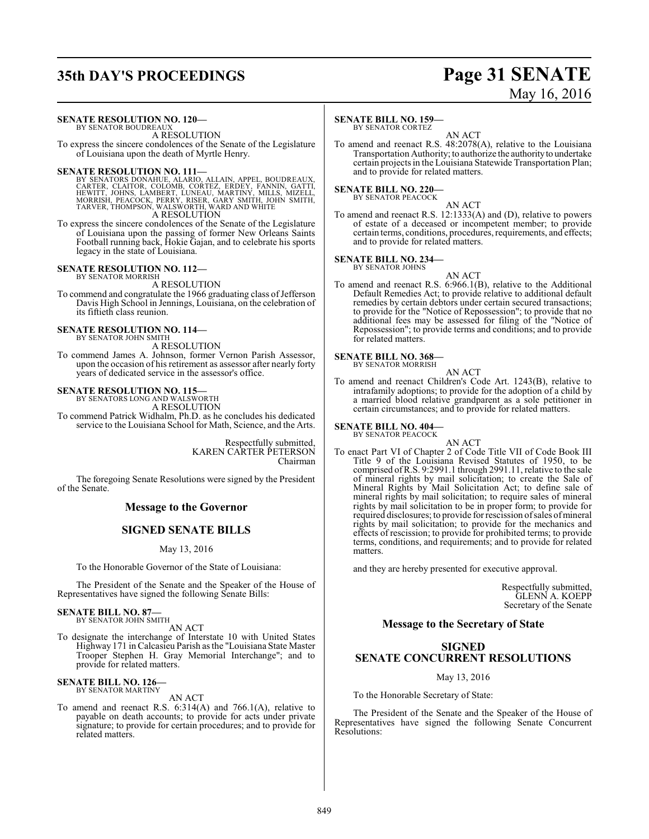## **35th DAY'S PROCEEDINGS Page 31 SENATE**

# May 16, 2016

#### **SENATE RESOLUTION NO. 120—** BY SENATOR BOUDREAU.

A RESOLUTION

To express the sincere condolences of the Senate of the Legislature of Louisiana upon the death of Myrtle Henry.

SENATE RESOLUTION NO. 111—<br>
BY SENATORS DONAHUE, ALAIN, APPEL, BOUDREAUX,<br>
CARTER, CLAITOR, COLÓMB, CORTEZ, ERDEY, FANNIN, GATTI,<br>
HEWITT, JOHNS, LAMBERT, LUNEAU, MARTINY, MILLS, MIZELL,<br>
MORRISH, PEACOCK, PERRY, RISER, GA

To express the sincere condolences of the Senate of the Legislature of Louisiana upon the passing of former New Orleans Saints Football running back, Hokie Gajan, and to celebrate his sports legacy in the state of Louisiana.

### **SENATE RESOLUTION NO. 112—** BY SENATOR MORRISH

A RESOLUTION

To commend and congratulate the 1966 graduating class of Jefferson Davis High School in Jennings, Louisiana, on the celebration of its fiftieth class reunion.

#### **SENATE RESOLUTION NO. 114—** BY SENATOR JOHN SMITH

A RESOLUTION

To commend James A. Johnson, former Vernon Parish Assessor, upon the occasion of his retirement as assessor after nearly forty years of dedicated service in the assessor's office.

# **SENATE RESOLUTION NO. 115—** BY SENATORS LONG AND WALSWORTH

A RESOLUTION

To commend Patrick Widhalm, Ph.D. as he concludes his dedicated service to the Louisiana School for Math, Science, and the Arts.

> Respectfully submitted, KAREN CARTER PETERSON Chairman

The foregoing Senate Resolutions were signed by the President of the Senate.

### **Message to the Governor**

### **SIGNED SENATE BILLS**

### May 13, 2016

To the Honorable Governor of the State of Louisiana:

The President of the Senate and the Speaker of the House of Representatives have signed the following Senate Bills:

#### **SENATE BILL NO. 87—** BY SENATOR JOHN SMITH

AN ACT

To designate the interchange of Interstate 10 with United States Highway 171 in Calcasieu Parish as the "Louisiana State Master Trooper Stephen H. Gray Memorial Interchange"; and to provide for related matters.

#### **SENATE BILL NO. 126—** BY SENATOR MARTINY

AN ACT

To amend and reenact R.S. 6:314(A) and 766.1(A), relative to payable on death accounts; to provide for acts under private signature; to provide for certain procedures; and to provide for related matters.

### **SENATE BILL NO. 159—**

BY SENATOR CORTEZ

AN ACT To amend and reenact R.S. 48:2078(A), relative to the Louisiana Transportation Authority; to authorize the authorityto undertake certain projects in the Louisiana Statewide Transportation Plan; and to provide for related matters.

### **SENATE BILL NO. 220—**

BY SENATOR PEACOCK

AN ACT To amend and reenact R.S. 12:1333(A) and (D), relative to powers of estate of a deceased or incompetent member; to provide certain terms, conditions, procedures, requirements, and effects; and to provide for related matters.

### **SENATE BILL NO. 234—**

BY SENATOR JOHNS

AN ACT To amend and reenact R.S. 6:966.1(B), relative to the Additional Default Remedies Act; to provide relative to additional default remedies by certain debtors under certain secured transactions; to provide for the "Notice of Repossession"; to provide that no additional fees may be assessed for filing of the "Notice of Repossession"; to provide terms and conditions; and to provide

#### **SENATE BILL NO. 368—** BY SENATOR MORRISH

for related matters.

AN ACT

To amend and reenact Children's Code Art. 1243(B), relative to intrafamily adoptions; to provide for the adoption of a child by a married blood relative grandparent as a sole petitioner in certain circumstances; and to provide for related matters.

# **SENATE BILL NO. 404—** BY SENATOR PEACOCK

AN ACT To enact Part VI of Chapter 2 of Code Title VII of Code Book III Title 9 of the Louisiana Revised Statutes of 1950, to be comprised ofR.S. 9:2991.1 through 2991.11, relative to the sale of mineral rights by mail solicitation; to create the Sale of Mineral Rights by Mail Solicitation Act; to define sale of mineral rights by mail solicitation; to require sales of mineral rights by mail solicitation to be in proper form; to provide for required disclosures; to provide for rescission ofsales ofmineral rights by mail solicitation; to provide for the mechanics and effects of rescission; to provide for prohibited terms; to provide terms, conditions, and requirements; and to provide for related matters.

and they are hereby presented for executive approval.

Respectfully submitted, GLENN A. KOEPP Secretary of the Senate

### **Message to the Secretary of State**

### **SIGNED SENATE CONCURRENT RESOLUTIONS**

May 13, 2016

To the Honorable Secretary of State:

The President of the Senate and the Speaker of the House of Representatives have signed the following Senate Concurrent Resolutions: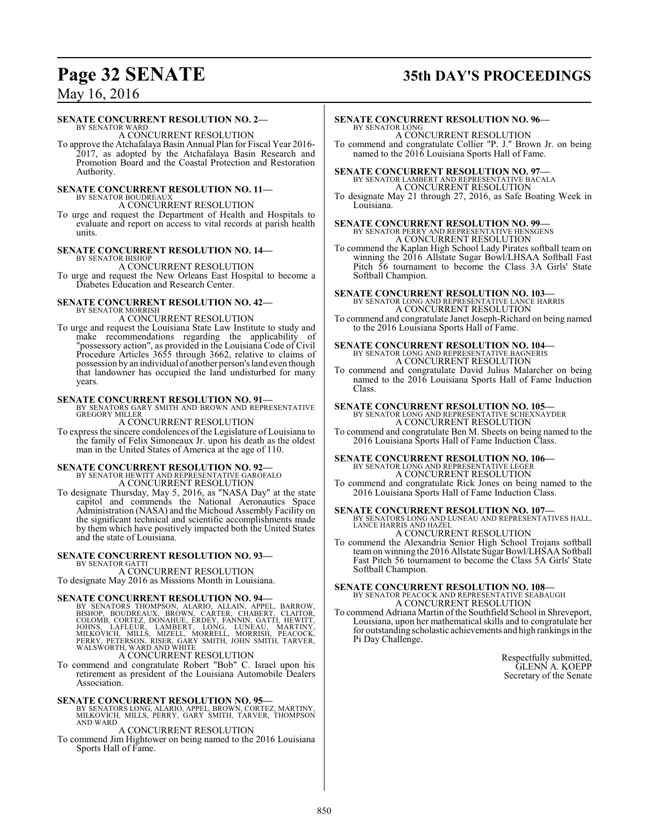# **Page 32 SENATE 35th DAY'S PROCEEDINGS**

### May 16, 2016

### **SENATE CONCURRENT RESOLUTION NO. 2—**

BY SENATOR WARD A CONCURRENT RESOLUTION

To approve the Atchafalaya Basin Annual Plan for Fiscal Year 2016- 2017, as adopted by the Atchafalaya Basin Research and Promotion Board and the Coastal Protection and Restoration Authority.

### **SENATE CONCURRENT RESOLUTION NO. 11—**

BY SENATOR BOUDREAUX A CONCURRENT RESOLUTION

To urge and request the Department of Health and Hospitals to evaluate and report on access to vital records at parish health units.

### **SENATE CONCURRENT RESOLUTION NO. 14—** BY SENATOR BISHOP

A CONCURRENT RESOLUTION

To urge and request the New Orleans East Hospital to become a Diabetes Education and Research Center.

### **SENATE CONCURRENT RESOLUTION NO. 42—** BY SENATOR MORRISH

A CONCURRENT RESOLUTION

To urge and request the Louisiana State Law Institute to study and make recommendations regarding the applicability of "possessory action", as provided in the Louisiana Code of Civil Procedure Articles 3655 through 3662, relative to claims of possession byan individual of another person's land even though that landowner has occupied the land undisturbed for many years.

**SENATE CONCURRENT RESOLUTION NO. 91—BY SENATORS GARY SMITH AND BROWN AND REPRESENTATIVE GREGORY MILLER** 

A CONCURRENT RESOLUTION

To express the sincere condolences of the Legislature of Louisiana to the family of Felix Simoneaux Jr. upon his death as the oldest man in the United States of America at the age of 110.

### **SENATE CONCURRENT RESOLUTION NO. 92—** BY SENATOR HEWITT AND REPRESENTATIVE GAROFALO A CONCURRENT RESOLUTION

To designate Thursday, May 5, 2016, as "NASA Day" at the state capitol and commends the National Aeronautics Space Administration (NASA) and the Michoud Assembly Facility on the significant technical and scientific accomplishments made by them which have positively impacted both the United States and the state of Louisiana.

### **SENATE CONCURRENT RESOLUTION NO. 93—** BY SENATOR GATTI

A CONCURRENT RESOLUTION

To designate May 2016 as Missions Month in Louisiana.

SENATE CONCURRENT RESOLUTION NO. 94-BY SENATORS THOMPSON, ALARIO, ALLAIN, APPEL, BARROW, BISHOP, BOUDREAUX, BRÓWN, CARTER, CHABERT, CLAITOR, COLOMB, CORTEZ, DONAHUE, ERDEY, FANNIN, GATTI, HEWITT, JOHNS, LAFLEUR, LAMBERT, L

A CONCURRENT RESOLUTION

To commend and congratulate Robert "Bob" C. Israel upon his retirement as president of the Louisiana Automobile Dealers Association.

**SENATE CONCURRENT RESOLUTION NO. 95—**<br>BY SENATORS LONG, ALARIO, APPEL, BROWN, CORTEZ, MARTINY,<br>MILKOVICH, MILLS, PERRY, GARY SMITH, TARVER, THOMPSON<br>AND WARD

### A CONCURRENT RESOLUTION

To commend Jim Hightower on being named to the 2016 Louisiana Sports Hall of Fame.

### **SENATE CONCURRENT RESOLUTION NO. 96—**

BY SENATOR LONG A CONCURRENT RESOLUTION To commend and congratulate Collier "P. J." Brown Jr. on being named to the 2016 Louisiana Sports Hall of Fame.

**SENATE CONCURRENT RESOLUTION NO. 97—** BY SENATOR LAMBERT AND REPRESENTATIVE BACALA A CONCURRENT RESOLUTION

To designate May 21 through 27, 2016, as Safe Boating Week in Louisiana.

#### **SENATE CONCURRENT RESOLUTION NO. 99—** BY SENATOR PERRY AND REPRESENTATIVE HENSGENS A CONCURRENT RESOLUTION

To commend the Kaplan High School Lady Pirates softball team on winning the 2016 Allstate Sugar Bowl/LHSAA Softball Fast Pitch 56 tournament to become the Class 3A Girls' State Softball Champion.

**SENATE CONCURRENT RESOLUTION NO. 103—** BY SENATOR LONG AND REPRESENTATIVE LANCE HARRIS A CONCURRENT RESOLUTION To commend and congratulate Janet Joseph-Richard on being named

to the 2016 Louisiana Sports Hall of Fame.

### **SENATE CONCURRENT RESOLUTION NO. 104—** BY SENATOR LONG AND REPRESENTATIVE BAGNERIS A CONCURRENT RESOLUTION

To commend and congratulate David Julius Malarcher on being named to the 2016 Louisiana Sports Hall of Fame Induction Class.

### **SENATE CONCURRENT RESOLUTION NO. 105—** BY SENATOR LONG AND REPRESENTATIVE SCHEXNAYDER

A CONCURRENT RESOLUTION To commend and congratulate Ben M. Sheets on being named to the 2016 Louisiana Sports Hall of Fame Induction Class.

## **SENATE CONCURRENT RESOLUTION NO. 106—** BY SENATOR LONG AND REPRESENTATIVE LEGER

A CONCURRENT RESOLUTION To commend and congratulate Rick Jones on being named to the

2016 Louisiana Sports Hall of Fame Induction Class.

### **SENATE CONCURRENT RESOLUTION NO. 107—**

BY SENATORS LONG AND LUNEAU AND REPRESENTATIVES HALL, LANCE HARRIS AND HAZEL A CONCURRENT RESOLUTION

To commend the Alexandria Senior High School Trojans softball teamon winning the 2016 Allstate Sugar Bowl/LHSAA Softball Fast Pitch 56 tournament to become the Class 5A Girls' State Softball Champion.

#### **SENATE CONCURRENT RESOLUTION NO. 108—** BY SENATOR PEACOCK AND REPRESENTATIVE SEABAUGH A CONCURRENT RESOLUTION

To commend Adriana Martin of the Southfield School in Shreveport, Louisiana, upon her mathematical skills and to congratulate her for outstanding scholastic achievements and high rankings in the Pi Day Challenge.

> Respectfully submitted, GLENN A. KOEPP Secretary of the Senate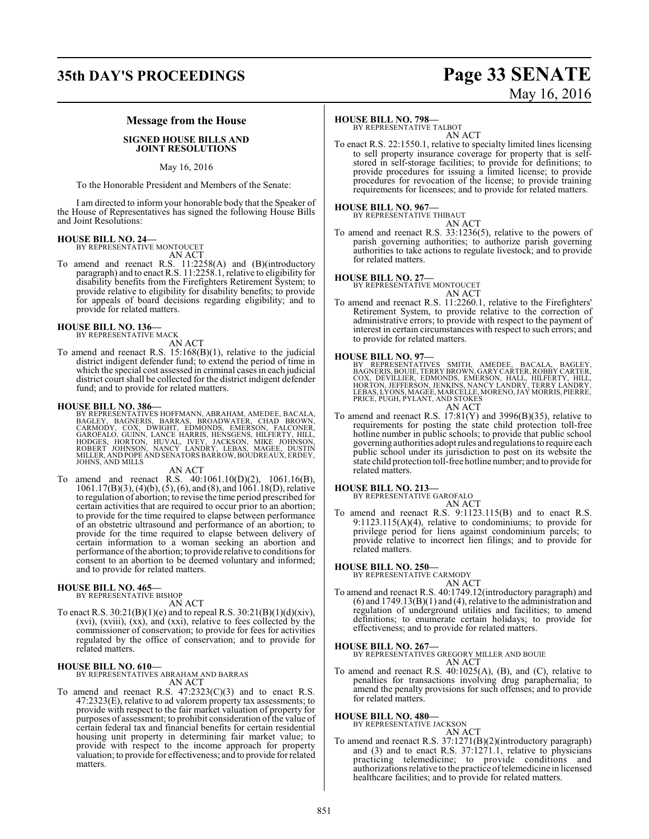### **35th DAY'S PROCEEDINGS Page 33 SENATE**

# May 16, 2016

### **Message from the House**

### **SIGNED HOUSE BILLS AND JOINT RESOLUTIONS**

### May 16, 2016

To the Honorable President and Members of the Senate:

I am directed to inform your honorable body that the Speaker of the House of Representatives has signed the following House Bills and Joint Resolutions:

### **HOUSE BILL NO. 24—** BY REPRESENTATIVE MONTOUCET

AN ACT

To amend and reenact R.S. 11:2258(A) and (B)(introductory paragraph) and to enact R.S. 11:2258.1, relative to eligibility for disability benefits from the Firefighters Retirement System; to provide relative to eligibility for disability benefits; to provide for appeals of board decisions regarding eligibility; and to provide for related matters.

#### **HOUSE BILL NO. 136—** BY REPRESENTATIVE MACK

AN ACT

To amend and reenact R.S. 15:168(B)(1), relative to the judicial district indigent defender fund; to extend the period of time in which the special cost assessed in criminal cases in each judicial district court shall be collected for the district indigent defender fund; and to provide for related matters.

### **HOUSE BILL NO. 386—**

BY REPRESENTATIVES HOFFMANN, ABRAHAM, AMEDEE, BACALA, BAGLEY, BAGNERIS, BARRAS, BROADWATER, CHAD BROWN,<br>CARMODY, COX, DWIGHT, EDMONDS, EMERSON, FALCONER,<br>GAROFALO, GUINN, LANCE HARRIS, HENSGENS, HILFERTY, HILL,<br>HODGES, HORTON, HUVAL, IVEY, JACKSON, MIKE JOHNSON,<br>ROBERT JOHNSO

AN ACT

To amend and reenact R.S. 40:1061.10(D)(2), 1061.16(B), 1061.17(B)(3), (4)(b), (5), (6), and (8), and 1061.18(D), relative to regulation of abortion; to revise the time period prescribed for certain activities that are required to occur prior to an abortion; to provide for the time required to elapse between performance of an obstetric ultrasound and performance of an abortion; to provide for the time required to elapse between delivery of certain information to a woman seeking an abortion and performance ofthe abortion; to provide relative to conditionsfor consent to an abortion to be deemed voluntary and informed; and to provide for related matters.

### **HOUSE BILL NO. 465—** BY REPRESENTATIVE BISHOP

- AN ACT
- To enact R.S.  $30:21(B)(1)(e)$  and to repeal R.S.  $30:21(B)(1)(d)(xiv)$ , (xvi), (xviii), (xx), and (xxi), relative to fees collected by the commissioner of conservation; to provide for fees for activities regulated by the office of conservation; and to provide for related matters.

**HOUSE BILL NO. 610—** BY REPRESENTATIVES ABRAHAM AND BARRAS AN ACT

To amend and reenact R.S.  $47:2323(C)(3)$  and to enact R.S. 47:2323(E), relative to ad valorem property tax assessments; to provide with respect to the fair market valuation of property for purposes of assessment; to prohibit consideration of the value of certain federal tax and financial benefits for certain residential housing unit property in determining fair market value; to provide with respect to the income approach for property valuation; to provide for effectiveness; and to provide for related matters.

### **HOUSE BILL NO. 798—**

BY REPRESENTATIVE TALBOT AN ACT

To enact R.S. 22:1550.1, relative to specialty limited lines licensing to sell property insurance coverage for property that is selfstored in self-storage facilities; to provide for definitions; to provide procedures for issuing a limited license; to provide procedures for revocation of the license; to provide training requirements for licensees; and to provide for related matters.

### **HOUSE BILL NO. 967—** BY REPRESENTATIVE THIBAUT

AN ACT

To amend and reenact R.S. 33:1236(5), relative to the powers of parish governing authorities; to authorize parish governing authorities to take actions to regulate livestock; and to provide for related matters.

#### **HOUSE BILL NO. 27—**

BY REPRESENTATIVE MONTOUCET AN ACT

To amend and reenact R.S. 11:2260.1, relative to the Firefighters' Retirement System, to provide relative to the correction of administrative errors; to provide with respect to the payment of interest in certain circumstances with respect to such errors; and to provide for related matters.

#### **HOUSE BILL NO. 97—**

BY REPRESENTATIVES SMITH, AMEDEE, BACALA, BAGLEY,<br>BAGNERIS,BOUIE,TERRYBROWN,GARYCARTER,ROBBYCARTER,<br>COX, DEVILLIER, EDMONDS, EMERSON, HALL, HILFERTY, HILL,<br>HORTON,JEFFERSON,JENKINS,NANCY LANDRY,TERRYLANDRY,<br>LEBAS,LYONS,MAG AN ACT

- To amend and reenact R.S.  $17:81(Y)$  and  $3996(B)(35)$ , relative to requirements for posting the state child protection toll-free hotline number in public schools; to provide that public school governing authorities adopt rules and regulations to require each
	- public school under its jurisdiction to post on its website the state child protection toll-free hotline number; and to provide for related matters.

### **HOUSE BILL NO. 213—**

BY REPRESENTATIVE GAROFALO AN ACT

To amend and reenact R.S. 9:1123.115(B) and to enact R.S. 9:1123.115(A)(4), relative to condominiums; to provide for privilege period for liens against condominium parcels; to provide relative to incorrect lien filings; and to provide for related matters.

#### **HOUSE BILL NO. 250—**

BY REPRESENTATIVE CARMODY

AN ACT To amend and reenact R.S. 40:1749.12(introductory paragraph) and  $(6)$  and  $1749.13(B)(1)$  and  $(4)$ , relative to the administration and regulation of underground utilities and facilities; to amend definitions; to enumerate certain holidays; to provide for effectiveness; and to provide for related matters.

### **HOUSE BILL NO. 267—**

BY REPRESENTATIVES GREGORY MILLER AND BOUIE AN ACT

To amend and reenact R.S. 40:1025(A), (B), and (C), relative to penalties for transactions involving drug paraphernalia; to amend the penalty provisions for such offenses; and to provide for related matters.

**HOUSE BILL NO. 480—** BY REPRESENTATIVE JACKSON

AN ACT

To amend and reenact R.S. 37:1271(B)(2)(introductory paragraph) and (3) and to enact R.S. 37:1271.1, relative to physicians practicing telemedicine; to provide conditions and authorizations relative to the practice oftelemedicine in licensed healthcare facilities; and to provide for related matters.